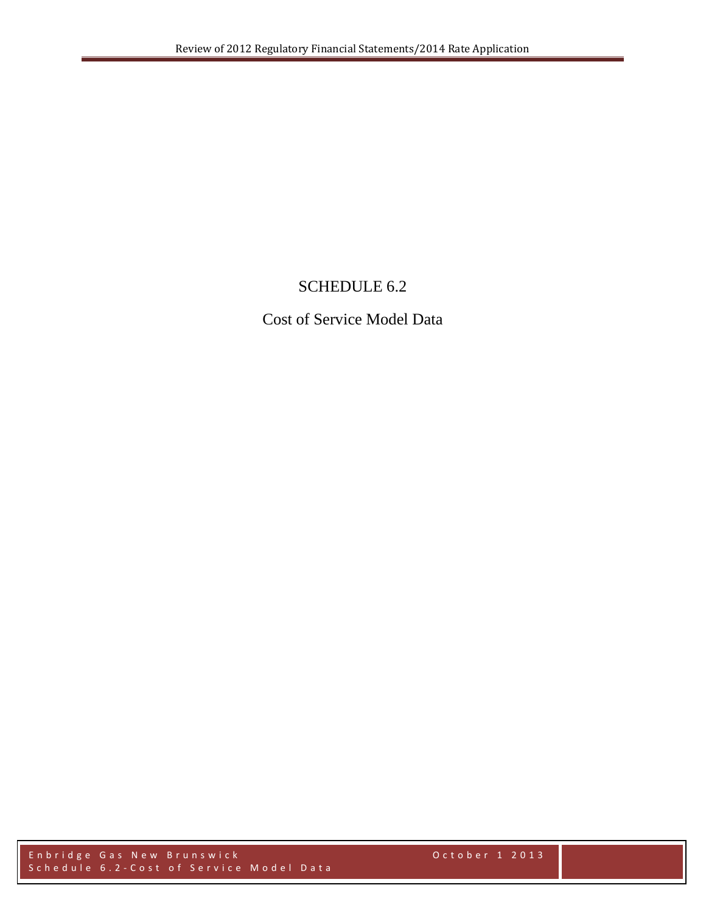# SCHEDULE 6.2

Cost of Service Model Data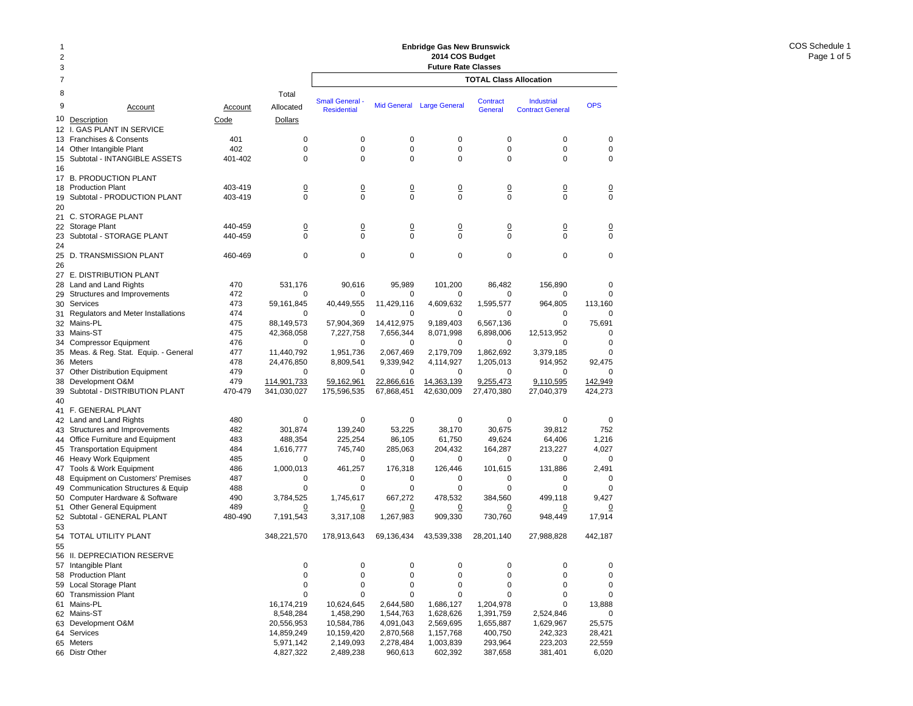| 1<br>$\overline{2}$<br>3 |                                                               |            |                         | <b>Enbridge Gas New Brunswick</b><br>2014 COS Budget<br><b>Future Rate Classes</b> |                         |                        |                               |                         |                      |  |  |
|--------------------------|---------------------------------------------------------------|------------|-------------------------|------------------------------------------------------------------------------------|-------------------------|------------------------|-------------------------------|-------------------------|----------------------|--|--|
| 7                        |                                                               |            |                         |                                                                                    |                         |                        | <b>TOTAL Class Allocation</b> |                         |                      |  |  |
| 8<br>9                   | Account                                                       | Account    | Total<br>Allocated      | <b>Small General -</b>                                                             | <b>Mid General</b>      | <b>Large General</b>   | Contract                      | <b>Industrial</b>       | <b>OPS</b>           |  |  |
| 10                       | Description                                                   | Code       | Dollars                 | <b>Residential</b>                                                                 |                         |                        | <b>General</b>                | <b>Contract General</b> |                      |  |  |
| $12 \overline{ }$        | <b>GAS PLANT IN SERVICE</b>                                   |            |                         |                                                                                    |                         |                        |                               |                         |                      |  |  |
|                          | 13 Franchises & Consents                                      | 401        | 0                       | 0                                                                                  | 0                       | 0                      | 0                             | 0                       | 0                    |  |  |
| 14                       | Other Intangible Plant                                        | 402        | 0                       | 0                                                                                  | $\mathbf 0$<br>$\Omega$ | 0                      | 0                             | 0<br>$\Omega$           | 0                    |  |  |
| 15<br>16                 | Subtotal - INTANGIBLE ASSETS                                  | 401-402    | 0                       | 0                                                                                  |                         | 0                      | 0                             |                         | 0                    |  |  |
| 17                       | <b>B. PRODUCTION PLANT</b>                                    |            |                         |                                                                                    |                         |                        |                               |                         |                      |  |  |
| 18                       | <b>Production Plant</b>                                       | 403-419    | <u>0</u>                | <u>0</u>                                                                           | $\overline{0}$          | $\overline{0}$         | $\overline{0}$                | $\overline{0}$          | <u>0</u>             |  |  |
| 19                       | Subtotal - PRODUCTION PLANT                                   | 403-419    | 0                       | $\Omega$                                                                           | $\mathbf 0$             | $\Omega$               | $\Omega$                      | $\Omega$                | 0                    |  |  |
| 20                       | 21 C. STORAGE PLANT                                           |            |                         |                                                                                    |                         |                        |                               |                         |                      |  |  |
| 22                       | Storage Plant                                                 | 440-459    | $\overline{0}$          | $\overline{0}$                                                                     | $\overline{0}$          | $\overline{0}$         | $\overline{0}$                | $\overline{0}$          | $\overline{0}$       |  |  |
| 23                       | Subtotal - STORAGE PLANT                                      | 440-459    | $\mathbf 0$             | $\mathbf 0$                                                                        | $\Omega$                | $\Omega$               | $\Omega$                      | $\Omega$                | $\mathbf 0$          |  |  |
| 24                       |                                                               |            |                         |                                                                                    |                         |                        |                               |                         |                      |  |  |
| 25<br>26                 | D. TRANSMISSION PLANT                                         | 460-469    | 0                       | $\mathbf 0$                                                                        | $\mathbf 0$             | 0                      | 0                             | 0                       | 0                    |  |  |
| 27                       | E. DISTRIBUTION PLANT                                         |            |                         |                                                                                    |                         |                        |                               |                         |                      |  |  |
|                          | 28 Land and Land Rights                                       | 470        | 531,176                 | 90,616                                                                             | 95.989                  | 101,200                | 86,482                        | 156,890                 | 0                    |  |  |
| 29                       | Structures and Improvements                                   | 472        | 0                       | 0                                                                                  | $\mathbf 0$             | 0                      | 0                             | 0                       | 0                    |  |  |
|                          | 30 Services                                                   | 473        | 59,161,845              | 40,449,555                                                                         | 11,429,116              | 4,609,632              | 1,595,577                     | 964,805                 | 113,160              |  |  |
|                          | 31 Regulators and Meter Installations                         | 474        | 0                       | 0                                                                                  | 0                       | 0                      | $\Omega$                      | 0                       | 0                    |  |  |
|                          | 32 Mains-PL                                                   | 475        | 88,149,573              | 57,904,369                                                                         | 14,412,975              | 9,189,403              | 6,567,136                     | 0                       | 75.691               |  |  |
| 34                       | 33 Mains-ST<br><b>Compressor Equipment</b>                    | 475<br>476 | 42,368,058<br>0         | 7,227,758<br>0                                                                     | 7,656,344<br>0          | 8,071,998<br>0         | 6,898,006<br>0                | 12,513,952<br>0         | 0<br>$\mathbf 0$     |  |  |
|                          | 35 Meas. & Reg. Stat. Equip. - General                        | 477        | 11,440,792              | 1,951,736                                                                          | 2,067,469               | 2,179,709              | 1,862,692                     | 3,379,185               | $\mathbf 0$          |  |  |
|                          | 36 Meters                                                     | 478        | 24,476,850              | 8,809,541                                                                          | 9,339,942               | 4,114,927              | 1.205.013                     | 914,952                 | 92,475               |  |  |
| 37                       | <b>Other Distribution Equipment</b>                           | 479        | 0                       | 0                                                                                  | 0                       | 0                      | 0                             | 0                       | $\mathbf 0$          |  |  |
| 38                       | Development O&M                                               | 479        | 114,901,733             | 59,162,961                                                                         | 22,866,616              | 14,363,139             | 9,255,473                     | 9,110,595               | 142,949              |  |  |
| 39                       | Subtotal - DISTRIBUTION PLANT                                 | 470-479    | 341,030,027             | 175,596,535                                                                        | 67,868,451              | 42,630,009             | 27,470,380                    | 27,040,379              | 424,273              |  |  |
| 40                       | 41 F. GENERAL PLANT                                           |            |                         |                                                                                    |                         |                        |                               |                         |                      |  |  |
|                          | 42 Land and Land Rights                                       | 480        | $\mathbf 0$             | 0                                                                                  | 0                       | $\mathbf 0$            | 0                             | 0                       | 0                    |  |  |
|                          | 43 Structures and Improvements                                | 482        | 301,874                 | 139,240                                                                            | 53,225                  | 38,170                 | 30,675                        | 39,812                  | 752                  |  |  |
| 44                       | Office Furniture and Equipment                                | 483        | 488,354                 | 225,254                                                                            | 86,105                  | 61,750                 | 49,624                        | 64,406                  | 1,216                |  |  |
| 45                       | <b>Transportation Equipment</b>                               | 484        | 1,616,777               | 745,740                                                                            | 285,063                 | 204,432                | 164,287                       | 213,227                 | 4,027                |  |  |
|                          | 46 Heavy Work Equipment                                       | 485        | 0                       | 0                                                                                  | 0                       | 0                      | $\mathbf 0$                   | 0                       | 0                    |  |  |
| 47                       | Tools & Work Equipment<br>48 Equipment on Customers' Premises | 486<br>487 | 1,000,013<br>0          | 461,257<br>0                                                                       | 176,318<br>0            | 126,446<br>0           | 101,615<br>0                  | 131,886<br>0            | 2,491<br>$\mathbf 0$ |  |  |
| 49                       | Communication Structures & Equip                              | 488        | 0                       | $\mathbf 0$                                                                        | $\mathbf 0$             | 0                      | $\mathbf 0$                   | 0                       | 0                    |  |  |
| 50                       | Computer Hardware & Software                                  | 490        | 3,784,525               | 1,745,617                                                                          | 667,272                 | 478,532                | 384,560                       | 499,118                 | 9,427                |  |  |
| 51                       | <b>Other General Equipment</b>                                | 489        | <u>0</u>                | <u>0</u>                                                                           | $\overline{0}$          | <u>0</u>               | <u>0</u>                      | <u>0</u>                | <u>0</u>             |  |  |
| 52                       | Subtotal - GENERAL PLANT                                      | 480-490    | 7,191,543               | 3,317,108                                                                          | 1,267,983               | 909,330                | 730,760                       | 948,449                 | 17,914               |  |  |
| 53<br>54                 | TOTAL UTILITY PLANT                                           |            | 348,221,570             | 178,913,643                                                                        | 69,136,434              | 43,539,338             | 28,201,140                    | 27,988,828              | 442,187              |  |  |
| 55                       | 56 II. DEPRECIATION RESERVE                                   |            |                         |                                                                                    |                         |                        |                               |                         |                      |  |  |
|                          | 57 Intangible Plant                                           |            | 0                       | 0                                                                                  | $\pmb{0}$               | 0                      | $\pmb{0}$                     | 0                       | 0                    |  |  |
|                          | 58 Production Plant                                           |            | 0                       | $\pmb{0}$                                                                          | $\mathbf 0$             | 0                      | $\mathbf 0$                   | 0                       | 0                    |  |  |
|                          | 59 Local Storage Plant                                        |            | 0                       | 0                                                                                  | $\mathbf 0$             | 0                      | 0                             | 0                       | 0                    |  |  |
|                          | 60 Transmission Plant                                         |            | 0                       | 0                                                                                  | $\mathbf 0$             | 0                      | 0                             | 0                       | 0                    |  |  |
|                          | 61 Mains-PL                                                   |            | 16,174,219              | 10,624,645                                                                         | 2,644,580               | 1,686,127              | 1,204,978                     | 0                       | 13,888               |  |  |
|                          | 62 Mains-ST<br>63 Development O&M                             |            | 8,548,284<br>20,556,953 | 1,458,290                                                                          | 1,544,763               | 1,628,626              | 1,391,759                     | 2,524,846<br>1,629,967  | 0                    |  |  |
|                          | 64 Services                                                   |            | 14,859,249              | 10,584,786<br>10,159,420                                                           | 4,091,043<br>2,870,568  | 2,569,695<br>1,157,768 | 1,655,887<br>400,750          | 242,323                 | 25,575<br>28,421     |  |  |
|                          | 65 Meters                                                     |            | 5,971,142               | 2,149,093                                                                          | 2,278,484               | 1,003,839              | 293,964                       | 223,203                 | 22,559               |  |  |
|                          | 66 Distr Other                                                |            | 4,827,322               | 2,489,238                                                                          | 960,613                 | 602,392                | 387,658                       | 381,401                 | 6,020                |  |  |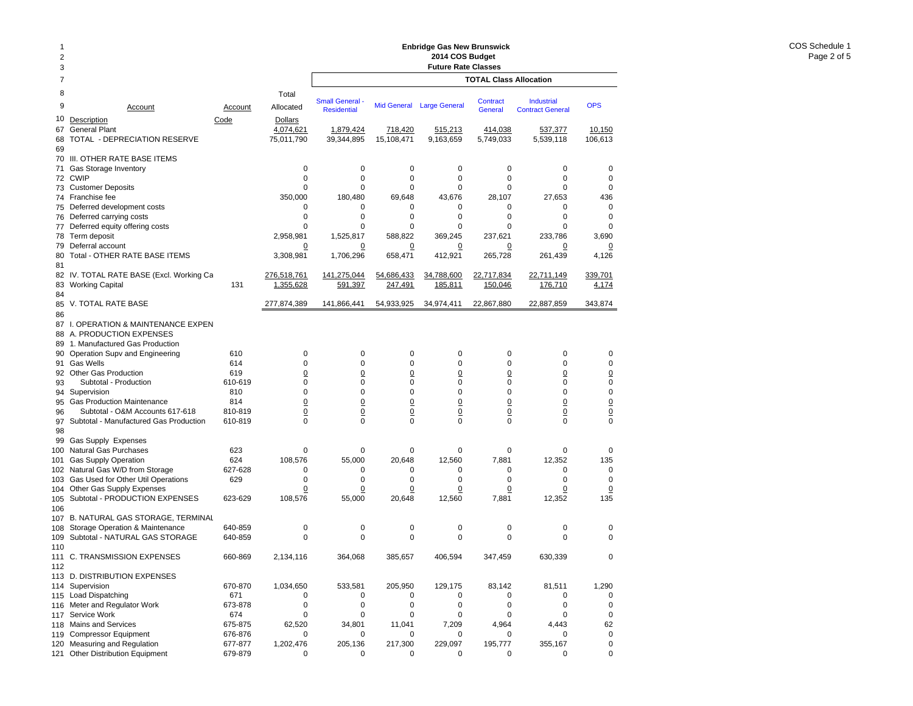### **Enbridge Gas New Brunswick 2014 COS Budget**

|                     |                                                             |                    |                     |                                            |                      | Enbridge Gas New Brunswick                    |                                   |                                              |                              |
|---------------------|-------------------------------------------------------------|--------------------|---------------------|--------------------------------------------|----------------------|-----------------------------------------------|-----------------------------------|----------------------------------------------|------------------------------|
| $\overline{c}$<br>3 |                                                             |                    |                     |                                            |                      | 2014 COS Budget<br><b>Future Rate Classes</b> |                                   |                                              |                              |
| 7                   |                                                             |                    |                     |                                            |                      |                                               | <b>TOTAL Class Allocation</b>     |                                              |                              |
| 8                   |                                                             |                    | Total               |                                            |                      |                                               |                                   |                                              |                              |
| 9                   | Account                                                     | Account            | Allocated           | <b>Small General</b><br><b>Residential</b> | <b>Mid General</b>   | <b>Large General</b>                          | <b>Contract</b><br><b>General</b> | <b>Industrial</b><br><b>Contract General</b> | <b>OPS</b>                   |
| 10                  | Description                                                 | Code               | <b>Dollars</b>      |                                            |                      |                                               |                                   |                                              |                              |
| 67                  | <b>General Plant</b>                                        |                    | 4,074,621           | 1,879,424                                  | 718,420              | 515,213                                       | 414,038                           | 537,377                                      | 10,150                       |
| 68                  | TOTAL - DEPRECIATION RESERVE                                |                    | 75,011,790          | 39,344,895                                 | 15,108,471           | 9,163,659                                     | 5,749,033                         | 5,539,118                                    | 106,613                      |
| 69                  |                                                             |                    |                     |                                            |                      |                                               |                                   |                                              |                              |
| 70<br>71            | III. OTHER RATE BASE ITEMS<br>Gas Storage Inventory         |                    | 0                   | 0                                          | $\mathbf 0$          | $\mathbf 0$                                   | 0                                 | 0                                            | 0                            |
| 72                  | <b>CWIP</b>                                                 |                    | 0                   | 0                                          | $\mathbf 0$          | 0                                             | $\mathbf 0$                       | 0                                            | $\mathbf 0$                  |
| 73                  | <b>Customer Deposits</b>                                    |                    | 0                   | 0                                          | 0                    | 0                                             | $\mathbf 0$                       | $\mathbf 0$                                  | $\mathbf 0$                  |
| 74                  | Franchise fee                                               |                    | 350,000             | 180,480                                    | 69,648               | 43.676                                        | 28.107                            | 27.653                                       | 436                          |
| 75                  | Deferred development costs                                  |                    | 0                   | 0                                          | 0                    | 0                                             | 0                                 | 0                                            | $\mathbf 0$                  |
| 76                  | Deferred carrying costs                                     |                    | 0                   | 0                                          | $\mathbf 0$          | $\mathbf 0$                                   | 0                                 | $\mathbf 0$                                  | $\mathbf 0$                  |
| 77                  | Deferred equity offering costs                              |                    | 0                   | 0                                          | 0                    | 0                                             | 0                                 | 0                                            | 0                            |
| 78                  | Term deposit                                                |                    | 2,958,981           | 1,525,817                                  | 588,822              | 369,245                                       | 237,621                           | 233,786                                      | 3,690                        |
| 79<br>80            | Deferral account<br>Total - OTHER RATE BASE ITEMS           |                    | 0<br>3,308,981      | 0<br>1,706,296                             | <u>0</u><br>658,471  | 0<br>412,921                                  | 0<br>265,728                      | 0<br>261,439                                 | 0<br>4,126                   |
| 81                  |                                                             |                    |                     |                                            |                      |                                               |                                   |                                              |                              |
|                     | 82 IV. TOTAL RATE BASE (Excl. Working Ca                    |                    | 276,518,761         | 141,275,044                                | 54,686,433           | 34,788,600                                    | 22,717,834                        | 22,711,149                                   | 339,701                      |
| 83                  | <b>Working Capital</b>                                      | 131                | 1.355.628           | 591,397                                    | 247.491              | 185.811                                       | 150.046                           | 176,710                                      | 4,174                        |
| 84<br>85            | V. TOTAL RATE BASE                                          |                    | 277,874,389         | 141.866.441                                | 54,933,925           | 34,974,411                                    | 22,867,880                        | 22,887,859                                   | 343,874                      |
| 86                  |                                                             |                    |                     |                                            |                      |                                               |                                   |                                              |                              |
| 87                  | I. OPERATION & MAINTENANCE EXPEN                            |                    |                     |                                            |                      |                                               |                                   |                                              |                              |
| 88                  | A. PRODUCTION EXPENSES                                      |                    |                     |                                            |                      |                                               |                                   |                                              |                              |
| 89                  | 1. Manufactured Gas Production                              |                    |                     |                                            |                      |                                               |                                   |                                              |                              |
| 90                  | Operation Supv and Engineering                              | 610                | 0                   | 0                                          | $\mathbf 0$          | 0                                             | 0                                 | 0                                            | 0                            |
| 91                  | <b>Gas Wells</b>                                            | 614                | 0                   | 0                                          | 0                    | 0                                             | 0                                 | 0                                            | $\mathbf 0$                  |
| 93                  | 92 Other Gas Production<br>Subtotal - Production            | 619<br>610-619     | $\overline{0}$<br>0 | $\overline{0}$<br>0                        | $\underline{0}$<br>0 | 0<br>0                                        | $\overline{0}$<br>0               | $\underline{0}$<br>0                         | $\underline{0}$<br>$\pmb{0}$ |
| 94                  | Supervision                                                 | 810                | 0                   | 0                                          | 0                    | 0                                             | 0                                 | 0                                            | $\pmb{0}$                    |
| 95                  | <b>Gas Production Maintenance</b>                           | 814                | $\overline{0}$      | $\overline{0}$                             | $\underline{0}$      | $\underline{0}$                               | $\overline{0}$                    | $\underline{0}$                              |                              |
| 96                  | Subtotal - O&M Accounts 617-618                             | 810-819            | <u>0</u>            | $\overline{0}$                             | $\overline{0}$       | $\overline{0}$                                | $\underline{0}$                   | $\underline{0}$                              | $\frac{0}{0}$                |
| 97                  | Subtotal - Manufactured Gas Production                      | 610-819            | 0                   | 0                                          | $\mathbf 0$          | 0                                             | $\mathbf 0$                       | $\mathbf 0$                                  | $\mathbf 0$                  |
| 98                  |                                                             |                    |                     |                                            |                      |                                               |                                   |                                              |                              |
| 99                  | Gas Supply Expenses                                         |                    |                     |                                            |                      |                                               |                                   |                                              |                              |
| 100                 | Natural Gas Purchases                                       | 623<br>624         | 0                   | 0                                          | 0<br>20,648          | 0                                             | $\mathbf 0$<br>7,881              | 0                                            | 0<br>135                     |
| 101<br>102          | <b>Gas Supply Operation</b><br>Natural Gas W/D from Storage | 627-628            | 108,576<br>0        | 55,000<br>0                                | 0                    | 12,560<br>0                                   | 0                                 | 12,352<br>$\mathbf 0$                        | $\mathbf 0$                  |
| 103                 | Gas Used for Other Util Operations                          | 629                | 0                   | 0                                          | 0                    | 0                                             | 0                                 | 0                                            | 0                            |
| 104                 | Other Gas Supply Expenses                                   |                    | $\overline{0}$      | <u>0</u>                                   | $\overline{0}$       | 0                                             | $\overline{0}$                    | $\overline{0}$                               | $\overline{0}$               |
| 105                 | Subtotal - PRODUCTION EXPENSES                              | 623-629            | 108,576             | 55,000                                     | 20,648               | 12,560                                        | 7,881                             | 12,352                                       | 135                          |
| 106                 |                                                             |                    |                     |                                            |                      |                                               |                                   |                                              |                              |
| 107                 | <b>B. NATURAL GAS STORAGE. TERMINAL</b>                     |                    |                     |                                            |                      |                                               |                                   |                                              |                              |
| 108                 | Storage Operation & Maintenance                             | 640-859            | 0                   | 0                                          | 0                    | 0                                             | 0                                 | 0                                            | 0                            |
| 109                 | Subtotal - NATURAL GAS STORAGE                              | 640-859            | $\Omega$            | 0                                          | $\mathbf 0$          | $\mathbf 0$                                   | $\mathbf 0$                       | 0                                            | 0                            |
| 110<br>112          | 111 C. TRANSMISSION EXPENSES                                | 660-869            | 2.134.116           | 364,068                                    | 385,657              | 406,594                                       | 347,459                           | 630.339                                      | 0                            |
|                     | 113 D. DISTRIBUTION EXPENSES                                |                    |                     |                                            |                      |                                               |                                   |                                              |                              |
|                     | 114 Supervision                                             | 670-870            | 1,034,650           | 533,581                                    | 205,950              | 129,175                                       | 83,142                            | 81,511                                       | 1,290                        |
| 115                 | Load Dispatching                                            | 671                | 0                   | 0                                          | 0                    | 0                                             | 0                                 | 0                                            | 0                            |
| 116                 | Meter and Regulator Work                                    | 673-878            | 0                   | 0                                          | $\mathbf 0$          | $\mathbf 0$                                   | 0                                 | 0                                            | $\mathsf 0$                  |
| 117                 | Service Work                                                | 674                | 0                   | 0                                          | $\mathbf 0$          | 0                                             | 0                                 | $\mathbf 0$                                  | $\mathbf 0$                  |
| 118                 | Mains and Services                                          | 675-875            | 62,520              | 34,801                                     | 11,041               | 7,209                                         | 4,964                             | 4,443                                        | 62                           |
| 119<br>120          | <b>Compressor Equipment</b><br>Measuring and Regulation     | 676-876<br>677-877 | 0<br>1,202,476      | 0<br>205,136                               | 0<br>217,300         | 0<br>229,097                                  | 0<br>195,777                      | 0<br>355,167                                 | $\mathbf 0$<br>$\mathbf 0$   |
| 121                 | <b>Other Distribution Equipment</b>                         | 679-879            | 0                   | 0                                          | 0                    | 0                                             | 0                                 | 0                                            | 0                            |
|                     |                                                             |                    |                     |                                            |                      |                                               |                                   |                                              |                              |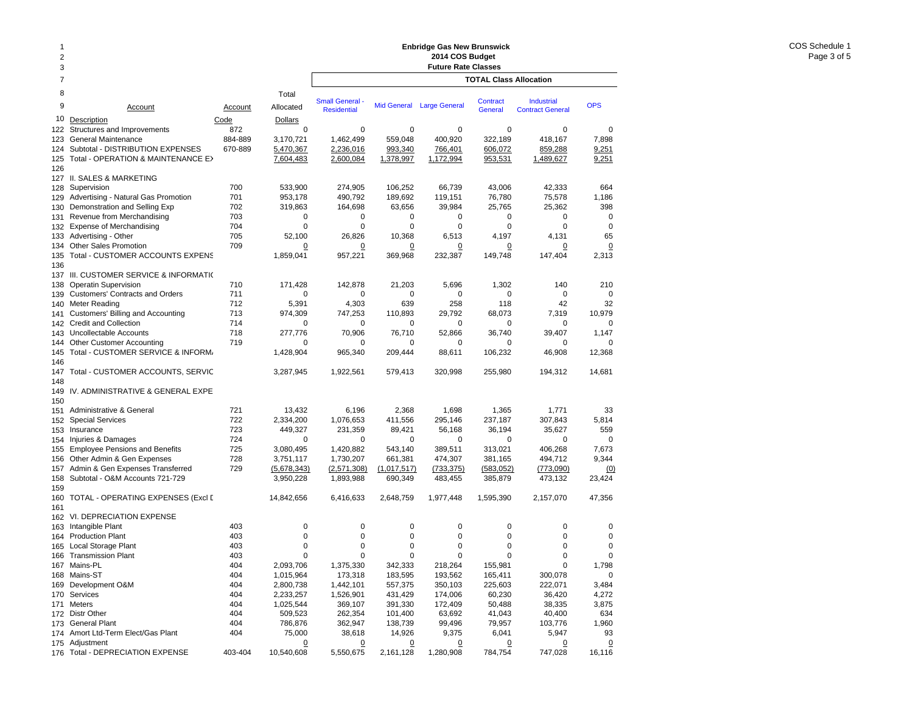#### 12378 Total9 Account Account Allocated10Description Code Dollars 122Structures and Improvements 672 123 General Maintenance 884-889 3,170,721 124 Subtotal - DISTRIBUTION EXPENSES 670-889 5,470,367 125 Total - OPERATION & MAINTENANCE E>  $7,604,483$ 126 127 II. SALES & MARKETING 128 Supervision 700 533,900 129 Advertising - Natural Gas Promotion 701 953,178 130 Demonstration and Selling Exp  $702$  319,863 131 Revenue from Merchandising 703 0 132 Expense of Merchandising 704 0 133 Advertising - Other 705 52,100 134 Other Sales Promotion 709 0 135 Total - CUSTOMER ACCOUNTS EXPENS 1,859,041 136137 III. CUSTOMER SERVICE & INFORMATIO 138 Operatin Supervision 171,428 139 Customers' Contracts and Orders 711 0 140 Meter Reading 712 5,391 141 Customers' Billing and Accounting 713 974,309 142 Credit and Collection 714 0 143 Uncollectable Accounts 718 277,776 144 Other Customer Accounting 719 0 145 Total - CUSTOMER SERVICE & INFORM. 1,428,904 146 147Total - CUSTOMER ACCOUNTS, SERVIC 3.287,945 148149 IV. ADMINISTRATIVE & GENERAL EXPE 150151 Administrative & General 13,432 152 Special Services 722 2,334,200 153 Insurance 723 449,327 154 Injuries & Damages 724 0 155 Employee Pensions and Benefits  $155$  725 3,080,495 156 Other Admin & Gen Expenses 728 3,751,117 157Admin & Gen Expenses Transferred 729 (5.678.343) 158 Subtotal - O&M Accounts 721-729 3,950,228 159160 TOTAL - OPERATING EXPENSES (Excl D 14,842,656 161 162 VI. DEPRECIATION EXPENSE 163 Intangible Plant 403 0 164 Production Plant 403 0 165 Local Storage Plant 165 2003 165 2004 165 2004 165 2004 165 2004 165 2005 166 2004 167 2005 168 2007 168 20 166 Transmission Plant 403 0 167 Mains-PL 404 2,093,706 168 Mains-ST 404 1,015,964 169 Development O&M 404 2,800,738 170 Services 404 2,233,257 171 Meters 404 1,025,544 172 Distr Other 404 509,523 173 General Plant **173 General Plant** 173 General Plant 174 Amort Ltd-Term Elect/Gas Plant 404 75,000 175 Adjustment 2018 2019 12:00:00 00:00 00:00 00:00 00:00 00:00 00:00 00:00 00:00 00:00 00:00 00:00 00:00 00:0 **TOTAL Class AllocationEnbridge Gas New Brunswick 2014 COS Budget Future Rate Classes Industrial** Contract GeneralSmall General - Mid General Large General Contract - Industrial - OPS<br>Residential - Mid General Large General - General - Contract General 0 0 0 0 001,462,499 559,048 400,920 322,189 418,167 7,898 2,236,016 993,340 766,401 606,072 859,288 9,251 2,600,084 1,378,997 1,172,994 953,531 1,489,627 9,251 274,905 106,252 66,739 43,006 42,333 664 490,792 189,692 119,151 76,780 75,578 1,186 164,698 63,656 39,984 25,765 25,362 398 0 0 0 0 000 0 0 0 0065 26,826 10,368 6,513 4,197 4,131 65 0 $\overline{0}$  0 0 0 0 957,221 369,968 232,387 149,748 147,404 2,313 142,878 21,203 5,696 1,302 140 210 0 0 0 0 004,303 639 258 118 42 32 747,253 110,893 29,792 68,073 7,319 10,979 0 0 0 0 001.147 70,906 76,710 52,866 36,740 39,407 1,147 0 0 0 0 00965,340 209,444 88,611 106,232 46,908 12,368 1,922,561 579,413 320,998 255,980 194,312 14,681 6,196 2,368 1,698 1,365 1,771 33 1,076,653 411,556 295,146 237,187 307,843 5,814 231,359 89,421 56,168 36,194 35,627 559 0 0 0 0 001,420,882 543,140 389,511 313,021 406,268 7,673 1,730,207 661,381 474,307 381,165 494,712 9,344 (2,571,308) (1,017,517) (733,375) (583,052) (773,090) (0) 1,893,988 690,349 483,455 385,879 473,132 23,424 6,416,633 2,648,759 1,977,448 1,595,390 2,157,070 47,356 0 0 0 0 000 0 0 0 000 0 0 0 000 0 0 0 001,798 1,375,330 342,333 218,264 155,981 0 1,798 173,318 183,595 193,562 165,411 300,078 0 1,442,101 557,375 350,103 225,603 222,071 3,484 1,526,901 431,429 174,006 60,230 36,420 4,272 369,107 391,330 172,409 50,488 38,335 3,875 262,354 101,400 63,692 41,043 40,400 634 362,947 138,739 99,496 79,957 103,776 1,960 38,618 14,926 9,375 6,041 5,947 93  $\overline{0}$  $\overline{0}$  0 0 0 0 5,550,675 2,161,128 1,280,908 784,754 747,028 16,116

176 Total - DEPRECIATION EXPENSE 403-404 10,540,608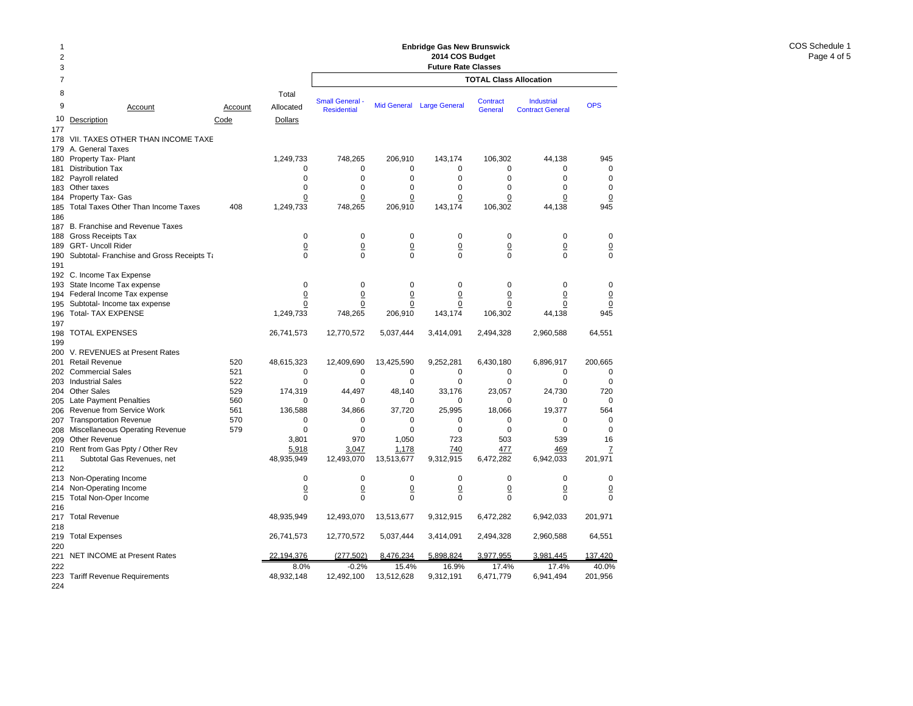| $\overline{1}$<br>$\overline{\mathbf{c}}$<br>3 |                                                            |                 |                                      | <b>Enbridge Gas New Brunswick</b><br>2014 COS Budget<br><b>Future Rate Classes</b> |                            |                      |                               |                                              |                    |  |
|------------------------------------------------|------------------------------------------------------------|-----------------|--------------------------------------|------------------------------------------------------------------------------------|----------------------------|----------------------|-------------------------------|----------------------------------------------|--------------------|--|
| $\overline{7}$                                 |                                                            |                 |                                      |                                                                                    |                            |                      | <b>TOTAL Class Allocation</b> |                                              |                    |  |
| 8<br>9<br>10                                   | Account<br>Description                                     | Account<br>Code | Total<br>Allocated<br><b>Dollars</b> | <b>Small General</b> -<br><b>Residential</b>                                       | <b>Mid General</b>         | <b>Large General</b> | Contract<br>General           | <b>Industrial</b><br><b>Contract General</b> | <b>OPS</b>         |  |
| 177                                            |                                                            |                 |                                      |                                                                                    |                            |                      |                               |                                              |                    |  |
| 178                                            | VII. TAXES OTHER THAN INCOME TAXE                          |                 |                                      |                                                                                    |                            |                      |                               |                                              |                    |  |
| 179                                            | A. General Taxes                                           |                 |                                      |                                                                                    |                            |                      |                               |                                              |                    |  |
| 180                                            | Property Tax- Plant                                        |                 | 1,249,733                            | 748,265                                                                            | 206,910                    | 143,174              | 106,302                       | 44,138                                       | 945                |  |
| 181                                            | <b>Distribution Tax</b><br>Payroll related                 |                 | 0<br>$\Omega$                        | $\mathbf 0$<br>$\Omega$                                                            | $\mathbf 0$<br>$\mathbf 0$ | 0<br>$\Omega$        | 0<br>$\Omega$                 | 0<br>$\Omega$                                | 0<br>$\Omega$      |  |
| 182<br>183                                     | Other taxes                                                |                 | $\mathbf 0$                          | $\mathbf 0$                                                                        | $\mathbf 0$                | 0                    | $\Omega$                      | $\Omega$                                     | 0                  |  |
| 184                                            | Property Tax- Gas                                          |                 | 0                                    | 0                                                                                  | $\mathbf 0$                | 0                    | 0                             | 0                                            | $\overline{0}$     |  |
| 185<br>186                                     | <b>Total Taxes Other Than Income Taxes</b>                 | 408             | 1,249,733                            | 748,265                                                                            | 206,910                    | 143,174              | 106,302                       | 44,138                                       | 945                |  |
| 187                                            | B. Franchise and Revenue Taxes                             |                 |                                      |                                                                                    |                            |                      |                               |                                              |                    |  |
| 188                                            | <b>Gross Receipts Tax</b>                                  |                 | $\mathbf 0$                          | $\mathbf 0$                                                                        | $\mathbf 0$                | $\mathbf 0$          | $\mathbf 0$                   | $\mathbf 0$                                  | 0                  |  |
| 189                                            | <b>GRT- Uncoll Rider</b>                                   |                 | $\overline{0}$                       | $\overline{0}$                                                                     | $\underline{0}$            | $\overline{0}$       | $\pmb{0}$                     | 0                                            | $\underline{0}$    |  |
| 190<br>191                                     | Subtotal-Franchise and Gross Receipts Ta                   |                 | $\Omega$                             | $\Omega$                                                                           | $\mathbf 0$                | $\Omega$             | $\Omega$                      | $\Omega$                                     | 0                  |  |
| 192                                            | C. Income Tax Expense                                      |                 |                                      |                                                                                    |                            |                      |                               |                                              |                    |  |
| 193                                            | State Income Tax expense                                   |                 | $\mathbf 0$                          | $\mathbf 0$                                                                        | $\mathbf 0$                | 0                    | $\Omega$                      | 0                                            | 0                  |  |
| 194                                            | Federal Income Tax expense                                 |                 | 0                                    | $\overline{0}$                                                                     | $\underline{0}$            | $\overline{0}$       | $\pmb{0}$                     | $\pmb{0}$                                    | $\underline{0}$    |  |
| 195<br>196                                     | Subtotal- Income tax expense<br><b>Total- TAX EXPENSE</b>  |                 | 0<br>1,249,733                       | 0<br>748,265                                                                       | $\pmb{0}$<br>206,910       | 0<br>143,174         | $\mathbf 0$<br>106,302        | 0<br>44,138                                  | $\mathbf 0$<br>945 |  |
| 197<br>198<br>199                              | <b>TOTAL EXPENSES</b>                                      |                 | 26,741,573                           | 12,770,572                                                                         | 5,037,444                  | 3,414,091            | 2,494,328                     | 2,960,588                                    | 64,551             |  |
| 200                                            | V. REVENUES at Present Rates                               |                 |                                      |                                                                                    |                            |                      |                               |                                              |                    |  |
| 201                                            | <b>Retail Revenue</b>                                      | 520             | 48,615,323                           | 12,409,690                                                                         | 13,425,590                 | 9,252,281            | 6,430,180                     | 6,896,917                                    | 200,665            |  |
| 202                                            | <b>Commercial Sales</b>                                    | 521             | $\mathbf 0$                          | $\mathbf 0$                                                                        | $\mathbf 0$                | $\mathbf 0$          | $\mathbf 0$                   | 0                                            | 0                  |  |
| 203                                            | <b>Industrial Sales</b>                                    | 522             | $\mathbf 0$                          | $\mathbf 0$                                                                        | $\mathbf 0$                | 0                    | $\mathbf 0$                   | 0                                            | 0                  |  |
| 204                                            | <b>Other Sales</b>                                         | 529             | 174,319                              | 44,497                                                                             | 48,140                     | 33,176               | 23,057                        | 24,730                                       | 720                |  |
| 205                                            | <b>Late Payment Penalties</b>                              | 560             | $\mathbf 0$                          | 0                                                                                  | 0                          | $\mathbf 0$          | $\mathbf 0$                   | 0                                            | $\mathbf 0$        |  |
| 206<br>207                                     | Revenue from Service Work<br><b>Transportation Revenue</b> | 561<br>570      | 136,588<br>$\mathbf 0$               | 34,866<br>$\mathbf 0$                                                              | 37,720<br>0                | 25,995<br>0          | 18,066<br>0                   | 19,377<br>0                                  | 564<br>0           |  |
| 208                                            | Miscellaneous Operating Revenue                            | 579             | 0                                    | $\mathbf 0$                                                                        | $\mathbf 0$                | 0                    | $\mathbf 0$                   | $\mathbf 0$                                  | 0                  |  |
| 209                                            | Other Revenue                                              |                 | 3,801                                | 970                                                                                | 1,050                      | 723                  | 503                           | 539                                          | 16                 |  |
| 210                                            | Rent from Gas Ppty / Other Rev                             |                 | 5,918                                | 3,047                                                                              | 1,178                      | 740                  | 477                           | 469                                          | Z                  |  |
| 211<br>212                                     | Subtotal Gas Revenues, net                                 |                 | 48,935,949                           | 12,493,070                                                                         | 13,513,677                 | 9,312,915            | 6,472,282                     | 6,942,033                                    | 201,971            |  |
| 213                                            | Non-Operating Income                                       |                 | $\mathbf 0$                          | $\mathbf 0$                                                                        | $\mathbf 0$                | $\mathbf 0$          | $\mathbf 0$                   | $\mathbf 0$                                  | 0                  |  |
| 214                                            | Non-Operating Income                                       |                 | $\underline{0}$                      | $\overline{0}$                                                                     | $\underline{0}$            | $\underline{0}$      | $\overline{0}$                | $\overline{0}$                               | $\underline{0}$    |  |
| 215<br>216                                     | Total Non-Oper Income                                      |                 | $\Omega$                             | $\Omega$                                                                           | $\Omega$                   | $\Omega$             | $\Omega$                      | $\Omega$                                     | $\Omega$           |  |
| 217<br>218                                     | <b>Total Revenue</b>                                       |                 | 48,935,949                           | 12,493,070                                                                         | 13,513,677                 | 9,312,915            | 6,472,282                     | 6,942,033                                    | 201,971            |  |
| 219<br>220                                     | <b>Total Expenses</b>                                      |                 | 26,741,573                           | 12,770,572                                                                         | 5,037,444                  | 3,414,091            | 2,494,328                     | 2,960,588                                    | 64,551             |  |
| 221                                            | <b>NET INCOME at Present Rates</b>                         |                 | 22.194.376                           | (277.502)                                                                          | 8.476.234                  | 5.898.824            | 3,977,955                     | 3.981.445                                    | 137.420            |  |
| 222                                            |                                                            |                 | 8.0%                                 | $-0.2%$                                                                            | 15.4%                      | 16.9%                | 17.4%                         | 17.4%                                        | 40.0%              |  |
| 223                                            | <b>Tariff Revenue Requirements</b>                         |                 | 48,932,148                           | 12,492,100                                                                         | 13,512,628                 | 9,312,191            | 6,471,779                     | 6,941,494                                    | 201,956            |  |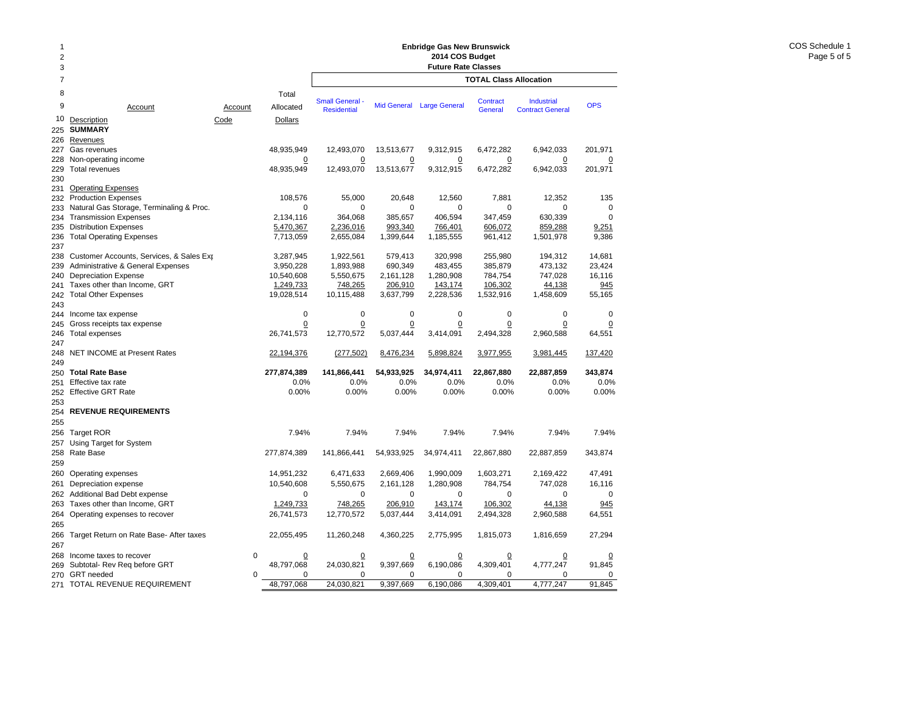### **Enbridge Gas New Brunswick 2014 COS Budget**

| 1              |                                                             |             |                         |                        |                      | Enbridge Gas New Brunswick |                               |                         |                 |
|----------------|-------------------------------------------------------------|-------------|-------------------------|------------------------|----------------------|----------------------------|-------------------------------|-------------------------|-----------------|
| $\overline{2}$ |                                                             |             |                         |                        |                      | 2014 COS Budget            |                               |                         |                 |
| 3              |                                                             |             |                         |                        |                      | <b>Future Rate Classes</b> |                               |                         |                 |
| $\overline{7}$ |                                                             |             |                         |                        |                      |                            | <b>TOTAL Class Allocation</b> |                         |                 |
| 8              |                                                             |             | Total                   | <b>Small General -</b> |                      |                            | Contract                      | Industrial              |                 |
| 9              | Account                                                     | Account     | Allocated               | <b>Residential</b>     |                      | Mid General Large General  | General                       | <b>Contract General</b> | <b>OPS</b>      |
| 10             | Description                                                 | Code        | Dollars                 |                        |                      |                            |                               |                         |                 |
| 225            | <b>SUMMARY</b>                                              |             |                         |                        |                      |                            |                               |                         |                 |
| 226            | Revenues                                                    |             |                         |                        |                      |                            |                               |                         |                 |
| 227            | Gas revenues                                                |             | 48,935,949              | 12,493,070             | 13,513,677           | 9,312,915                  | 6,472,282                     | 6,942,033               | 201,971         |
| 228            | Non-operating income                                        |             | $\overline{0}$          | $\Omega$               | $\overline{0}$       | $\overline{0}$             | $\overline{0}$                | $\overline{0}$          | $\overline{0}$  |
| 229<br>230     | <b>Total revenues</b>                                       |             | 48,935,949              | 12,493,070             | 13,513,677           | 9,312,915                  | 6,472,282                     | 6,942,033               | 201,971         |
| 231            | <b>Operating Expenses</b>                                   |             |                         |                        |                      |                            |                               |                         |                 |
| 232            | <b>Production Expenses</b>                                  |             | 108,576                 | 55,000                 | 20,648               | 12,560                     | 7,881                         | 12,352                  | 135             |
| 233            | Natural Gas Storage, Terminaling & Proc.                    |             | $\mathbf 0$             | 0                      | 0                    | 0                          | 0                             | 0                       | 0               |
| 234            | <b>Transmission Expenses</b>                                |             | 2,134,116               | 364,068                | 385,657              | 406,594                    | 347,459                       | 630,339                 | 0               |
| 235            | <b>Distribution Expenses</b>                                |             | 5,470,367               | 2,236,016              | 993,340              | 766,401                    | 606,072                       | 859,288                 | 9,251           |
| 236            | <b>Total Operating Expenses</b>                             |             | 7,713,059               | 2,655,084              | 1,399,644            | 1,185,555                  | 961,412                       | 1,501,978               | 9,386           |
| 237            |                                                             |             |                         |                        |                      |                            |                               |                         |                 |
| 238            | Customer Accounts, Services, & Sales Exp                    |             | 3,287,945               | 1,922,561              | 579,413              | 320,998                    | 255,980                       | 194,312                 | 14,681          |
| 239            | <b>Administrative &amp; General Expenses</b>                |             | 3,950,228               | 1,893,988              | 690,349              | 483,455                    | 385,879                       | 473,132                 | 23,424          |
| 240            | <b>Depreciation Expense</b><br>Taxes other than Income, GRT |             | 10,540,608              | 5,550,675              | 2,161,128<br>206,910 | 1,280,908                  | 784,754<br>106,302            | 747,028                 | 16,116          |
| 241<br>242     | <b>Total Other Expenses</b>                                 |             | 1,249,733<br>19,028,514 | 748,265<br>10,115,488  | 3,637,799            | 143,174<br>2,228,536       | 1,532,916                     | 44,138<br>1,458,609     | 945<br>55,165   |
| 243            |                                                             |             |                         |                        |                      |                            |                               |                         |                 |
| 244            | Income tax expense                                          |             | $\pmb{0}$               | $\mathbf 0$            | $\mathbf 0$          | $\mathbf 0$                | $\mathbf 0$                   | $\mathbf 0$             | 0               |
| 245            | Gross receipts tax expense                                  |             | $\pmb{0}$               | 0                      | 0                    | 0                          | 0                             | 0                       | $\Omega$        |
| 246            | Total expenses                                              |             | 26,741,573              | 12,770,572             | 5,037,444            | 3,414,091                  | 2,494,328                     | 2,960,588               | 64,551          |
| 247            |                                                             |             |                         |                        |                      |                            |                               |                         |                 |
| 248            | NET INCOME at Present Rates                                 |             | 22,194,376              | (277, 502)             | 8,476,234            | 5,898,824                  | 3,977,955                     | 3,981,445               | 137,420         |
| 249            |                                                             |             |                         |                        |                      |                            |                               |                         |                 |
| 250            | <b>Total Rate Base</b><br>Effective tax rate                |             | 277,874,389<br>0.0%     | 141,866,441<br>0.0%    | 54,933,925<br>0.0%   | 34,974,411<br>0.0%         | 22,867,880<br>0.0%            | 22,887,859<br>0.0%      | 343,874<br>0.0% |
| 251<br>252     | <b>Effective GRT Rate</b>                                   |             | 0.00%                   | 0.00%                  | 0.00%                | 0.00%                      | 0.00%                         | 0.00%                   | 0.00%           |
| 253            |                                                             |             |                         |                        |                      |                            |                               |                         |                 |
| 254            | <b>REVENUE REQUIREMENTS</b>                                 |             |                         |                        |                      |                            |                               |                         |                 |
| 255            |                                                             |             |                         |                        |                      |                            |                               |                         |                 |
| 256            | <b>Target ROR</b>                                           |             | 7.94%                   | 7.94%                  | 7.94%                | 7.94%                      | 7.94%                         | 7.94%                   | 7.94%           |
| 257            | Using Target for System                                     |             |                         |                        |                      |                            |                               |                         |                 |
| 258            | Rate Base                                                   |             | 277,874,389             | 141,866,441            | 54,933,925           | 34,974,411                 | 22,867,880                    | 22,887,859              | 343,874         |
| 259            |                                                             |             |                         |                        |                      |                            |                               |                         |                 |
| 260            | Operating expenses                                          |             | 14,951,232              | 6,471,633              | 2.669.406            | 1,990,009                  | 1,603,271                     | 2,169,422               | 47,491          |
| 261            | Depreciation expense                                        |             | 10,540,608              | 5,550,675              | 2,161,128            | 1,280,908                  | 784,754                       | 747,028                 | 16,116          |
| 262            | Additional Bad Debt expense                                 |             | 0                       | 0                      | 0                    | 0                          | 0                             | 0                       | 0               |
| 263            | Taxes other than Income, GRT                                |             | 1,249,733               | 748,265                | 206,910              | 143,174                    | 106,302                       | 44,138                  | 945             |
| 264            | Operating expenses to recover                               |             | 26,741,573              | 12,770,572             | 5,037,444            | 3,414,091                  | 2,494,328                     | 2,960,588               | 64,551          |
| 265            |                                                             |             |                         |                        |                      |                            |                               |                         |                 |
| 266            | Target Return on Rate Base- After taxes                     |             | 22,055,495              | 11,260,248             | 4,360,225            | 2,775,995                  | 1,815,073                     | 1,816,659               | 27,294          |
| 267            |                                                             |             |                         |                        |                      |                            |                               |                         |                 |
| 268            | Income taxes to recover                                     | $\mathbf 0$ | 0                       | <u>0</u>               | 0                    | 0                          | 0                             |                         | 0               |
| 269            | Subtotal- Rev Reg before GRT<br>270 GRT needed              | $\mathbf 0$ | 48,797,068<br>0         | 24,030,821<br>0        | 9,397,669<br>0       | 6,190,086<br>0             | 4,309,401<br>0                | 4,777,247<br>0          | 91,845<br>0     |
| 271            | TOTAL REVENUE REQUIREMENT                                   |             | 48,797,068              | 24,030,821             | 9,397,669            | 6,190,086                  | 4,309,401                     | 4,777,247               | 91,845          |
|                |                                                             |             |                         |                        |                      |                            |                               |                         |                 |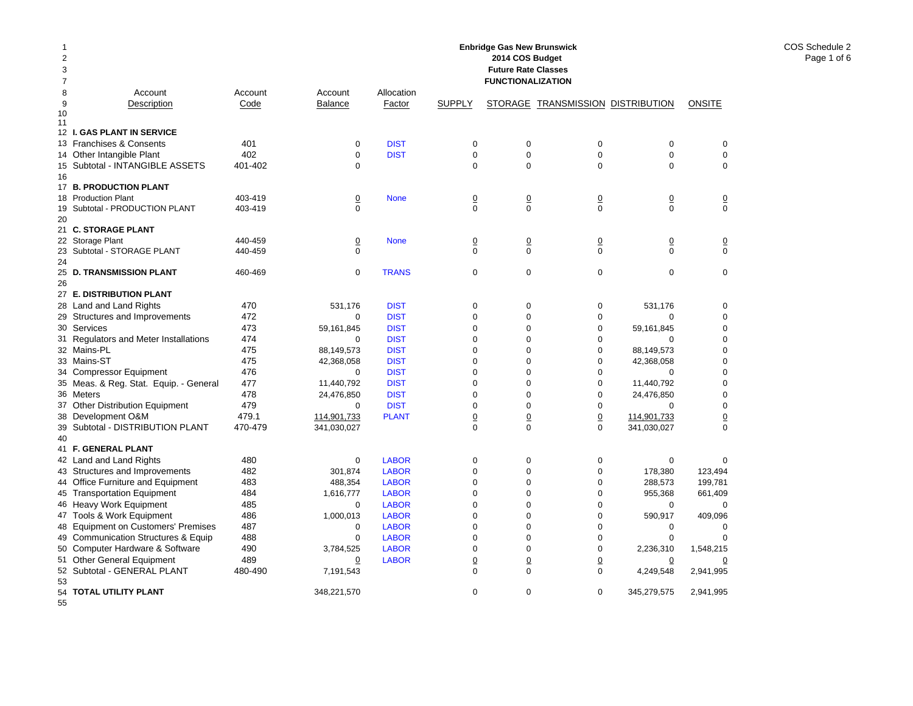|                |                                                      |         |                                |                            |                                | <b>Enbridge Gas New Brunswick</b> |                                   |                            |                               |
|----------------|------------------------------------------------------|---------|--------------------------------|----------------------------|--------------------------------|-----------------------------------|-----------------------------------|----------------------------|-------------------------------|
| 2              |                                                      |         |                                |                            |                                | 2014 COS Budget                   |                                   |                            |                               |
| 3              |                                                      |         |                                |                            |                                | <b>Future Rate Classes</b>        |                                   |                            |                               |
| $\overline{7}$ |                                                      |         |                                |                            |                                | <b>FUNCTIONALIZATION</b>          |                                   |                            |                               |
| 8              | Account                                              | Account | Account                        | Allocation                 |                                |                                   |                                   |                            |                               |
| 9              | Description                                          | Code    | <b>Balance</b>                 | <b>Factor</b>              | <b>SUPPLY</b>                  |                                   | STORAGE TRANSMISSION DISTRIBUTION |                            | <b>ONSITE</b>                 |
| 10             |                                                      |         |                                |                            |                                |                                   |                                   |                            |                               |
| 11             |                                                      |         |                                |                            |                                |                                   |                                   |                            |                               |
|                | 12 I. GAS PLANT IN SERVICE                           |         |                                |                            |                                |                                   |                                   |                            |                               |
|                | 13 Franchises & Consents                             | 401     | $\mathbf 0$                    | <b>DIST</b>                | 0                              | 0                                 | 0                                 | $\mathbf 0$                | 0                             |
|                | 14 Other Intangible Plant                            | 402     | $\mathbf 0$                    | <b>DIST</b>                | $\mathbf 0$                    | $\mathbf 0$                       | $\mathbf 0$                       | $\Omega$                   | 0                             |
|                | 15 Subtotal - INTANGIBLE ASSETS                      | 401-402 | $\Omega$                       |                            | $\Omega$                       | $\Omega$                          | $\Omega$                          | $\Omega$                   | $\Omega$                      |
| 16             |                                                      |         |                                |                            |                                |                                   |                                   |                            |                               |
|                | 17 B. PRODUCTION PLANT                               |         |                                |                            |                                |                                   |                                   |                            |                               |
|                | 18 Production Plant                                  | 403-419 | $\overline{0}$                 | <b>None</b>                | $\overline{0}$                 | $\overline{0}$                    | $\overline{0}$                    | $\overline{0}$             | $\overline{0}$                |
| 19             | Subtotal - PRODUCTION PLANT                          | 403-419 | $\mathbf 0$                    |                            | $\mathbf 0$                    | 0                                 | $\mathbf 0$                       | $\Omega$                   | $\mathbf 0$                   |
| 20             |                                                      |         |                                |                            |                                |                                   |                                   |                            |                               |
|                | 21 C. STORAGE PLANT                                  |         |                                |                            |                                |                                   |                                   |                            |                               |
|                | 22 Storage Plant                                     | 440-459 | $\underline{0}$<br>$\mathbf 0$ | <b>None</b>                | $\underline{0}$<br>$\mathbf 0$ | 0<br>$\mathbf 0$                  | $\underline{0}$<br>$\mathbf 0$    | $\overline{0}$<br>$\Omega$ | $\overline{0}$<br>$\mathbf 0$ |
| 24             | 23 Subtotal - STORAGE PLANT                          | 440-459 |                                |                            |                                |                                   |                                   |                            |                               |
|                | 25 D. TRANSMISSION PLANT                             | 460-469 | $\mathbf 0$                    | <b>TRANS</b>               | 0                              | $\mathbf 0$                       | $\mathbf 0$                       | $\mathbf 0$                | $\mathbf 0$                   |
| 26             |                                                      |         |                                |                            |                                |                                   |                                   |                            |                               |
|                | 27 E. DISTRIBUTION PLANT                             |         |                                |                            |                                |                                   |                                   |                            |                               |
|                | 28 Land and Land Rights                              | 470     | 531,176                        | <b>DIST</b>                | 0                              | $\mathbf 0$                       | 0                                 | 531,176                    | $\mathbf 0$                   |
|                | 29 Structures and Improvements                       | 472     | 0                              | <b>DIST</b>                | 0                              | 0                                 | $\mathbf 0$                       | $\mathbf 0$                | 0                             |
|                | 30 Services                                          | 473     | 59,161,845                     | <b>DIST</b>                | $\mathbf 0$                    | $\mathbf 0$                       | $\mathbf 0$                       | 59,161,845                 | 0                             |
|                |                                                      | 474     | $\mathbf 0$                    | <b>DIST</b>                | 0                              | $\mathbf 0$                       | $\mathbf 0$                       | $\mathbf 0$                | 0                             |
|                | 31 Regulators and Meter Installations<br>32 Mains-PL | 475     |                                | <b>DIST</b>                | $\Omega$                       | $\Omega$                          | 0                                 |                            | 0                             |
|                | 33 Mains-ST                                          | 475     | 88,149,573                     |                            | $\mathbf 0$                    | $\Omega$                          |                                   | 88,149,573                 |                               |
|                |                                                      | 476     | 42,368,058<br>$\Omega$         | <b>DIST</b><br><b>DIST</b> | $\Omega$                       | $\Omega$                          | 0<br>$\Omega$                     | 42,368,058<br>$\Omega$     | 0<br>$\Omega$                 |
|                | 34 Compressor Equipment                              |         |                                |                            |                                |                                   |                                   |                            |                               |
|                | 35 Meas. & Reg. Stat. Equip. - General               | 477     | 11,440,792                     | <b>DIST</b>                | $\mathbf 0$                    | $\Omega$                          | 0                                 | 11,440,792                 | 0                             |
|                | 36 Meters                                            | 478     | 24,476,850                     | <b>DIST</b>                | $\Omega$                       | $\Omega$                          | $\Omega$                          | 24,476,850                 | 0                             |
|                | 37 Other Distribution Equipment                      | 479     | $\Omega$                       | <b>DIST</b>                | $\mathbf 0$                    | $\mathbf 0$                       | 0                                 | $\Omega$                   | 0                             |
|                | 38 Development O&M                                   | 479.1   | 114,901,733                    | <b>PLANT</b>               | $\underline{0}$                | $\underline{0}$                   | $\Omega$                          | 114,901,733                | $\Omega$                      |
|                | 39 Subtotal - DISTRIBUTION PLANT                     | 470-479 | 341,030,027                    |                            | 0                              | $\mathbf 0$                       | $\mathbf 0$                       | 341,030,027                | 0                             |
| 40             |                                                      |         |                                |                            |                                |                                   |                                   |                            |                               |
|                | 41 F. GENERAL PLANT                                  |         |                                |                            |                                |                                   |                                   |                            |                               |
|                | 42 Land and Land Rights                              | 480     | 0                              | <b>LABOR</b>               | 0                              | 0                                 | 0                                 | 0                          | $\mathbf 0$                   |
|                | 43 Structures and Improvements                       | 482     | 301,874                        | <b>LABOR</b>               | 0                              | 0                                 | $\mathbf 0$                       | 178,380                    | 123,494                       |
|                | 44 Office Furniture and Equipment                    | 483     | 488,354                        | <b>LABOR</b>               | 0                              | $\Omega$                          | 0                                 | 288,573                    | 199,781                       |
|                | 45 Transportation Equipment                          | 484     | 1,616,777                      | <b>LABOR</b>               | $\mathbf 0$                    | $\Omega$                          | $\mathbf 0$                       | 955,368                    | 661,409                       |
|                | 46 Heavy Work Equipment                              | 485     | 0                              | <b>LABOR</b>               | $\Omega$                       | $\Omega$                          | $\overline{0}$                    | $\Omega$                   | $\Omega$                      |
|                | 47 Tools & Work Equipment                            | 486     | 1,000,013                      | <b>LABOR</b>               | $\Omega$                       | $\Omega$                          | $\overline{0}$                    | 590,917                    | 409,096                       |
|                | 48 Equipment on Customers' Premises                  | 487     | $\mathbf 0$                    | <b>LABOR</b>               | $\mathbf 0$                    | $\Omega$                          | $\mathbf 0$                       | $\mathbf 0$                | 0                             |
|                | 49 Communication Structures & Equip                  | 488     | $\mathbf 0$                    | <b>LABOR</b>               | $\mathbf 0$                    | $\mathbf 0$                       | $\mathbf 0$                       | $\mathbf 0$                | $\mathbf 0$                   |
|                | 50 Computer Hardware & Software                      | 490     | 3,784,525                      | <b>LABOR</b>               | $\mathbf 0$                    | $\mathbf 0$                       | $\mathbf 0$                       | 2,236,310                  | 1,548,215                     |
|                | 51 Other General Equipment                           | 489     | 0                              | <b>LABOR</b>               | $\underline{0}$                | $\underline{0}$                   | $\overline{0}$                    | 0                          | $\overline{0}$                |
|                | 52 Subtotal - GENERAL PLANT                          | 480-490 | 7,191,543                      |                            | 0                              | $\mathbf 0$                       | $\mathbf 0$                       | 4,249,548                  | 2,941,995                     |
| 53             |                                                      |         |                                |                            |                                |                                   |                                   |                            |                               |
|                | 54 TOTAL UTILITY PLANT                               |         | 348,221,570                    |                            | $\mathbf 0$                    | $\mathbf 0$                       | 0                                 | 345,279,575                | 2,941,995                     |

55

COS Schedule 2 Page 1 of 6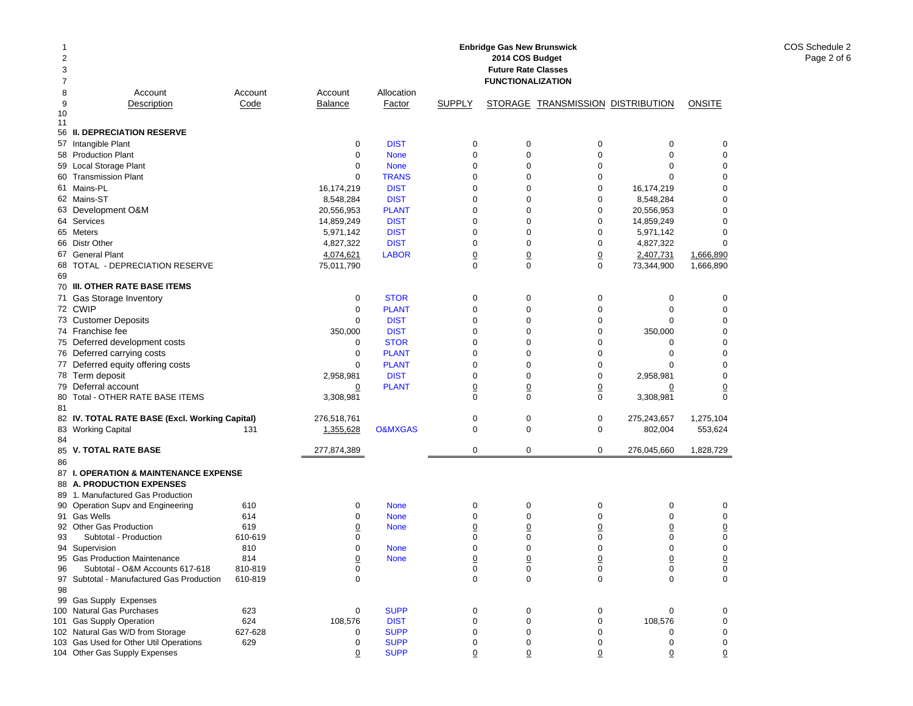| -1<br>$\overline{2}$<br>3<br>7 |                                                                        |         |                |                    |                | <b>Enbridge Gas New Brunswick</b><br>2014 COS Budget<br><b>Future Rate Classes</b><br><b>FUNCTIONALIZATION</b> |                                   |                |             |
|--------------------------------|------------------------------------------------------------------------|---------|----------------|--------------------|----------------|----------------------------------------------------------------------------------------------------------------|-----------------------------------|----------------|-------------|
| 8                              | Account                                                                | Account | Account        | Allocation         |                |                                                                                                                |                                   |                |             |
| 9<br>10                        | Description                                                            | Code    | <b>Balance</b> | Factor             | <b>SUPPLY</b>  |                                                                                                                | STORAGE TRANSMISSION DISTRIBUTION |                | ONSITE      |
| 11                             |                                                                        |         |                |                    |                |                                                                                                                |                                   |                |             |
|                                | 56 II. DEPRECIATION RESERVE                                            |         |                |                    |                |                                                                                                                |                                   |                |             |
|                                | 57 Intangible Plant                                                    |         | $\mathbf 0$    | <b>DIST</b>        | $\mathbf 0$    | $\pmb{0}$                                                                                                      | 0                                 | 0              | $\mathbf 0$ |
|                                | 58 Production Plant                                                    |         | $\mathbf 0$    | <b>None</b>        | $\mathbf 0$    | $\pmb{0}$                                                                                                      | $\mathbf 0$                       | $\mathbf 0$    | 0           |
|                                | 59 Local Storage Plant                                                 |         | 0              | <b>None</b>        | $\mathbf 0$    | 0                                                                                                              | $\mathbf 0$                       | 0              | 0           |
|                                | 60 Transmission Plant                                                  |         | $\mathbf 0$    | <b>TRANS</b>       | $\mathbf 0$    | 0                                                                                                              | $\mathbf 0$                       | $\Omega$       | 0           |
|                                | 61 Mains-PL                                                            |         | 16,174,219     | <b>DIST</b>        | $\mathbf 0$    | 0                                                                                                              | $\mathbf 0$                       | 16,174,219     | 0           |
|                                | 62 Mains-ST                                                            |         | 8,548,284      | <b>DIST</b>        | $\mathbf 0$    | 0                                                                                                              | $\mathbf 0$                       | 8,548,284      | 0           |
|                                | 63 Development O&M                                                     |         | 20,556,953     | <b>PLANT</b>       | $\mathbf 0$    | 0                                                                                                              | $\mathbf 0$                       | 20,556,953     | 0           |
|                                | 64 Services                                                            |         | 14,859,249     | <b>DIST</b>        | $\mathbf 0$    | 0                                                                                                              | $\mathbf 0$                       | 14,859,249     | 0           |
|                                | 65 Meters                                                              |         | 5,971,142      | <b>DIST</b>        | $\mathbf 0$    | 0                                                                                                              | $\mathbf 0$                       | 5,971,142      | 0           |
|                                | 66 Distr Other                                                         |         | 4,827,322      | <b>DIST</b>        | $\mathbf 0$    | 0                                                                                                              | $\mathbf 0$                       | 4,827,322      | 0           |
| 67                             | <b>General Plant</b>                                                   |         | 4,074,621      | <b>LABOR</b>       | $\overline{0}$ | $\overline{0}$                                                                                                 | $\underline{0}$                   | 2,407,731      | 1,666,890   |
|                                | 68 TOTAL - DEPRECIATION RESERVE                                        |         | 75,011,790     |                    | $\mathbf 0$    | $\mathbf 0$                                                                                                    | $\mathbf 0$                       | 73,344,900     | 1,666,890   |
| 69                             |                                                                        |         |                |                    |                |                                                                                                                |                                   |                |             |
|                                | 70 III. OTHER RATE BASE ITEMS                                          |         |                |                    |                |                                                                                                                |                                   |                |             |
|                                | 71 Gas Storage Inventory                                               |         | $\mathbf 0$    | <b>STOR</b>        | $\mathbf 0$    | $\mathbf 0$                                                                                                    | 0                                 | 0              | 0           |
|                                | 72 CWIP                                                                |         | $\mathbf 0$    | <b>PLANT</b>       | $\mathbf 0$    | 0                                                                                                              | $\mathbf 0$                       | 0              | 0           |
|                                | 73 Customer Deposits                                                   |         | 0              | <b>DIST</b>        | $\mathbf 0$    | 0                                                                                                              | $\mathbf 0$                       | 0              | 0           |
|                                | 74 Franchise fee                                                       |         | 350,000        | <b>DIST</b>        | $\mathbf 0$    | 0                                                                                                              | $\mathbf 0$                       | 350,000        | 0           |
|                                | 75 Deferred development costs                                          |         | 0              | <b>STOR</b>        | $\mathbf 0$    | 0                                                                                                              | $\mathbf 0$                       | 0              | 0           |
|                                | 76 Deferred carrying costs                                             |         | $\mathbf 0$    | <b>PLANT</b>       | $\mathbf 0$    | $\mathbf 0$                                                                                                    | $\mathbf 0$                       | $\mathbf 0$    | 0           |
|                                | 77 Deferred equity offering costs                                      |         | $\mathbf 0$    | <b>PLANT</b>       | $\mathbf 0$    | 0                                                                                                              | $\mathbf 0$                       | 0              | 0           |
|                                | 78 Term deposit                                                        |         | 2,958,981      | <b>DIST</b>        | $\mathbf 0$    | 0                                                                                                              | $\mathbf 0$                       | 2,958,981      | 0           |
| 79                             | Deferral account                                                       |         | $\Omega$       | <b>PLANT</b>       | $\overline{0}$ | $\overline{0}$                                                                                                 | $\underline{0}$                   | <u>0</u>       | <u>0</u>    |
| 80                             | Total - OTHER RATE BASE ITEMS                                          |         | 3,308,981      |                    | $\mathbf 0$    | 0                                                                                                              | $\mathbf 0$                       | 3,308,981      | 0           |
| 81                             |                                                                        |         |                |                    |                |                                                                                                                |                                   |                |             |
|                                | 82 IV. TOTAL RATE BASE (Excl. Working Capital)                         |         | 276,518,761    |                    | $\mathbf 0$    | $\mathbf 0$                                                                                                    | 0                                 | 275,243,657    | 1,275,104   |
|                                | 83 Working Capital                                                     | 131     | 1,355,628      | <b>O&amp;MXGAS</b> | $\mathbf 0$    | $\mathbf 0$                                                                                                    | 0                                 | 802,004        | 553,624     |
| 84                             |                                                                        |         |                |                    |                |                                                                                                                |                                   |                |             |
|                                | 85 V. TOTAL RATE BASE                                                  |         | 277,874,389    |                    | $\mathbf 0$    | 0                                                                                                              | 0                                 | 276,045,660    | 1,828,729   |
| 86                             |                                                                        |         |                |                    |                |                                                                                                                |                                   |                |             |
|                                | 87 I. OPERATION & MAINTENANCE EXPENSE                                  |         |                |                    |                |                                                                                                                |                                   |                |             |
|                                | 88 A. PRODUCTION EXPENSES                                              |         |                |                    |                |                                                                                                                |                                   |                |             |
|                                | 89 1. Manufactured Gas Production<br>90 Operation Supv and Engineering | 610     | 0              | <b>None</b>        | 0              | $\pmb{0}$                                                                                                      | 0                                 | 0              | 0           |
|                                | 91 Gas Wells                                                           | 614     | $\mathbf 0$    | <b>None</b>        | $\mathbf 0$    | 0                                                                                                              | $\mathbf 0$                       | $\mathbf 0$    | 0           |
|                                | 92 Other Gas Production                                                | 619     | $\overline{0}$ | <b>None</b>        | $\overline{0}$ | 0                                                                                                              | $\overline{0}$                    | $\overline{0}$ | <u>0</u>    |
| 93                             | Subtotal - Production                                                  | 610-619 | 0              |                    | $\mathbf 0$    | 0                                                                                                              | 0                                 | 0              | 0           |
|                                | 94 Supervision                                                         | 810     | 0              | <b>None</b>        | $\mathbf 0$    | 0                                                                                                              | $\mathbf 0$                       | $\mathbf 0$    | 0           |
| 95                             | <b>Gas Production Maintenance</b>                                      | 814     | $\overline{0}$ | <b>None</b>        | 0              | 0                                                                                                              |                                   | 0              | 0           |
| 96                             | Subtotal - O&M Accounts 617-618                                        | 810-819 | 0              |                    | 0              | 0                                                                                                              | 0                                 | 0              | 0           |
|                                | 97 Subtotal - Manufactured Gas Production                              | 610-819 | $\mathbf 0$    |                    | 0              | $\mathbf 0$                                                                                                    | $\mathbf 0$                       | $\mathbf 0$    | 0           |
| 98                             |                                                                        |         |                |                    |                |                                                                                                                |                                   |                |             |
|                                | 99 Gas Supply Expenses                                                 |         |                |                    |                |                                                                                                                |                                   |                |             |
|                                | 100 Natural Gas Purchases                                              | 623     | 0              | <b>SUPP</b>        | 0              | $\pmb{0}$                                                                                                      | 0                                 | 0              | 0           |
|                                | 101 Gas Supply Operation                                               | 624     | 108,576        | <b>DIST</b>        | 0              | $\pmb{0}$                                                                                                      | 0                                 | 108,576        | 0           |
|                                | 102 Natural Gas W/D from Storage                                       | 627-628 | 0              | <b>SUPP</b>        | $\mathbf 0$    | 0                                                                                                              | 0                                 | 0              | 0           |
|                                | 103 Gas Used for Other Util Operations                                 | 629     | 0              | <b>SUPP</b>        | 0              | 0                                                                                                              | 0                                 | 0              | 0           |
|                                | 104 Other Gas Supply Expenses                                          |         | $\overline{0}$ | <b>SUPP</b>        | $\overline{0}$ | $\overline{0}$                                                                                                 | 0                                 | $\overline{0}$ | 0           |

COS Schedule 2 Page 2 of 6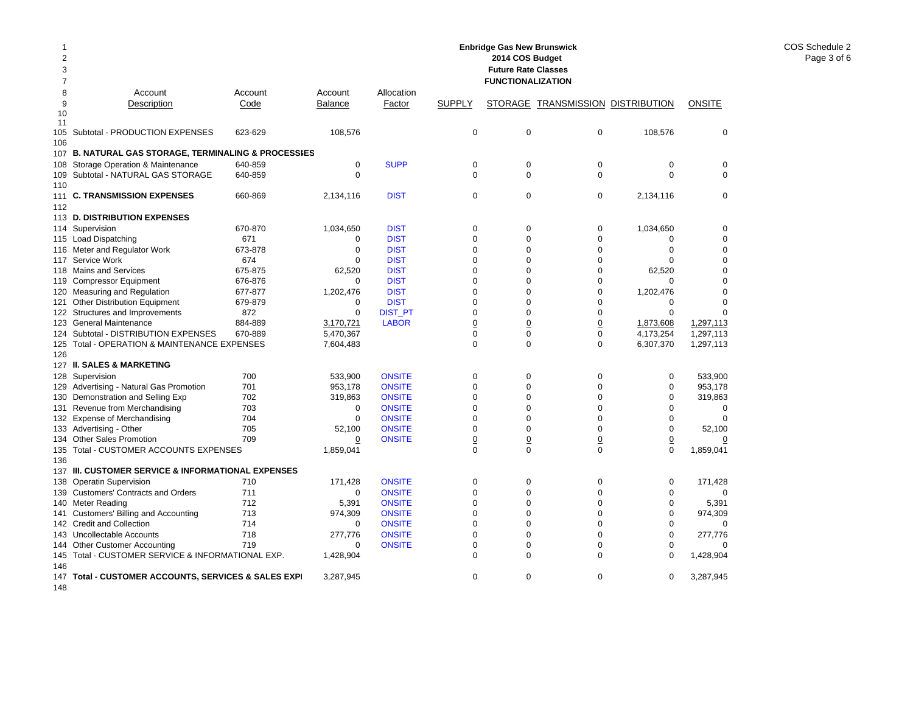| 2<br>3   |                                                                          |         |                    |                |                | <b>Enbridge Gas New Brunswick</b><br>2014 COS Budget<br><b>Future Rate Classes</b> |                                   |             |                    |
|----------|--------------------------------------------------------------------------|---------|--------------------|----------------|----------------|------------------------------------------------------------------------------------|-----------------------------------|-------------|--------------------|
| 7        |                                                                          |         |                    |                |                | <b>FUNCTIONALIZATION</b>                                                           |                                   |             |                    |
| 8        | Account                                                                  | Account | Account            | Allocation     |                |                                                                                    |                                   |             |                    |
| 9        | Description                                                              | Code    | <b>Balance</b>     | Factor         | <b>SUPPLY</b>  |                                                                                    | STORAGE TRANSMISSION DISTRIBUTION |             | <b>ONSITE</b>      |
| 10<br>11 |                                                                          |         |                    |                |                |                                                                                    |                                   |             |                    |
| 105      | Subtotal - PRODUCTION EXPENSES                                           | 623-629 | 108,576            |                | 0              | $\mathbf 0$                                                                        | 0                                 | 108,576     | 0                  |
| 106      |                                                                          |         |                    |                |                |                                                                                    |                                   |             |                    |
|          | 107 B. NATURAL GAS STORAGE, TERMINALING & PROCESSIES                     |         |                    |                |                |                                                                                    |                                   |             |                    |
| 108      | Storage Operation & Maintenance                                          | 640-859 | $\mathbf 0$        | <b>SUPP</b>    | $\mathsf 0$    | $\mathbf 0$                                                                        | 0                                 | 0           | 0                  |
| 109      | Subtotal - NATURAL GAS STORAGE                                           | 640-859 | $\mathbf 0$        |                | $\mathbf 0$    | $\mathbf 0$                                                                        | 0                                 | 0           | 0                  |
| 110      |                                                                          |         |                    |                |                |                                                                                    |                                   |             |                    |
|          | 111 C. TRANSMISSION EXPENSES                                             | 660-869 | 2,134,116          | <b>DIST</b>    | $\mathbf 0$    | $\Omega$                                                                           | 0                                 | 2,134,116   | 0                  |
| 112      |                                                                          |         |                    |                |                |                                                                                    |                                   |             |                    |
| 113      | <b>D. DISTRIBUTION EXPENSES</b>                                          |         |                    |                |                |                                                                                    |                                   |             |                    |
|          | 114 Supervision                                                          | 670-870 | 1,034,650          | <b>DIST</b>    | $\mathbf 0$    | $\mathbf 0$                                                                        | 0                                 | 1,034,650   | 0                  |
|          | 115 Load Dispatching                                                     | 671     | 0                  | <b>DIST</b>    | $\mathbf 0$    | $\mathbf 0$                                                                        | 0                                 | 0           | 0                  |
|          | 116 Meter and Regulator Work                                             | 673-878 | $\mathbf 0$        | <b>DIST</b>    | $\Omega$       | $\Omega$                                                                           | $\Omega$                          | 0           | $\Omega$           |
| 117      | Service Work                                                             | 674     | $\Omega$           | <b>DIST</b>    | $\Omega$       | $\Omega$                                                                           | $\Omega$                          | $\Omega$    | $\Omega$           |
|          | 118 Mains and Services                                                   | 675-875 | 62,520             | <b>DIST</b>    | $\mathbf 0$    | 0                                                                                  | 0                                 | 62,520      | 0                  |
| 119      | <b>Compressor Equipment</b>                                              | 676-876 | $\Omega$           | <b>DIST</b>    | $\mathbf 0$    | $\Omega$                                                                           | 0                                 | $\Omega$    | $\Omega$           |
| 120      | Measuring and Regulation                                                 | 677-877 | 1,202,476          | <b>DIST</b>    | $\mathbf 0$    | $\mathbf 0$                                                                        | 0                                 | 1,202,476   | 0                  |
| 121      | <b>Other Distribution Equipment</b>                                      | 679-879 | $\mathbf 0$        | <b>DIST</b>    | $\mathbf 0$    | $\Omega$                                                                           | 0                                 | 0           | 0                  |
|          | 122 Structures and Improvements                                          | 872     | $\mathbf 0$        | <b>DIST_PT</b> | 0              | 0                                                                                  | 0                                 | $\mathbf 0$ | 0                  |
|          | 123 General Maintenance                                                  | 884-889 | 3,170,721          | <b>LABOR</b>   | $\overline{0}$ | $\Omega$                                                                           | $\overline{0}$                    | 1,873,608   | 1,297,113          |
| 124      | Subtotal - DISTRIBUTION EXPENSES                                         | 670-889 | 5,470,367          |                | $\Omega$       | 0                                                                                  | 0                                 | 4,173,254   | 1,297,113          |
|          | 125 Total - OPERATION & MAINTENANCE EXPENSES                             |         | 7,604,483          |                | $\mathbf 0$    | $\Omega$                                                                           | 0                                 | 6,307,370   | 1,297,113          |
| 126      |                                                                          |         |                    |                |                |                                                                                    |                                   |             |                    |
|          | 127 II. SALES & MARKETING                                                | 700     |                    | <b>ONSITE</b>  | $\mathbf 0$    | $\Omega$                                                                           | 0                                 | 0           |                    |
|          | 128 Supervision                                                          | 701     | 533,900<br>953,178 | <b>ONSITE</b>  | $\mathbf 0$    | $\mathbf 0$                                                                        | 0                                 | 0           | 533,900<br>953,178 |
| 130      | 129 Advertising - Natural Gas Promotion<br>Demonstration and Selling Exp | 702     | 319,863            | <b>ONSITE</b>  | $\mathbf 0$    | $\Omega$                                                                           | 0                                 | $\Omega$    | 319,863            |
| 131      | Revenue from Merchandising                                               | 703     | 0                  | <b>ONSITE</b>  | $\mathbf 0$    | 0                                                                                  | 0                                 | 0           | 0                  |
|          | 132 Expense of Merchandising                                             | 704     | $\Omega$           | <b>ONSITE</b>  | $\Omega$       | $\Omega$                                                                           | $\Omega$                          | $\Omega$    | $\Omega$           |
| 133      | Advertising - Other                                                      | 705     | 52,100             | <b>ONSITE</b>  | 0              | 0                                                                                  | 0                                 | 0           | 52,100             |
|          | 134 Other Sales Promotion                                                | 709     | 0                  | <b>ONSITE</b>  | $\overline{0}$ | $\overline{0}$                                                                     | $\overline{0}$                    | 0           | 0                  |
| 135      | Total - CUSTOMER ACCOUNTS EXPENSES                                       |         | 1,859,041          |                | $\Omega$       | $\Omega$                                                                           | 0                                 | $\Omega$    | 1,859,041          |
| 136      |                                                                          |         |                    |                |                |                                                                                    |                                   |             |                    |
| 137      | III. CUSTOMER SERVICE & INFORMATIONAL EXPENSES                           |         |                    |                |                |                                                                                    |                                   |             |                    |
| 138      | <b>Operatin Supervision</b>                                              | 710     | 171,428            | <b>ONSITE</b>  | 0              | $\mathbf 0$                                                                        | 0                                 | 0           | 171,428            |
| 139      | <b>Customers' Contracts and Orders</b>                                   | 711     | $\Omega$           | <b>ONSITE</b>  | $\Omega$       | $\Omega$                                                                           | $\Omega$                          | $\Omega$    | 0                  |
| 140      | Meter Reading                                                            | 712     | 5,391              | <b>ONSITE</b>  | $\mathbf 0$    | $\mathbf 0$                                                                        | 0                                 | 0           | 5,391              |
| 141      | Customers' Billing and Accounting                                        | 713     | 974,309            | <b>ONSITE</b>  | $\Omega$       | $\Omega$                                                                           | 0                                 | $\Omega$    | 974,309            |
|          | 142 Credit and Collection                                                | 714     | 0                  | <b>ONSITE</b>  | 0              | 0                                                                                  | 0                                 | 0           | 0                  |
|          | 143 Uncollectable Accounts                                               | 718     | 277,776            | <b>ONSITE</b>  | $\mathbf 0$    | $\mathbf 0$                                                                        | 0                                 | 0           | 277,776            |
| 144      | <b>Other Customer Accounting</b>                                         | 719     | 0                  | <b>ONSITE</b>  | $\mathsf 0$    | 0                                                                                  | 0                                 | 0           | O                  |
| 145      | Total - CUSTOMER SERVICE & INFORMATIONAL EXP.                            |         | 1,428,904          |                | $\mathbf 0$    | $\mathbf 0$                                                                        | 0                                 | $\mathbf 0$ | 1,428,904          |
| 146      |                                                                          |         |                    |                |                |                                                                                    |                                   |             |                    |
| 147      | Total - CUSTOMER ACCOUNTS, SERVICES & SALES EXPI                         |         | 3,287,945          |                | $\mathbf 0$    | 0                                                                                  | 0                                 | 0           | 3,287,945          |
| 148      |                                                                          |         |                    |                |                |                                                                                    |                                   |             |                    |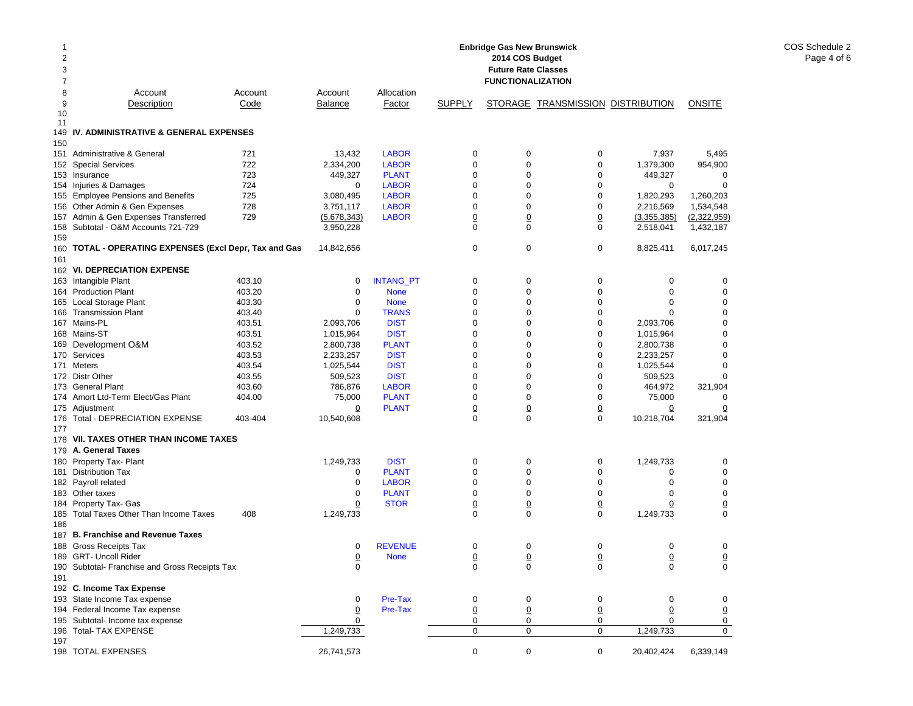| 1<br>2        |                                                        |         |                |                  |                 | <b>Enbridge Gas New Brunswick</b><br>2014 COS Budget |                                          |                |                |
|---------------|--------------------------------------------------------|---------|----------------|------------------|-----------------|------------------------------------------------------|------------------------------------------|----------------|----------------|
| 3             |                                                        |         |                |                  |                 | <b>Future Rate Classes</b>                           |                                          |                |                |
| 7             |                                                        |         |                |                  |                 | <b>FUNCTIONALIZATION</b>                             |                                          |                |                |
| 8             | Account                                                | Account | Account        | Allocation       |                 |                                                      |                                          |                |                |
| 9<br>10<br>11 | Description                                            | Code    | <b>Balance</b> | Factor           | <b>SUPPLY</b>   |                                                      | <b>STORAGE TRANSMISSION DISTRIBUTION</b> |                | ONSITE         |
| 149           | IV. ADMINISTRATIVE & GENERAL EXPENSES                  |         |                |                  |                 |                                                      |                                          |                |                |
| 150           |                                                        |         |                |                  |                 |                                                      |                                          |                |                |
|               | 151 Administrative & General                           | 721     | 13,432         | <b>LABOR</b>     | 0               | 0                                                    | 0                                        | 7,937          | 5,495          |
|               | 152 Special Services                                   | 722     | 2,334,200      | <b>LABOR</b>     | 0               | $\mathbf 0$                                          | 0                                        | 1,379,300      | 954,900        |
|               | 153 Insurance                                          | 723     | 449,327        | <b>PLANT</b>     | 0               | $\mathbf 0$                                          | 0                                        | 449,327        | $\mathbf 0$    |
|               | 154 Injuries & Damages                                 | 724     | $\mathbf 0$    | <b>LABOR</b>     | 0               | $\mathbf 0$                                          | 0                                        | $\mathbf 0$    | $\mathbf 0$    |
|               | 155 Employee Pensions and Benefits                     | 725     | 3,080,495      | <b>LABOR</b>     | 0               | $\mathbf 0$                                          | 0                                        | 1,820,293      | 1,260,203      |
|               | 156 Other Admin & Gen Expenses                         | 728     | 3,751,117      | <b>LABOR</b>     | 0               | $\mathbf 0$                                          | 0                                        | 2,216,569      | 1,534,548      |
|               | 157 Admin & Gen Expenses Transferred                   | 729     | (5,678,343)    | <b>LABOR</b>     | $\overline{0}$  | $\overline{0}$                                       | $\overline{0}$                           | (3,355,385)    | (2,322,959)    |
| 159           | 158 Subtotal - O&M Accounts 721-729                    |         | 3,950,228      |                  | $\mathbf 0$     | $\mathbf 0$                                          | $\Omega$                                 | 2,518,041      | 1,432,187      |
|               | 160 TOTAL - OPERATING EXPENSES (Excl Depr, Tax and Gas |         | 14,842,656     |                  | $\mathbf 0$     | 0                                                    | 0                                        | 8,825,411      | 6,017,245      |
| 161           |                                                        |         |                |                  |                 |                                                      |                                          |                |                |
|               | 162 VI. DEPRECIATION EXPENSE                           |         |                |                  |                 |                                                      |                                          |                |                |
|               | 163 Intangible Plant                                   | 403.10  | 0              | <b>INTANG_PT</b> | $\mathbf 0$     | $\mathbf 0$                                          | 0                                        | 0              | 0              |
|               | 164 Production Plant                                   | 403.20  | 0              | <b>None</b>      | 0               | $\mathbf 0$                                          | 0                                        | $\mathbf 0$    | $\mathbf 0$    |
|               | 165 Local Storage Plant                                | 403.30  | 0              | <b>None</b>      | 0               | $\mathbf 0$                                          | 0                                        | 0              | $\mathbf 0$    |
|               | 166 Transmission Plant                                 | 403.40  | 0              | <b>TRANS</b>     | 0               | $\mathbf 0$                                          | $\mathbf 0$                              | $\Omega$       | $\Omega$       |
|               | 167 Mains-PL                                           | 403.51  | 2,093,706      | <b>DIST</b>      | 0               | $\mathbf 0$                                          | 0                                        | 2,093,706      | $\mathbf 0$    |
|               | 168 Mains-ST                                           | 403.51  | 1,015,964      | <b>DIST</b>      | 0               | $\mathbf 0$                                          | 0                                        | 1,015,964      | 0              |
|               | 169 Development O&M                                    | 403.52  | 2,800,738      | <b>PLANT</b>     | 0               | $\mathbf 0$                                          | 0                                        | 2,800,738      | $\mathbf 0$    |
|               | 170 Services                                           | 403.53  | 2,233,257      | <b>DIST</b>      | 0               | $\mathbf 0$                                          | 0                                        | 2,233,257      | $\Omega$       |
|               | 171 Meters                                             | 403.54  | 1,025,544      | <b>DIST</b>      | 0               | $\mathbf 0$                                          | 0                                        | 1,025,544      | $\mathbf 0$    |
|               | 172 Distr Other                                        | 403.55  | 509,523        | <b>DIST</b>      | 0               | $\mathbf 0$                                          | 0                                        | 509,523        | $\mathbf 0$    |
|               | 173 General Plant                                      | 403.60  | 786,876        | <b>LABOR</b>     | 0               | $\mathbf 0$                                          | 0                                        | 464,972        | 321,904        |
|               | 174 Amort Ltd-Term Elect/Gas Plant                     | 404.00  | 75,000         | <b>PLANT</b>     | 0               | $\mathbf 0$                                          | 0                                        | 75,000         | 0              |
|               | 175 Adjustment                                         |         | 0              | <b>PLANT</b>     | $\overline{0}$  | $\overline{0}$                                       | <u>0</u>                                 | $\overline{0}$ | $\overline{0}$ |
| 177           | 176 Total - DEPRECIATION EXPENSE                       | 403-404 | 10,540,608     |                  | 0               | $\mathbf 0$                                          | 0                                        | 10,218,704     | 321,904        |
|               | 178 VII. TAXES OTHER THAN INCOME TAXES                 |         |                |                  |                 |                                                      |                                          |                |                |
|               | 179 A. General Taxes                                   |         |                |                  |                 |                                                      |                                          |                |                |
|               | 180 Property Tax- Plant                                |         | 1,249,733      | <b>DIST</b>      | 0               | 0                                                    | 0                                        | 1,249,733      | 0              |
|               | 181 Distribution Tax                                   |         | 0              | <b>PLANT</b>     | 0               | $\mathbf 0$                                          | 0                                        | 0              | $\mathbf 0$    |
|               | 182 Payroll related                                    |         | 0              | <b>LABOR</b>     | 0               | $\mathbf 0$                                          | 0                                        | 0              | 0              |
|               | 183 Other taxes                                        |         | 0              | <b>PLANT</b>     | 0               | $\mathbf 0$                                          | 0                                        | $\mathbf 0$    | $\mathbf 0$    |
|               | 184 Property Tax- Gas                                  |         | 0              | <b>STOR</b>      | 0               | $\overline{0}$                                       | $\overline{0}$                           | $\overline{0}$ | $\overline{0}$ |
| 185<br>186    | Total Taxes Other Than Income Taxes                    | 408     | 1,249,733      |                  | 0               | $\mathbf 0$                                          | 0                                        | 1,249,733      | $\mathbf 0$    |
|               | 187 B. Franchise and Revenue Taxes                     |         |                |                  |                 |                                                      |                                          |                |                |
|               | 188 Gross Receipts Tax                                 |         | 0              | <b>REVENUE</b>   | 0               | 0                                                    | 0                                        | 0              | 0              |
|               | 189 GRT- Uncoll Rider                                  |         | $\overline{0}$ | <b>None</b>      | $\underline{0}$ | $\underline{0}$                                      | 0                                        | $\pmb{0}$      | $\overline{0}$ |
|               | 190 Subtotal- Franchise and Gross Receipts Tax         |         | 0              |                  | 0               | 0                                                    | 0                                        | 0              | 0              |
| 191           |                                                        |         |                |                  |                 |                                                      |                                          |                |                |
|               | 192 C. Income Tax Expense                              |         |                |                  |                 |                                                      |                                          |                |                |
|               | 193 State Income Tax expense                           |         | 0              | Pre-Tax          | 0               | 0                                                    | 0                                        | 0              | 0              |
|               | 194 Federal Income Tax expense                         |         | $\Omega$       | Pre-Tax          | 0               | 0                                                    | 0                                        | 0              | $\overline{0}$ |
|               | 195 Subtotal- Income tax expense                       |         | 0              |                  | 0               | 0                                                    | 0                                        | 0              | 0              |
|               | 196 Total- TAX EXPENSE                                 |         | 1,249,733      |                  | 0               | 0                                                    | $\mathbf 0$                              | 1,249,733      | 0              |
| 197           |                                                        |         |                |                  |                 |                                                      |                                          |                |                |
|               | 198 TOTAL EXPENSES                                     |         | 26,741,573     |                  | 0               | 0                                                    | $\mathbf 0$                              | 20,402,424     | 6,339,149      |

COS Schedule 2 Page 4 of 6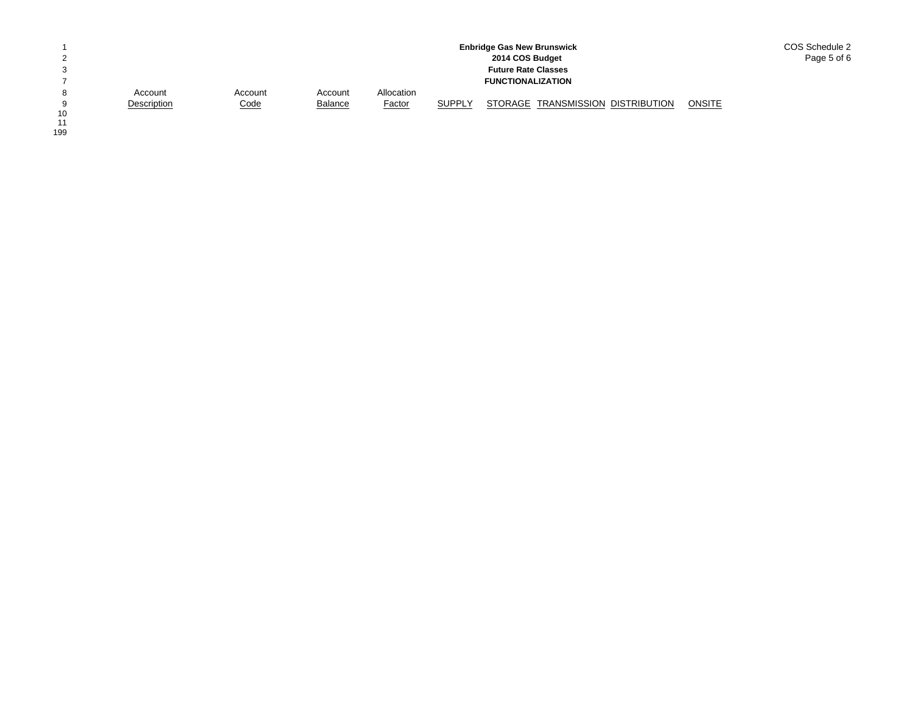|                 |             |             |                |               |               | <b>Enbridge Gas New Brunswick</b> |        | COS Schedule 2 |
|-----------------|-------------|-------------|----------------|---------------|---------------|-----------------------------------|--------|----------------|
|                 |             |             |                |               |               | 2014 COS Budget                   |        | Page 5 of 6    |
|                 |             |             |                |               |               | <b>Future Rate Classes</b>        |        |                |
|                 |             |             |                |               |               | <b>FUNCTIONALIZATION</b>          |        |                |
| 8               | Account     | Account     | Account        | Allocation    |               |                                   |        |                |
| $\Omega$        | Description | <u>Code</u> | <b>Balance</b> | <b>Factor</b> | <b>SUPPLY</b> | STORAGE TRANSMISSION DISTRIBUTION | ONSITE |                |
| $\overline{10}$ |             |             |                |               |               |                                   |        |                |

10<br>11<br>199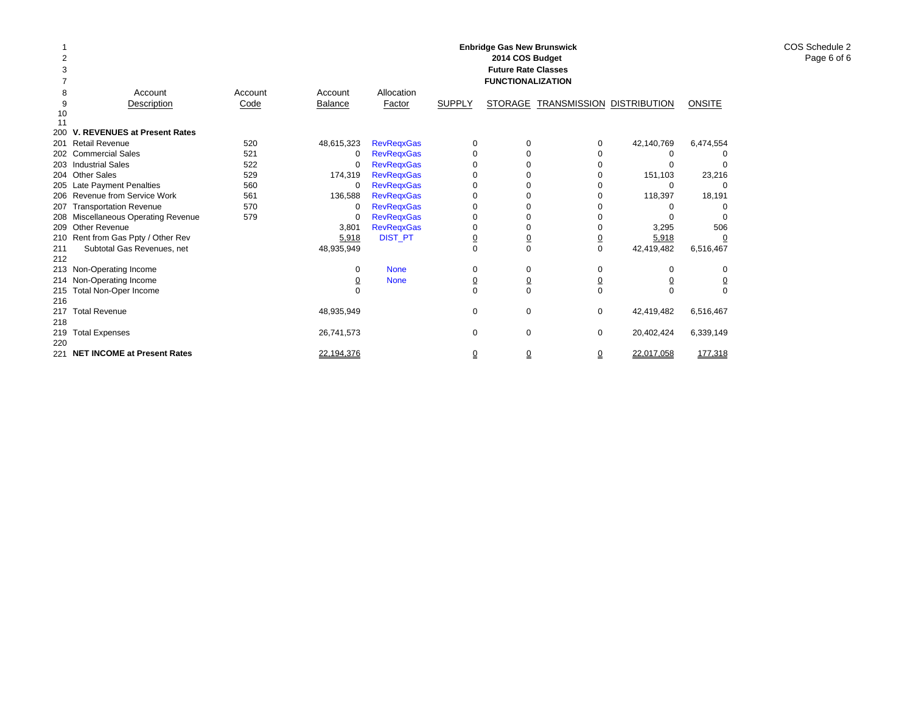|     |                                     | <b>Enbridge Gas New Brunswick</b><br>2014 COS Budget<br><b>Future Rate Classes</b><br><b>FUNCTIONALIZATION</b> |                |                   |                |                |                                  |            |                |  |  |  |  |  |
|-----|-------------------------------------|----------------------------------------------------------------------------------------------------------------|----------------|-------------------|----------------|----------------|----------------------------------|------------|----------------|--|--|--|--|--|
| 8   | Account                             | Account                                                                                                        | Account        | Allocation        |                |                |                                  |            |                |  |  |  |  |  |
| 9   | Description                         | Code                                                                                                           | <b>Balance</b> | Factor            | <b>SUPPLY</b>  | <b>STORAGE</b> | <b>TRANSMISSION DISTRIBUTION</b> |            | <b>ONSITE</b>  |  |  |  |  |  |
| 10  |                                     |                                                                                                                |                |                   |                |                |                                  |            |                |  |  |  |  |  |
| 11  |                                     |                                                                                                                |                |                   |                |                |                                  |            |                |  |  |  |  |  |
|     | V. REVENUES at Present Rates        |                                                                                                                |                |                   |                |                |                                  |            |                |  |  |  |  |  |
|     | 201 Retail Revenue                  | 520                                                                                                            | 48,615,323     | <b>RevRegxGas</b> | $\Omega$       | ∩              | 0                                | 42,140,769 | 6,474,554      |  |  |  |  |  |
|     | 202 Commercial Sales                | 521                                                                                                            | $\Omega$       | <b>RevRegxGas</b> |                |                |                                  | o          |                |  |  |  |  |  |
|     | 203 Industrial Sales                | 522                                                                                                            | 0              | <b>RevRegxGas</b> |                |                |                                  |            |                |  |  |  |  |  |
|     | 204 Other Sales                     | 529                                                                                                            | 174,319        | <b>RevRegxGas</b> |                |                |                                  | 151,103    | 23,216         |  |  |  |  |  |
|     | 205 Late Payment Penalties          | 560                                                                                                            | $\Omega$       | <b>RevRegxGas</b> |                |                |                                  | O          |                |  |  |  |  |  |
|     | 206 Revenue from Service Work       | 561                                                                                                            | 136,588        | <b>RevRegxGas</b> |                |                |                                  | 118,397    | 18,191         |  |  |  |  |  |
|     | 207 Transportation Revenue          | 570                                                                                                            | 0              | <b>RevRegxGas</b> |                |                |                                  | o          |                |  |  |  |  |  |
|     | 208 Miscellaneous Operating Revenue | 579                                                                                                            | $\Omega$       | <b>RevRegxGas</b> |                |                |                                  | O          |                |  |  |  |  |  |
|     | 209 Other Revenue                   |                                                                                                                | 3,801          | <b>RevRegxGas</b> | O              | n              |                                  | 3,295      | 506            |  |  |  |  |  |
|     | 210 Rent from Gas Ppty / Other Rev  |                                                                                                                | 5,918          | <b>DIST_PT</b>    | $\overline{0}$ | $\overline{0}$ |                                  | 5,918      |                |  |  |  |  |  |
| 211 | Subtotal Gas Revenues, net          |                                                                                                                | 48,935,949     |                   | $\Omega$       | $\Omega$       | $\Omega$                         | 42,419,482 | 6,516,467      |  |  |  |  |  |
| 212 |                                     |                                                                                                                |                |                   |                |                |                                  |            |                |  |  |  |  |  |
|     | 213 Non-Operating Income            |                                                                                                                | 0              | <b>None</b>       | 0              | 0              | 0                                | 0          |                |  |  |  |  |  |
|     | 214 Non-Operating Income            |                                                                                                                | <u>0</u>       | <b>None</b>       | $\overline{0}$ | 0              | <u>0</u>                         |            | $\overline{0}$ |  |  |  |  |  |
|     | 215 Total Non-Oper Income           |                                                                                                                | $\Omega$       |                   | $\Omega$       | $\Omega$       | $\Omega$                         | $\Omega$   | $\Omega$       |  |  |  |  |  |
| 216 |                                     |                                                                                                                |                |                   |                |                |                                  |            |                |  |  |  |  |  |
| 217 | <b>Total Revenue</b>                |                                                                                                                | 48,935,949     |                   | 0              | 0              | 0                                | 42,419,482 | 6,516,467      |  |  |  |  |  |
| 218 |                                     |                                                                                                                |                |                   |                |                |                                  |            |                |  |  |  |  |  |
| 219 | <b>Total Expenses</b>               |                                                                                                                | 26,741,573     |                   | 0              | $\Omega$       | 0                                | 20,402,424 | 6,339,149      |  |  |  |  |  |
| 220 |                                     |                                                                                                                |                |                   |                |                |                                  |            |                |  |  |  |  |  |
| 221 | <b>NET INCOME at Present Rates</b>  |                                                                                                                | 22,194,376     |                   | 0              | 0              | 0                                | 22,017,058 | 177,318        |  |  |  |  |  |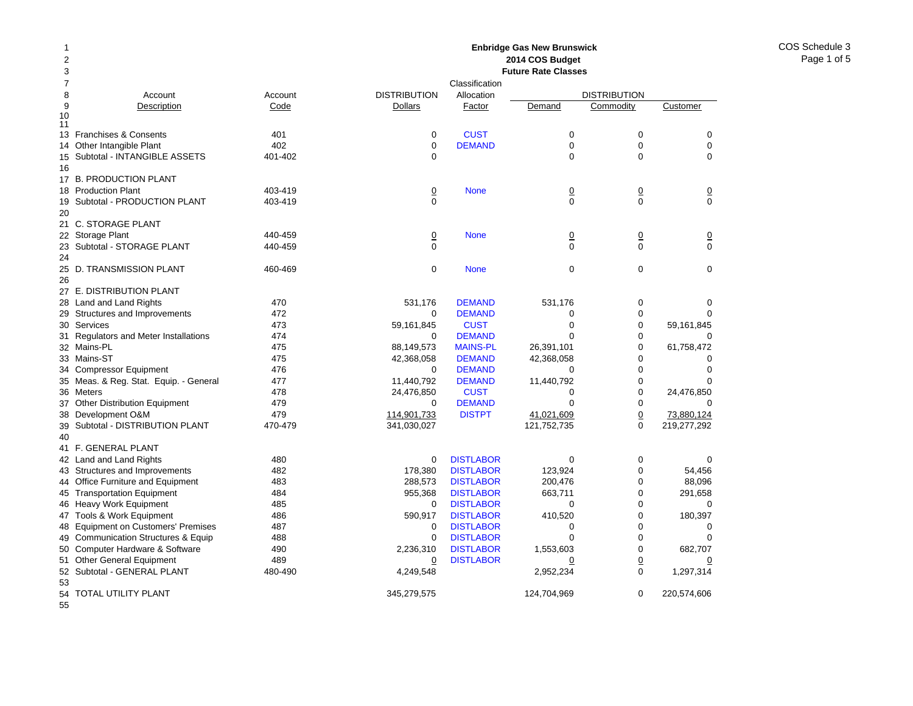### Account Account Description Code 13 Franchises & Consents 401 14 Other Intangible Plant 402 Subtotal - INTANGIBLE ASSETS 401-402 17 B. PRODUCTION PLANT 18 Production Plant 403-419 Subtotal - PRODUCTION PLANT 403-419 21 C. STORAGE PLANT 22 Storage Plant 440-459 23 Subtotal - STORAGE PLANT 440-459 25 D. TRANSMISSION PLANT 460-469 27 E. DISTRIBUTION PLANT 28 Land and Land Rights 470 29 Structures and Improvements 472 Services 473 Regulators and Meter Installations 474 Mains-PL 475 33 Mains-ST 475 Compressor Equipment 476 Meas. & Reg. Stat. Equip. - General 477 36 Meters 478 Other Distribution Equipment 479 Development O&M 479 Subtotal - DISTRIBUTION PLANT 470-479 41 F. GENERAL PLANT 42 Land and Land Rights 480 43 Structures and Improvements 482 44 Office Furniture and Equipment 483 45 Transportation Equipment 484 46 Heavy Work Equipment 485 47 Tools & Work Equipment 486 48 Equipment on Customers' Premises 487 49 Communication Structures & Equip 488 Computer Hardware & Software 490 51 Other General Equipment 489 52 Subtotal - GENERAL PLANT 480-490 **2014 COS Budget Future Rate Classes**ClassificationDISTRIBUTION Allocation DISTRIBUTION**Dollars** Factor Demand Commodity Customer 0**CUST** T 0 0 0 0**DEMAND** D 0 0 0 0 0000**None** e 0 0 0 0 0000 None 0 0 0  $\begin{array}{ccccccc}\n0 & 0 & 0 & 0\n\end{array}$ 0 None 000 531,176 DEMAND 531,176 0 0 0 DEMANDD 0 0 0 59,161,845 CUST 0 0 59,161,845  $\Omega$  DEMANDD 0 0 0 88,149,573 MAINS-PL 26,391,101 0 61,758,472 42,368,058 DEMAND 42,368,058 0 0  $\Omega$  DEMANDD 0 0 0 11,440,792 DEMAND 11,440,792 0 0 24,476,850 CUST 0 0 24,476,850 0 DEMANDD 0 0 0 114,901,733 DISTPT 41,021,609 0 73,880,124 341,030,027 121,752,735 0 219,277,292 0**DISTLABOR** R 0 0 0 178,380 DISTLABOR 123,924 0 54,456 288,573 DISTLABOR 200,476 0 88,096 955,368 DISTLABOR 663,711 0 291,658  $\Omega$  DISTLABORR 0 0 0 590,917 DISTLABOR 410,520 0 180,397 0 DISTLABORR 0 0 0 0**DISTLABOR** R 0 0 0 2,236,310 DISTLABOR 1,553,603 0 682,707 0**DISTLABOR** R 0 0 0 0 4,249,548 2,952,234 0 1,297,314

**Enbridge Gas New Brunswick** 

345,279,575 124,704,969 0 220,574,606

54 TOTAL UTILITY PLANT

55

50

53

9

1011

15

16

19

20

24

26

30

31

32

34

35

37

38

39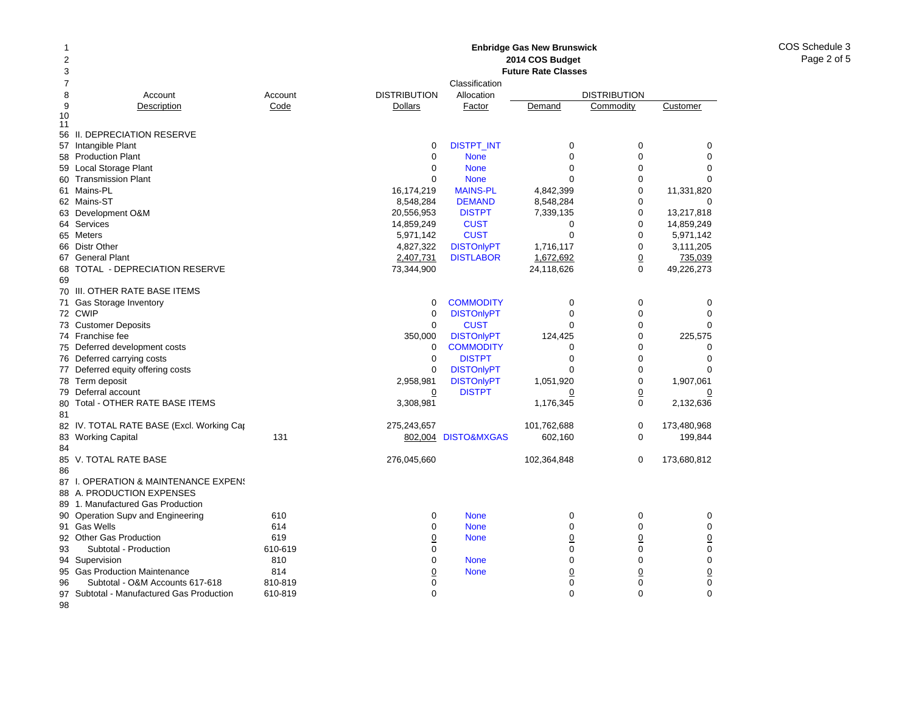### **Enbridge Gas New Brunswick 2014 COS Budget**

| 2  |                                           |         |                     |                     | 2014 COS Budget            |                     |                        |
|----|-------------------------------------------|---------|---------------------|---------------------|----------------------------|---------------------|------------------------|
| 3  |                                           |         |                     |                     | <b>Future Rate Classes</b> |                     |                        |
| 7  |                                           |         |                     | Classification      |                            |                     |                        |
| 8  | Account                                   | Account | <b>DISTRIBUTION</b> | Allocation          |                            | <b>DISTRIBUTION</b> |                        |
| 9  | Description                               | Code    | <b>Dollars</b>      | Factor              | Demand                     | Commodity           | Customer               |
| 10 |                                           |         |                     |                     |                            |                     |                        |
| 11 | 56 II. DEPRECIATION RESERVE               |         |                     |                     |                            |                     |                        |
|    | 57 Intangible Plant                       |         | 0                   | <b>DISTPT_INT</b>   | 0                          | 0                   | 0                      |
|    | 58 Production Plant                       |         | 0                   | <b>None</b>         | $\Omega$                   | $\overline{0}$      | $\mathbf 0$            |
| 59 | Local Storage Plant                       |         | 0                   | <b>None</b>         | 0                          | 0                   | $\Omega$               |
|    | 60 Transmission Plant                     |         | $\Omega$            | <b>None</b>         | $\Omega$                   | 0                   | $\Omega$               |
|    | 61 Mains-PL                               |         | 16,174,219          | <b>MAINS-PL</b>     | 4,842,399                  | 0                   |                        |
|    | 62 Mains-ST                               |         |                     |                     |                            | 0                   | 11,331,820<br>$\Omega$ |
|    |                                           |         | 8,548,284           | <b>DEMAND</b>       | 8,548,284                  |                     |                        |
|    | 63 Development O&M                        |         | 20,556,953          | <b>DISTPT</b>       | 7,339,135                  | 0                   | 13,217,818             |
|    | 64 Services                               |         | 14,859,249          | <b>CUST</b>         | $\Omega$                   | 0                   | 14,859,249             |
|    | 65 Meters                                 |         | 5,971,142           | <b>CUST</b>         | $\Omega$                   | $\overline{0}$      | 5,971,142              |
|    | 66 Distr Other                            |         | 4,827,322           | <b>DISTOnlyPT</b>   | 1,716,117                  | 0                   | 3,111,205              |
|    | 67 General Plant                          |         | 2,407,731           | <b>DISTLABOR</b>    | 1,672,692                  | $\overline{0}$      | 735,039                |
| 68 | TOTAL - DEPRECIATION RESERVE              |         | 73,344,900          |                     | 24,118,626                 | 0                   | 49,226,273             |
| 69 |                                           |         |                     |                     |                            |                     |                        |
|    | 70 III. OTHER RATE BASE ITEMS             |         |                     |                     |                            |                     |                        |
|    | 71 Gas Storage Inventory                  |         | 0                   | <b>COMMODITY</b>    | 0                          | 0                   | 0                      |
|    | 72 CWIP                                   |         | 0                   | <b>DISTOnlyPT</b>   | 0                          | 0                   | 0                      |
|    | 73 Customer Deposits                      |         | $\mathbf 0$         | <b>CUST</b>         | $\Omega$                   | 0                   | $\Omega$               |
|    | 74 Franchise fee                          |         | 350,000             | <b>DISTOnlyPT</b>   | 124,425                    | 0                   | 225,575                |
|    | 75 Deferred development costs             |         | 0                   | <b>COMMODITY</b>    | $\Omega$                   | 0                   | $\Omega$               |
|    | 76 Deferred carrying costs                |         | $\mathbf 0$         | <b>DISTPT</b>       | $\mathbf 0$                | 0                   | $\mathbf 0$            |
|    | 77 Deferred equity offering costs         |         | $\mathbf 0$         | <b>DISTOnlyPT</b>   | $\Omega$                   | 0                   |                        |
|    | 78 Term deposit                           |         | 2,958,981           | <b>DISTOnlyPT</b>   | 1,051,920                  | $\overline{0}$      | 1,907,061              |
|    | 79 Deferral account                       |         | 0                   | <b>DISTPT</b>       | 0                          | $\overline{0}$      |                        |
| 80 | Total - OTHER RATE BASE ITEMS             |         | 3,308,981           |                     | 1,176,345                  | 0                   | 2,132,636              |
| 81 |                                           |         |                     |                     |                            |                     |                        |
|    | 82 IV. TOTAL RATE BASE (Excl. Working Cap |         | 275,243,657         |                     | 101,762,688                | 0                   | 173,480,968            |
|    | 83 Working Capital                        | 131     |                     | 802,004 DISTO&MXGAS | 602,160                    | 0                   | 199,844                |
| 84 |                                           |         |                     |                     |                            |                     |                        |
|    | 85 V. TOTAL RATE BASE                     |         | 276,045,660         |                     | 102,364,848                | 0                   | 173,680,812            |
| 86 |                                           |         |                     |                     |                            |                     |                        |
|    | 87 I. OPERATION & MAINTENANCE EXPENS      |         |                     |                     |                            |                     |                        |
| 88 | A. PRODUCTION EXPENSES                    |         |                     |                     |                            |                     |                        |
|    | 89 1. Manufactured Gas Production         |         |                     |                     |                            |                     |                        |
|    | 90 Operation Supv and Engineering         | 610     | 0                   | <b>None</b>         | $\mathbf 0$                | 0                   | 0                      |
|    | 91 Gas Wells                              | 614     | $\mathbf 0$         | <b>None</b>         | 0                          | 0                   | 0                      |
|    | 92 Other Gas Production                   | 619     | $\overline{0}$      | <b>None</b>         | $\overline{0}$             | $\overline{0}$      | $\underline{0}$        |
| 93 | Subtotal - Production                     | 610-619 | $\mathbf 0$         |                     | $\mathbf 0$                | 0                   | 0                      |
|    | 94 Supervision                            | 810     | 0                   | <b>None</b>         | $\mathbf 0$                | 0                   | $\mathbf 0$            |
| 95 | <b>Gas Production Maintenance</b>         | 814     | $\overline{0}$      | <b>None</b>         | $\overline{0}$             | $\overline{0}$      | $\underline{0}$        |
| 96 | Subtotal - O&M Accounts 617-618           | 810-819 | 0                   |                     | 0                          | 0                   | $\mathbf 0$            |
|    | 97 Subtotal - Manufactured Gas Production | 610-819 | $\mathbf 0$         |                     | $\mathbf 0$                | 0                   | 0                      |
| 98 |                                           |         |                     |                     |                            |                     |                        |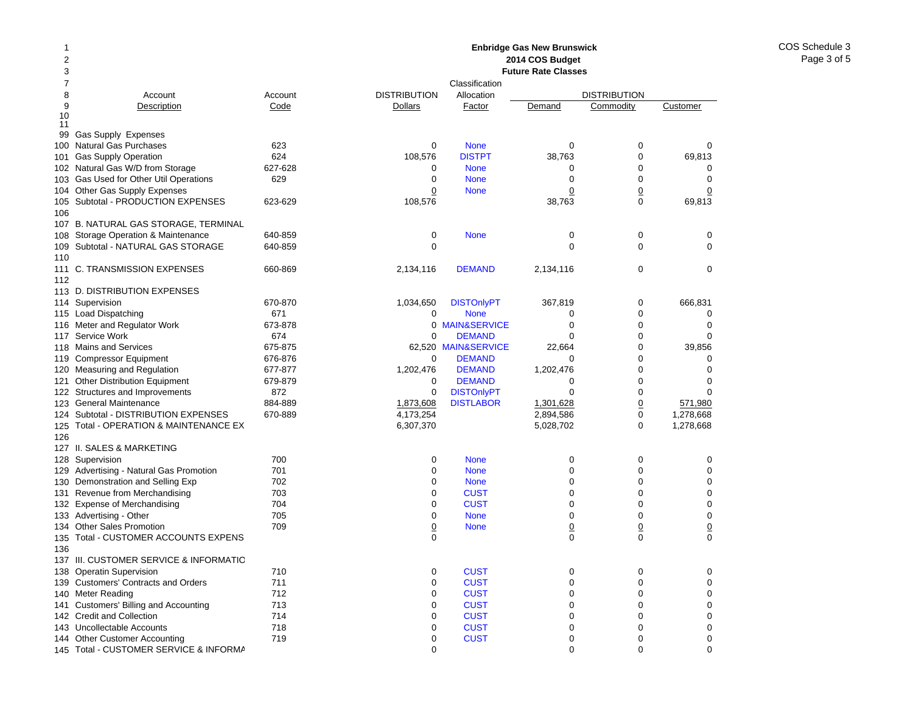#### 12378 Account Account 9Description Code 10 1199 Gas Supply Expenses 100Natural Gas Purchases 623 101Gas Supply Operation 624 102 Natural Gas W/D from Storage 627-628 103Gas Used for Other Util Operations 629 104 Other Gas Supply Expenses 105Subtotal - PRODUCTION EXPENSES 623-629 106107 B. NATURAL GAS STORAGE, TERMINAL 108 Storage Operation & Maintenance 640-859 109Subtotal - NATURAL GAS STORAGE 640-859 110111 C. TRANSMISSION EXPENSES 660-869 112113 D. DISTRIBUTION EXPENSES 114 Supervision 670-870 115 Load Dispatching 671 116Meter and Regulator Work 673-878 117Service Work 674 118Mains and Services 675-875 119Compressor Equipment 676-876 120Measuring and Regulation 677-877 121 Other Distribution Equipment 679-879 122 Structures and Improvements 872 123General Maintenance 884-889 124 Subtotal - DISTRIBUTION EXPENSES 670-889 125 Total - OPERATION & MAINTENANCE EX 126127 II. SALES & MARKETING128Supervision 700 129Advertising - Natural Gas Promotion 701 130Demonstration and Selling Exp 702 131Revenue from Merchandising 703 132 Expense of Merchandising metal of the 704 133Advertising - Other 705 134Other Sales Promotion 709 135 Total - CUSTOMER ACCOUNTS EXPENS 136137 III. CUSTOMER SERVICE & INFORMATIO138Operatin Supervision 710 139 Customers' Contracts and Orders 711 140Meter Reading **712** 141 Customers' Billing and Accounting 713 142 Credit and Collection 714 143Uncollectable Accounts 718 144Other Customer Accounting T19 **Enbridge Gas New Brunswick 2014 COS Budget Future Rate Classes**ClassificationDISTRIBUTION Allocation DISTRIBUTION**Dollars** Factor Demand Commodity Customer 0 None 000 108,576 DISTPT 38,763 0 69,813 0 None 000 0 None 000 0**None** e 0 0 0 108,576 38,763 0 69,813 0 None 000  $\begin{array}{ccccccc}\n0 & 0 & 0 & 0\n\end{array}$ 2,134,116 **DEMAND** 2,134,116 0 0 1,034,650 DISTOnlyPT 367,819 0 666,831 0 None 000 0 MAIN&SERVICEE 0 0 0  $\Omega$  DEMANDD 0 0 0 62,520 MAIN&SERVICE 22,664 0 39,856 0 DEMANDD 0 0 0 1,202,476 DEMAND 1,202,476 0 0  $\Omega$  DEMANDD 0 0 0 0DISTONIVPT 0 0 0 0 1,873,608 DISTLABOR 1,301,628 0 571,980 4,173,254 2,894,586 0 1,278,668 6,307,370 5,028,702 0 1,278,668 0 None 000 0 None 000 0 None 000 0**CUST** T 0 0 0 0**CUST** T 0 0 0 0 None 000 0**None** e 0 0 0  $\begin{array}{ccccccc}\n0 & 0 & 0 & 0\n\end{array}$ 0**CUST** T 0 0 0 0**CUST** T 0 0 0 0**CUST** T 0 0 0 0**CUST** T 0 0 0 0**CUST** T 0 0 0 0**CUST** T 0 0 0 0**CUST** T 0 0 0

0 000

145 Total - CUSTOMER SERVICE & INFORMA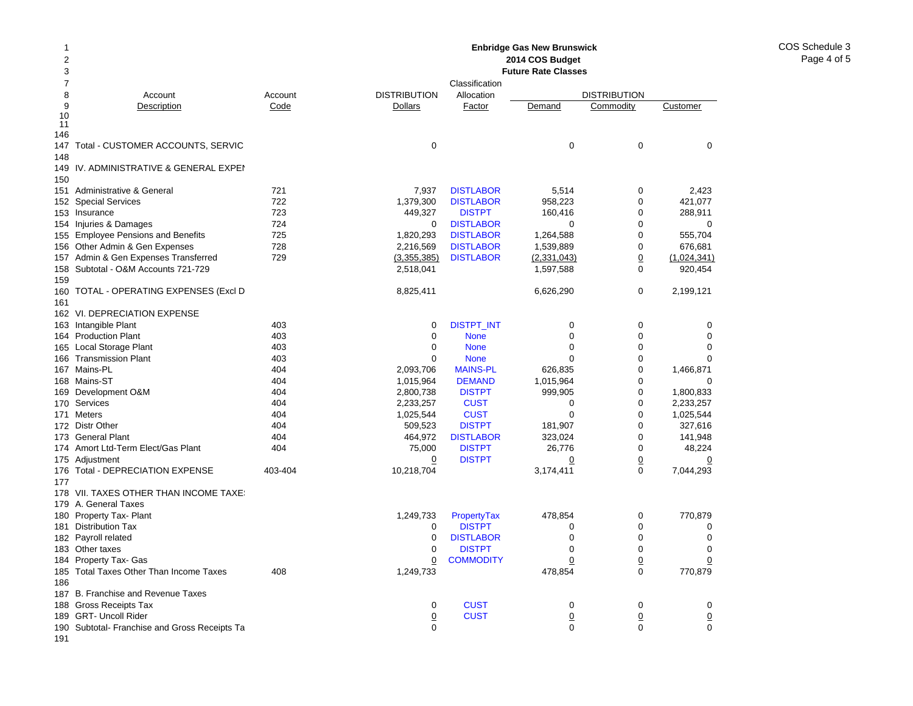#### 2 378 Account Account 9Description Code 10 11146147 Total - CUSTOMER ACCOUNTS, SERVIC 148149IV. ADMINISTRATIVE & GENERAL EXPEI 150151 Administrative & General 721 152Special Services 722 153 Insurance 723 154 Injuries & Damages 724 155 Employee Pensions and Benefits 725 156Other Admin & Gen Expenses 728 157Admin & Gen Expenses Transferred 729 158 Subtotal - O&M Accounts 721-729 159160 TOTAL - OPERATING EXPENSES (Excl D 161162 VI. DEPRECIATION EXPENSE 163 Intangible Plant 163 Ann an 403 164Production Plant 403 165Local Storage Plant 403 166Transmission Plant 403 167Mains-PL 404 168 Mains-ST 404 169Development O&M 404 170Services 404 171 Meters 404 172 Distr Other **404** 173 General Plant 404 174 Amort Ltd-Term Elect/Gas Plant 174 Amort Ltd-Term Elect/Gas 175 Adjustment 176Total - DEPRECIATION EXPENSE 403-404 177178 VII. TAXES OTHER THAN INCOME TAXES 179 A. General Taxes 180 Property Tax- Plant 181 Distribution Tax 182 Payroll related 183 Other taxes 184 Property Tax- Gas 185Total Taxes Other Than Income Taxes 408 186187 B. Franchise and Revenue Taxes 188 Gross Receipts Tax 189 GRT- Uncoll Rider 190 Subtotal- Franchise and Gross Receipts Ta **Enbridge Gas New Brunswick 2014 COS Budget Future Rate Classes**ClassificationDISTRIBUTION Allocation DISTRIBUTION**Dollars** Factor Demand Commodity Customer 0 0007,937 DISTLABOR 5,514 0 2,423 1,379,300 DISTLABOR 958,223 0 421,077 449.327 DISTPT 160.416 0 288.911 0**DISTLABOR** R 0 0 0 1,820,293 DISTLABOR 1,264,588 0 555,704 2,216,569 DISTLABOR 1,539,889 0 676,681 (3,355,385) DISTLABOR (2,331,043) 0 (1,024,341) 2,518,041 1,597,588 0 920,454 8,825,411 6,626,290 0 2,199,121 0DISTPT\_INT 0 0 0 0 0 None 000 0 None 000 0 None 000 2,093,706 MAINS-PL 626,835 0 1,466,871 1.015,964 **DEMAND** 1.015,964 0 0 0 2,800,738 DISTPT 999,905 0 1,800,833 2,233,257 CUST 0 0 2,233,257 1,025,544 CUST 0 0 1,025,544 509,523 DISTPT 181,907 0 327,616 464,972 DISTLABOR 323,024 0 141,948 75,000 DISTPT 26,776 0 48,224 0 DISTPT 0 0 0 10,218,704 3,174,411 0 7,044,293 1,249,733 PropertyTax 478,854 0 770,879 0 DISTPTT 0 0 0 0**DISTLABOR** R 0 0 0 0 DISTPTT 0 0 0 0**COMMODITY**  0 0 0 1,249,733 478,854 0 770,879 0**CUST** T 0 0 0  $\overline{0}$ **CUST**  0 0 0 0 000

191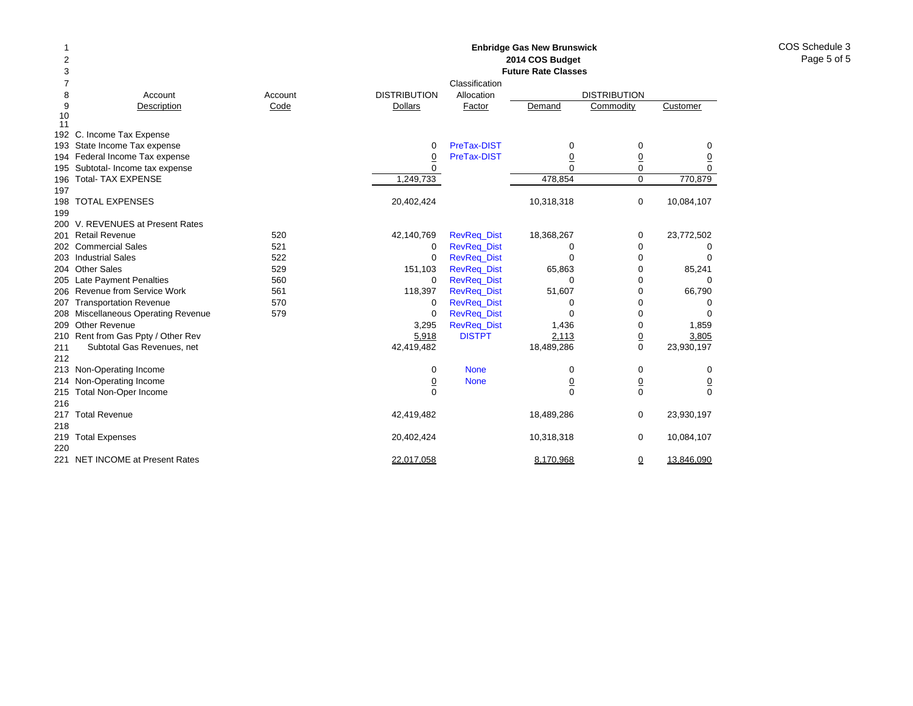| $\overline{2}$<br>2014 COS Budget<br>3<br><b>Future Rate Classes</b><br>7<br>Classification<br>8<br><b>DISTRIBUTION</b><br>Allocation<br><b>DISTRIBUTION</b><br>Account<br>Account<br>9<br>Customer<br>Description<br>Code<br>Dollars<br>Factor<br>Demand<br>Commodity<br>10<br>11<br>C. Income Tax Expense<br>192<br>PreTax-DIST<br>State Income Tax expense<br>0<br>0<br>0<br>193<br>0<br>194 Federal Income Tax expense<br>PreTax-DIST<br>$\underline{0}$<br>$\overline{0}$<br>$\overline{0}$<br>$\overline{0}$<br>$\Omega$<br>Subtotal- Income tax expense<br>$\Omega$<br>$\mathbf 0$<br>$\mathbf 0$<br>195<br><b>Total- TAX EXPENSE</b><br>478,854<br>$\mathbf 0$<br>770,879<br>1,249,733<br>196<br>197<br><b>TOTAL EXPENSES</b><br>20,402,424<br>10,318,318<br>$\mathbf 0$<br>10,084,107<br>198<br>199<br>200 V. REVENUES at Present Rates<br><b>Retail Revenue</b><br>520<br>42,140,769<br><b>RevReq_Dist</b><br>18,368,267<br>23,772,502<br>0<br>201<br>521<br>202 Commercial Sales<br>RevReq_Dist<br>$\mathbf 0$<br>0<br>0<br>0<br>203 Industrial Sales<br>522<br><b>RevReg Dist</b><br>$\mathbf 0$<br>0<br>0<br>$\Omega$<br>204 Other Sales<br>529<br>151,103<br><b>RevReq_Dist</b><br>65,863<br>0<br>85,241<br>205 Late Payment Penalties<br>560<br><b>RevReg Dist</b><br>$\mathbf 0$<br>0<br>0<br>0<br>Revenue from Service Work<br>561<br>118,397<br><b>RevReg Dist</b><br>51,607<br>0<br>66,790<br>206<br><b>Transportation Revenue</b><br>570<br><b>RevReq_Dist</b><br>0<br>0<br>0<br>0<br>207<br>208 Miscellaneous Operating Revenue<br>579<br>RevReq_Dist<br>0<br>0<br>$\Omega$<br>$\Omega$<br><b>Other Revenue</b><br>RevReq_Dist<br>1,436<br>0<br>209<br>3,295<br>1,859<br><b>DISTPT</b><br>2,113<br>210 Rent from Gas Ppty / Other Rev<br>5,918<br>$\pmb{0}$<br>3,805<br>0<br>211<br>Subtotal Gas Revenues, net<br>42,419,482<br>18,489,286<br>23,930,197<br>212<br>213 Non-Operating Income<br><b>None</b><br>0<br>0<br>0<br>0<br>Non-Operating Income<br><b>None</b><br>$\underline{0}$<br>$\underline{0}$<br>$\overline{0}$<br>214<br>$\overline{0}$<br>$\overline{0}$<br>$\Omega$<br>$\mathbf 0$<br>$\mathbf 0$<br>Total Non-Oper Income<br>215<br>216<br><b>Total Revenue</b><br>42,419,482<br>18,489,286<br>0<br>23,930,197<br>217<br>218<br><b>Total Expenses</b><br>20,402,424<br>10,318,318<br>0<br>10,084,107<br>219<br>220<br>221 NET INCOME at Present Rates | 1 |  |            | <b>Enbridge Gas New Brunswick</b> |          |            |
|----------------------------------------------------------------------------------------------------------------------------------------------------------------------------------------------------------------------------------------------------------------------------------------------------------------------------------------------------------------------------------------------------------------------------------------------------------------------------------------------------------------------------------------------------------------------------------------------------------------------------------------------------------------------------------------------------------------------------------------------------------------------------------------------------------------------------------------------------------------------------------------------------------------------------------------------------------------------------------------------------------------------------------------------------------------------------------------------------------------------------------------------------------------------------------------------------------------------------------------------------------------------------------------------------------------------------------------------------------------------------------------------------------------------------------------------------------------------------------------------------------------------------------------------------------------------------------------------------------------------------------------------------------------------------------------------------------------------------------------------------------------------------------------------------------------------------------------------------------------------------------------------------------------------------------------------------------------------------------------------------------------------------------------------------------------------------------------------------------------------------------------------------------------------------------------------------------------------------------------------------------------------------------------------------------------------------------------------------------------------------------------------|---|--|------------|-----------------------------------|----------|------------|
|                                                                                                                                                                                                                                                                                                                                                                                                                                                                                                                                                                                                                                                                                                                                                                                                                                                                                                                                                                                                                                                                                                                                                                                                                                                                                                                                                                                                                                                                                                                                                                                                                                                                                                                                                                                                                                                                                                                                                                                                                                                                                                                                                                                                                                                                                                                                                                                              |   |  |            |                                   |          |            |
|                                                                                                                                                                                                                                                                                                                                                                                                                                                                                                                                                                                                                                                                                                                                                                                                                                                                                                                                                                                                                                                                                                                                                                                                                                                                                                                                                                                                                                                                                                                                                                                                                                                                                                                                                                                                                                                                                                                                                                                                                                                                                                                                                                                                                                                                                                                                                                                              |   |  |            |                                   |          |            |
|                                                                                                                                                                                                                                                                                                                                                                                                                                                                                                                                                                                                                                                                                                                                                                                                                                                                                                                                                                                                                                                                                                                                                                                                                                                                                                                                                                                                                                                                                                                                                                                                                                                                                                                                                                                                                                                                                                                                                                                                                                                                                                                                                                                                                                                                                                                                                                                              |   |  |            |                                   |          |            |
|                                                                                                                                                                                                                                                                                                                                                                                                                                                                                                                                                                                                                                                                                                                                                                                                                                                                                                                                                                                                                                                                                                                                                                                                                                                                                                                                                                                                                                                                                                                                                                                                                                                                                                                                                                                                                                                                                                                                                                                                                                                                                                                                                                                                                                                                                                                                                                                              |   |  |            |                                   |          |            |
|                                                                                                                                                                                                                                                                                                                                                                                                                                                                                                                                                                                                                                                                                                                                                                                                                                                                                                                                                                                                                                                                                                                                                                                                                                                                                                                                                                                                                                                                                                                                                                                                                                                                                                                                                                                                                                                                                                                                                                                                                                                                                                                                                                                                                                                                                                                                                                                              |   |  |            |                                   |          |            |
|                                                                                                                                                                                                                                                                                                                                                                                                                                                                                                                                                                                                                                                                                                                                                                                                                                                                                                                                                                                                                                                                                                                                                                                                                                                                                                                                                                                                                                                                                                                                                                                                                                                                                                                                                                                                                                                                                                                                                                                                                                                                                                                                                                                                                                                                                                                                                                                              |   |  |            |                                   |          |            |
|                                                                                                                                                                                                                                                                                                                                                                                                                                                                                                                                                                                                                                                                                                                                                                                                                                                                                                                                                                                                                                                                                                                                                                                                                                                                                                                                                                                                                                                                                                                                                                                                                                                                                                                                                                                                                                                                                                                                                                                                                                                                                                                                                                                                                                                                                                                                                                                              |   |  |            |                                   |          |            |
|                                                                                                                                                                                                                                                                                                                                                                                                                                                                                                                                                                                                                                                                                                                                                                                                                                                                                                                                                                                                                                                                                                                                                                                                                                                                                                                                                                                                                                                                                                                                                                                                                                                                                                                                                                                                                                                                                                                                                                                                                                                                                                                                                                                                                                                                                                                                                                                              |   |  |            |                                   |          |            |
|                                                                                                                                                                                                                                                                                                                                                                                                                                                                                                                                                                                                                                                                                                                                                                                                                                                                                                                                                                                                                                                                                                                                                                                                                                                                                                                                                                                                                                                                                                                                                                                                                                                                                                                                                                                                                                                                                                                                                                                                                                                                                                                                                                                                                                                                                                                                                                                              |   |  |            |                                   |          |            |
|                                                                                                                                                                                                                                                                                                                                                                                                                                                                                                                                                                                                                                                                                                                                                                                                                                                                                                                                                                                                                                                                                                                                                                                                                                                                                                                                                                                                                                                                                                                                                                                                                                                                                                                                                                                                                                                                                                                                                                                                                                                                                                                                                                                                                                                                                                                                                                                              |   |  |            |                                   |          |            |
|                                                                                                                                                                                                                                                                                                                                                                                                                                                                                                                                                                                                                                                                                                                                                                                                                                                                                                                                                                                                                                                                                                                                                                                                                                                                                                                                                                                                                                                                                                                                                                                                                                                                                                                                                                                                                                                                                                                                                                                                                                                                                                                                                                                                                                                                                                                                                                                              |   |  |            |                                   |          |            |
|                                                                                                                                                                                                                                                                                                                                                                                                                                                                                                                                                                                                                                                                                                                                                                                                                                                                                                                                                                                                                                                                                                                                                                                                                                                                                                                                                                                                                                                                                                                                                                                                                                                                                                                                                                                                                                                                                                                                                                                                                                                                                                                                                                                                                                                                                                                                                                                              |   |  |            |                                   |          |            |
|                                                                                                                                                                                                                                                                                                                                                                                                                                                                                                                                                                                                                                                                                                                                                                                                                                                                                                                                                                                                                                                                                                                                                                                                                                                                                                                                                                                                                                                                                                                                                                                                                                                                                                                                                                                                                                                                                                                                                                                                                                                                                                                                                                                                                                                                                                                                                                                              |   |  |            |                                   |          |            |
|                                                                                                                                                                                                                                                                                                                                                                                                                                                                                                                                                                                                                                                                                                                                                                                                                                                                                                                                                                                                                                                                                                                                                                                                                                                                                                                                                                                                                                                                                                                                                                                                                                                                                                                                                                                                                                                                                                                                                                                                                                                                                                                                                                                                                                                                                                                                                                                              |   |  |            |                                   |          |            |
|                                                                                                                                                                                                                                                                                                                                                                                                                                                                                                                                                                                                                                                                                                                                                                                                                                                                                                                                                                                                                                                                                                                                                                                                                                                                                                                                                                                                                                                                                                                                                                                                                                                                                                                                                                                                                                                                                                                                                                                                                                                                                                                                                                                                                                                                                                                                                                                              |   |  |            |                                   |          |            |
|                                                                                                                                                                                                                                                                                                                                                                                                                                                                                                                                                                                                                                                                                                                                                                                                                                                                                                                                                                                                                                                                                                                                                                                                                                                                                                                                                                                                                                                                                                                                                                                                                                                                                                                                                                                                                                                                                                                                                                                                                                                                                                                                                                                                                                                                                                                                                                                              |   |  |            |                                   |          |            |
|                                                                                                                                                                                                                                                                                                                                                                                                                                                                                                                                                                                                                                                                                                                                                                                                                                                                                                                                                                                                                                                                                                                                                                                                                                                                                                                                                                                                                                                                                                                                                                                                                                                                                                                                                                                                                                                                                                                                                                                                                                                                                                                                                                                                                                                                                                                                                                                              |   |  |            |                                   |          |            |
|                                                                                                                                                                                                                                                                                                                                                                                                                                                                                                                                                                                                                                                                                                                                                                                                                                                                                                                                                                                                                                                                                                                                                                                                                                                                                                                                                                                                                                                                                                                                                                                                                                                                                                                                                                                                                                                                                                                                                                                                                                                                                                                                                                                                                                                                                                                                                                                              |   |  |            |                                   |          |            |
|                                                                                                                                                                                                                                                                                                                                                                                                                                                                                                                                                                                                                                                                                                                                                                                                                                                                                                                                                                                                                                                                                                                                                                                                                                                                                                                                                                                                                                                                                                                                                                                                                                                                                                                                                                                                                                                                                                                                                                                                                                                                                                                                                                                                                                                                                                                                                                                              |   |  |            |                                   |          |            |
|                                                                                                                                                                                                                                                                                                                                                                                                                                                                                                                                                                                                                                                                                                                                                                                                                                                                                                                                                                                                                                                                                                                                                                                                                                                                                                                                                                                                                                                                                                                                                                                                                                                                                                                                                                                                                                                                                                                                                                                                                                                                                                                                                                                                                                                                                                                                                                                              |   |  |            |                                   |          |            |
|                                                                                                                                                                                                                                                                                                                                                                                                                                                                                                                                                                                                                                                                                                                                                                                                                                                                                                                                                                                                                                                                                                                                                                                                                                                                                                                                                                                                                                                                                                                                                                                                                                                                                                                                                                                                                                                                                                                                                                                                                                                                                                                                                                                                                                                                                                                                                                                              |   |  |            |                                   |          |            |
|                                                                                                                                                                                                                                                                                                                                                                                                                                                                                                                                                                                                                                                                                                                                                                                                                                                                                                                                                                                                                                                                                                                                                                                                                                                                                                                                                                                                                                                                                                                                                                                                                                                                                                                                                                                                                                                                                                                                                                                                                                                                                                                                                                                                                                                                                                                                                                                              |   |  |            |                                   |          |            |
|                                                                                                                                                                                                                                                                                                                                                                                                                                                                                                                                                                                                                                                                                                                                                                                                                                                                                                                                                                                                                                                                                                                                                                                                                                                                                                                                                                                                                                                                                                                                                                                                                                                                                                                                                                                                                                                                                                                                                                                                                                                                                                                                                                                                                                                                                                                                                                                              |   |  |            |                                   |          |            |
|                                                                                                                                                                                                                                                                                                                                                                                                                                                                                                                                                                                                                                                                                                                                                                                                                                                                                                                                                                                                                                                                                                                                                                                                                                                                                                                                                                                                                                                                                                                                                                                                                                                                                                                                                                                                                                                                                                                                                                                                                                                                                                                                                                                                                                                                                                                                                                                              |   |  |            |                                   |          |            |
|                                                                                                                                                                                                                                                                                                                                                                                                                                                                                                                                                                                                                                                                                                                                                                                                                                                                                                                                                                                                                                                                                                                                                                                                                                                                                                                                                                                                                                                                                                                                                                                                                                                                                                                                                                                                                                                                                                                                                                                                                                                                                                                                                                                                                                                                                                                                                                                              |   |  |            |                                   |          |            |
|                                                                                                                                                                                                                                                                                                                                                                                                                                                                                                                                                                                                                                                                                                                                                                                                                                                                                                                                                                                                                                                                                                                                                                                                                                                                                                                                                                                                                                                                                                                                                                                                                                                                                                                                                                                                                                                                                                                                                                                                                                                                                                                                                                                                                                                                                                                                                                                              |   |  |            |                                   |          |            |
|                                                                                                                                                                                                                                                                                                                                                                                                                                                                                                                                                                                                                                                                                                                                                                                                                                                                                                                                                                                                                                                                                                                                                                                                                                                                                                                                                                                                                                                                                                                                                                                                                                                                                                                                                                                                                                                                                                                                                                                                                                                                                                                                                                                                                                                                                                                                                                                              |   |  |            |                                   |          |            |
|                                                                                                                                                                                                                                                                                                                                                                                                                                                                                                                                                                                                                                                                                                                                                                                                                                                                                                                                                                                                                                                                                                                                                                                                                                                                                                                                                                                                                                                                                                                                                                                                                                                                                                                                                                                                                                                                                                                                                                                                                                                                                                                                                                                                                                                                                                                                                                                              |   |  |            |                                   |          |            |
|                                                                                                                                                                                                                                                                                                                                                                                                                                                                                                                                                                                                                                                                                                                                                                                                                                                                                                                                                                                                                                                                                                                                                                                                                                                                                                                                                                                                                                                                                                                                                                                                                                                                                                                                                                                                                                                                                                                                                                                                                                                                                                                                                                                                                                                                                                                                                                                              |   |  |            |                                   |          |            |
|                                                                                                                                                                                                                                                                                                                                                                                                                                                                                                                                                                                                                                                                                                                                                                                                                                                                                                                                                                                                                                                                                                                                                                                                                                                                                                                                                                                                                                                                                                                                                                                                                                                                                                                                                                                                                                                                                                                                                                                                                                                                                                                                                                                                                                                                                                                                                                                              |   |  |            |                                   |          |            |
|                                                                                                                                                                                                                                                                                                                                                                                                                                                                                                                                                                                                                                                                                                                                                                                                                                                                                                                                                                                                                                                                                                                                                                                                                                                                                                                                                                                                                                                                                                                                                                                                                                                                                                                                                                                                                                                                                                                                                                                                                                                                                                                                                                                                                                                                                                                                                                                              |   |  |            |                                   |          |            |
|                                                                                                                                                                                                                                                                                                                                                                                                                                                                                                                                                                                                                                                                                                                                                                                                                                                                                                                                                                                                                                                                                                                                                                                                                                                                                                                                                                                                                                                                                                                                                                                                                                                                                                                                                                                                                                                                                                                                                                                                                                                                                                                                                                                                                                                                                                                                                                                              |   |  |            |                                   |          |            |
|                                                                                                                                                                                                                                                                                                                                                                                                                                                                                                                                                                                                                                                                                                                                                                                                                                                                                                                                                                                                                                                                                                                                                                                                                                                                                                                                                                                                                                                                                                                                                                                                                                                                                                                                                                                                                                                                                                                                                                                                                                                                                                                                                                                                                                                                                                                                                                                              |   |  |            |                                   |          |            |
|                                                                                                                                                                                                                                                                                                                                                                                                                                                                                                                                                                                                                                                                                                                                                                                                                                                                                                                                                                                                                                                                                                                                                                                                                                                                                                                                                                                                                                                                                                                                                                                                                                                                                                                                                                                                                                                                                                                                                                                                                                                                                                                                                                                                                                                                                                                                                                                              |   |  |            |                                   |          |            |
|                                                                                                                                                                                                                                                                                                                                                                                                                                                                                                                                                                                                                                                                                                                                                                                                                                                                                                                                                                                                                                                                                                                                                                                                                                                                                                                                                                                                                                                                                                                                                                                                                                                                                                                                                                                                                                                                                                                                                                                                                                                                                                                                                                                                                                                                                                                                                                                              |   |  |            |                                   |          |            |
|                                                                                                                                                                                                                                                                                                                                                                                                                                                                                                                                                                                                                                                                                                                                                                                                                                                                                                                                                                                                                                                                                                                                                                                                                                                                                                                                                                                                                                                                                                                                                                                                                                                                                                                                                                                                                                                                                                                                                                                                                                                                                                                                                                                                                                                                                                                                                                                              |   |  |            |                                   |          |            |
|                                                                                                                                                                                                                                                                                                                                                                                                                                                                                                                                                                                                                                                                                                                                                                                                                                                                                                                                                                                                                                                                                                                                                                                                                                                                                                                                                                                                                                                                                                                                                                                                                                                                                                                                                                                                                                                                                                                                                                                                                                                                                                                                                                                                                                                                                                                                                                                              |   |  | 22,017,058 | 8,170,968                         | <u>0</u> | 13,846,090 |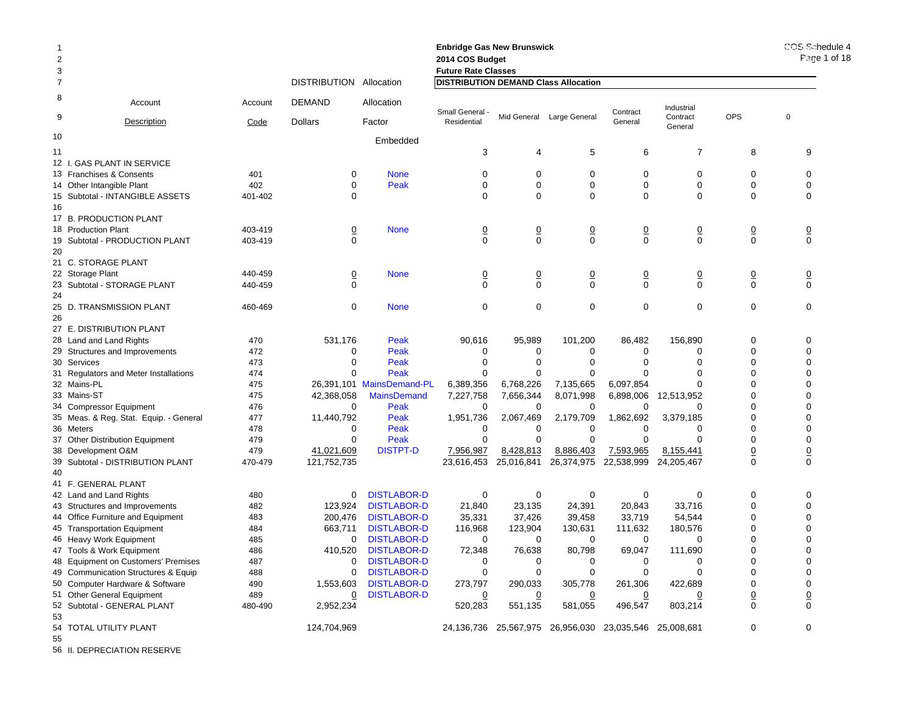| -1<br>$\overline{2}$<br>3 |                                        |         |                     |                           | <b>Enbridge Gas New Brunswick</b><br>2014 COS Budget<br><b>Future Rate Classes</b> |                |                                                        |                |                     |                | COS Schedule 4<br>Page 1 of 18 |
|---------------------------|----------------------------------------|---------|---------------------|---------------------------|------------------------------------------------------------------------------------|----------------|--------------------------------------------------------|----------------|---------------------|----------------|--------------------------------|
| $\overline{7}$            |                                        |         | <b>DISTRIBUTION</b> | Allocation                | <b>DISTRIBUTION DEMAND Class Allocation</b>                                        |                |                                                        |                |                     |                |                                |
| 8                         | Account                                | Account | <b>DEMAND</b>       | Allocation                | Small General                                                                      |                |                                                        | Contract       | Industrial          |                |                                |
| 9                         | Description                            | Code    | <b>Dollars</b>      | Factor                    | Residential                                                                        |                | Mid General Large General                              | General        | Contract<br>General | OPS            | $\mathbf 0$                    |
| 10                        |                                        |         |                     | Embedded                  |                                                                                    |                |                                                        |                |                     |                |                                |
| 11                        |                                        |         |                     |                           | 3                                                                                  | 4              | 5                                                      | 6              | $\overline{7}$      | 8              | 9                              |
|                           | 12 I. GAS PLANT IN SERVICE             |         |                     |                           |                                                                                    |                |                                                        |                |                     |                |                                |
|                           | 13 Franchises & Consents               | 401     | 0                   | <b>None</b>               | 0                                                                                  | 0              | 0                                                      | 0              | 0                   | 0              | 0                              |
|                           | 14 Other Intangible Plant              | 402     | $\Omega$            | Peak                      | $\Omega$                                                                           | $\Omega$       | $\Omega$                                               | $\Omega$       | $\Omega$            | $\Omega$       | $\Omega$                       |
|                           | 15 Subtotal - INTANGIBLE ASSETS        | 401-402 | 0                   |                           | $\Omega$                                                                           | $\Omega$       | 0                                                      | 0              | $\Omega$            | $\Omega$       | $\Omega$                       |
| 16                        |                                        |         |                     |                           |                                                                                    |                |                                                        |                |                     |                |                                |
|                           | 17 B. PRODUCTION PLANT                 |         |                     |                           |                                                                                    |                |                                                        |                |                     |                |                                |
|                           | 18 Production Plant                    | 403-419 | $\overline{0}$      | <b>None</b>               | $\overline{0}$                                                                     | $\overline{0}$ | <u>0</u>                                               | $\overline{0}$ | $\overline{0}$      | $\overline{0}$ | $\overline{0}$                 |
|                           | 19 Subtotal - PRODUCTION PLANT         | 403-419 | $\mathbf 0$         |                           | $\Omega$                                                                           | $\mathbf 0$    | 0                                                      | $\mathbf 0$    | $\Omega$            | $\mathbf 0$    | $\mathbf 0$                    |
| 20                        |                                        |         |                     |                           |                                                                                    |                |                                                        |                |                     |                |                                |
|                           | 21 C. STORAGE PLANT                    |         |                     |                           |                                                                                    |                |                                                        |                |                     |                |                                |
|                           | 22 Storage Plant                       | 440-459 | <u>0</u>            | <b>None</b>               | 0                                                                                  | $\overline{0}$ | $\overline{0}$                                         | $\overline{0}$ | 0                   | $\overline{0}$ | $\overline{0}$                 |
|                           | 23 Subtotal - STORAGE PLANT            | 440-459 | $\Omega$            |                           | $\Omega$                                                                           | $\Omega$       | 0                                                      | $\Omega$       | $\Omega$            | $\Omega$       | $\mathbf 0$                    |
| 24                        |                                        |         |                     |                           |                                                                                    |                |                                                        |                |                     |                |                                |
|                           | 25 D. TRANSMISSION PLANT               | 460-469 | $\mathbf 0$         | <b>None</b>               | $\mathbf 0$                                                                        | $\mathbf 0$    | 0                                                      | $\mathbf 0$    | $\mathbf 0$         | $\mathbf 0$    | $\mathbf 0$                    |
| 26                        |                                        |         |                     |                           |                                                                                    |                |                                                        |                |                     |                |                                |
|                           | 27 E. DISTRIBUTION PLANT               |         |                     |                           |                                                                                    |                |                                                        |                |                     |                |                                |
|                           | 28 Land and Land Rights                | 470     | 531,176             | Peak                      | 90,616                                                                             | 95,989         | 101,200                                                | 86,482         | 156,890             | $\Omega$       | $\Omega$                       |
|                           | 29 Structures and Improvements         | 472     | 0                   | Peak                      | 0                                                                                  | 0              | 0                                                      | 0              | $\Omega$            | $\Omega$       | $\Omega$                       |
|                           | 30 Services                            | 473     | $\Omega$            | Peak                      | $\Omega$                                                                           | $\Omega$       | $\Omega$                                               | ∩              | $\Omega$            | $\Omega$       | $\Omega$                       |
|                           | 31 Regulators and Meter Installations  | 474     | $\Omega$            | Peak                      | $\Omega$                                                                           | $\Omega$       | $\Omega$                                               |                | $\Omega$            | $\Omega$       | $\Omega$                       |
|                           | 32 Mains-PL                            | 475     |                     | 26,391,101 MainsDemand-PL | 6,389,356                                                                          | 6,768,226      | 7,135,665                                              | 6,097,854      | $\Omega$            | ∩              | $\Omega$                       |
|                           | 33 Mains-ST                            | 475     | 42,368,058          | <b>MainsDemand</b>        | 7,227,758                                                                          | 7,656,344      | 8,071,998                                              | 6,898,006      | 12,513,952          | $\Omega$       | $\Omega$                       |
|                           | 34 Compressor Equipment                | 476     | $\Omega$            | Peak                      | 0                                                                                  | 0              | 0                                                      |                | $\Omega$            | $\Omega$       | $\Omega$                       |
|                           | 35 Meas. & Reg. Stat. Equip. - General | 477     | 11,440,792          | Peak                      | 1,951,736                                                                          | 2,067,469      | 2,179,709                                              | 1,862,692      | 3,379,185           | $\Omega$       | $\Omega$                       |
| 36 Meters                 |                                        | 478     | 0                   | Peak                      | $\Omega$                                                                           | $\Omega$       | $\Omega$                                               | 0              | $\Omega$            | $\Omega$       | $\Omega$                       |
|                           | 37 Other Distribution Equipment        | 479     | 0                   | Peak                      | $\Omega$                                                                           | $\Omega$       | $\Omega$                                               | $\Omega$       | $\Omega$            | $\Omega$       | $\Omega$                       |
|                           | 38 Development O&M                     | 479     | 41,021,609          | <b>DISTPT-D</b>           | 7,956,987                                                                          | 8,428,813      | 8,886,403                                              | 7,593,965      | 8,155,441           | $\overline{0}$ | $\underline{0}$                |
|                           | 39 Subtotal - DISTRIBUTION PLANT       | 470-479 | 121,752,735         |                           | 23,616,453                                                                         | 25,016,841     | 26,374,975                                             | 22,538,999     | 24,205,467          | $\mathbf 0$    | $\mathbf 0$                    |
| 40                        |                                        |         |                     |                           |                                                                                    |                |                                                        |                |                     |                |                                |
|                           | 41 F. GENERAL PLANT                    |         |                     |                           |                                                                                    |                |                                                        |                |                     |                |                                |
|                           | 42 Land and Land Rights                | 480     | $\mathbf 0$         | <b>DISTLABOR-D</b>        | $\mathbf 0$                                                                        | $\mathbf 0$    | 0                                                      | $\mathbf 0$    | $\Omega$            | $\mathbf 0$    | $\mathbf 0$                    |
|                           | 43 Structures and Improvements         | 482     | 123,924             | <b>DISTLABOR-D</b>        | 21,840                                                                             | 23,135         | 24,391                                                 | 20,843         | 33,716              | $\mathbf 0$    | $\Omega$                       |
|                           | 44 Office Furniture and Equipment      | 483     | 200,476             | <b>DISTLABOR-D</b>        | 35,331                                                                             | 37,426         | 39,458                                                 | 33,719         | 54,544              | 0              | 0                              |
|                           | 45 Transportation Equipment            | 484     | 663,711             | <b>DISTLABOR-D</b>        | 116,968                                                                            | 123,904        | 130,631                                                | 111,632        | 180,576             | $\Omega$       | $\Omega$                       |
|                           | 46 Heavy Work Equipment                | 485     | 0                   | <b>DISTLABOR-D</b>        | 0                                                                                  | 0              | 0                                                      | 0              | $\Omega$            | $\Omega$       | $\Omega$                       |
|                           | 47 Tools & Work Equipment              | 486     | 410,520             | <b>DISTLABOR-D</b>        | 72,348                                                                             | 76,638         | 80,798                                                 | 69,047         | 111,690             | $\Omega$       | $\Omega$                       |
|                           | 48 Equipment on Customers' Premises    | 487     | 0                   | <b>DISTLABOR-D</b>        | 0                                                                                  | 0              | 0                                                      | $\Omega$       | $\Omega$            | $\Omega$       | $\Omega$                       |
|                           | 49 Communication Structures & Equip    | 488     | $\mathbf 0$         | <b>DISTLABOR-D</b>        | $\mathbf 0$                                                                        | $\mathbf 0$    | 0                                                      | $\mathbf 0$    | $\Omega$            | $\Omega$       | $\Omega$                       |
|                           | 50 Computer Hardware & Software        | 490     | 1,553,603           | <b>DISTLABOR-D</b>        | 273,797                                                                            | 290,033        | 305,778                                                | 261,306        | 422,689             | $\Omega$       | $\Omega$                       |
|                           | 51 Other General Equipment             | 489     | 0                   | <b>DISTLABOR-D</b>        | $\overline{0}$                                                                     | 0              | <u>0</u>                                               | $\overline{0}$ | 0                   | $\overline{0}$ | $\overline{0}$                 |
|                           | 52 Subtotal - GENERAL PLANT            | 480-490 | 2,952,234           |                           | 520,283                                                                            | 551,135        | 581,055                                                | 496,547        | 803,214             | $\Omega$       | $\mathbf 0$                    |
| 53                        | 54 TOTAL UTILITY PLANT                 |         | 124,704,969         |                           |                                                                                    |                | 24,136,736 25,567,975 26,956,030 23,035,546 25,008,681 |                |                     | $\Omega$       | $\Omega$                       |
| 55                        |                                        |         |                     |                           |                                                                                    |                |                                                        |                |                     |                |                                |

56 II. DEPRECIATION RESERVE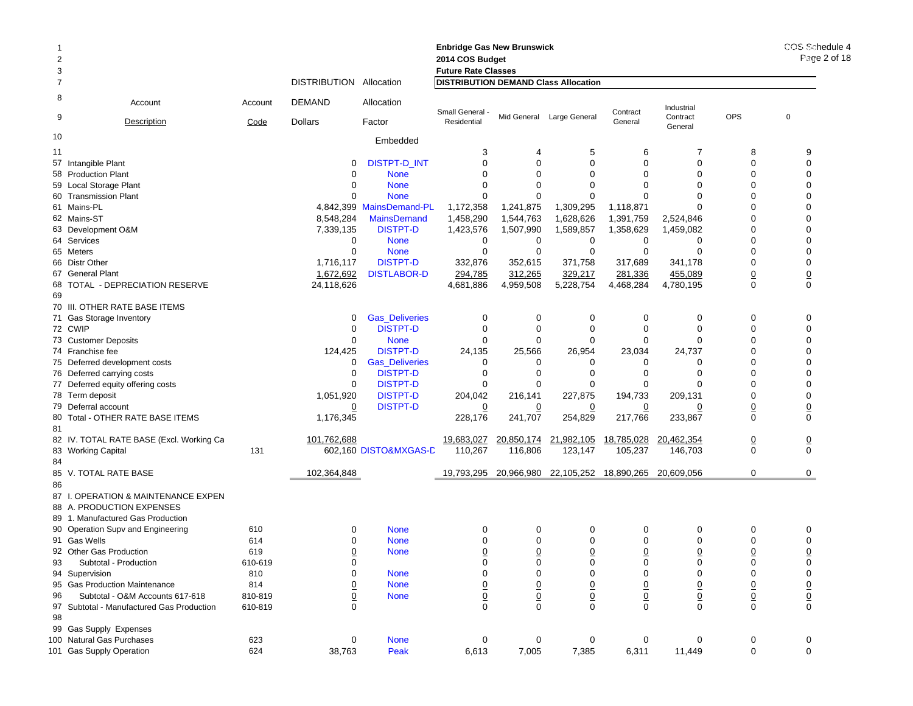|                |                                           |         |                               |                          | <b>Enbridge Gas New Brunswick</b>           |                             |                                |                            |                                |                                | COS Schedule 4<br>Page 2 of 18 |
|----------------|-------------------------------------------|---------|-------------------------------|--------------------------|---------------------------------------------|-----------------------------|--------------------------------|----------------------------|--------------------------------|--------------------------------|--------------------------------|
| 2              |                                           |         |                               |                          | 2014 COS Budget                             |                             |                                |                            |                                |                                |                                |
| 3              |                                           |         |                               |                          | <b>Future Rate Classes</b>                  |                             |                                |                            |                                |                                |                                |
| $\overline{7}$ |                                           |         | DISTRIBUTION Allocation       |                          | <b>DISTRIBUTION DEMAND Class Allocation</b> |                             |                                |                            |                                |                                |                                |
| 8              | Account                                   | Account | DEMAND                        | Allocation               | Small General                               |                             |                                | Contract                   | Industrial                     |                                |                                |
| 9              | <b>Description</b>                        | Code    | <b>Dollars</b>                | Factor                   | Residential                                 |                             | Mid General Large General      | General                    | Contract<br>General            | <b>OPS</b>                     | 0                              |
| 10             |                                           |         |                               | Embedded                 |                                             |                             |                                |                            |                                |                                |                                |
| 11             |                                           |         |                               |                          | 3                                           |                             | 5                              | 6                          | 7                              | 8                              | 9                              |
|                | 57 Intangible Plant                       |         | 0                             | <b>DISTPT-D INT</b>      | $\mathbf 0$                                 | $\Omega$                    | $\mathbf 0$                    | $\Omega$                   | 0                              | $\Omega$                       | $\mathbf 0$                    |
|                | 58 Production Plant                       |         | 0                             | <b>None</b>              | $\Omega$                                    | $\Omega$                    | $\Omega$                       | $\Omega$                   | $\Omega$                       | $\Omega$                       | $\Omega$                       |
|                | 59 Local Storage Plant                    |         | 0                             | <b>None</b>              | $\Omega$                                    |                             | $\Omega$                       | $\Omega$                   | $\Omega$                       | $\Omega$                       | $\Omega$                       |
|                | 60 Transmission Plant                     |         | 0                             | <b>None</b>              | 0                                           | $\Omega$                    | $\mathbf 0$                    | $\Omega$                   | $\Omega$                       | $\Omega$                       | $\Omega$                       |
|                | 61 Mains-PL                               |         |                               | 4.842.399 MainsDemand-PL | 1,172,358                                   | 1,241,875                   | 1,309,295                      | 1,118,871                  | $\Omega$                       | $\Omega$                       | $\Omega$                       |
|                | 62 Mains-ST                               |         | 8,548,284                     | <b>MainsDemand</b>       | 1,458,290                                   | 1,544,763                   | 1,628,626                      | 1,391,759                  | 2,524,846                      | $\Omega$                       | $\Omega$                       |
|                | 63 Development O&M                        |         | 7,339,135                     | <b>DISTPT-D</b>          | 1,423,576                                   | 1,507,990                   | 1,589,857                      | 1,358,629                  | 1,459,082                      | 0                              | $\Omega$                       |
|                | 64 Services                               |         | 0                             | <b>None</b>              | 0                                           | 0                           | 0                              | 0                          | 0                              | $\Omega$                       | $\Omega$                       |
|                | 65 Meters                                 |         | $\mathbf 0$                   | <b>None</b>              | $\mathbf 0$                                 | $\mathbf 0$                 | $\mathbf 0$                    | 0                          | $\mathbf 0$                    | $\mathbf 0$                    | $\Omega$                       |
|                | 66 Distr Other                            |         | 1,716,117                     | <b>DISTPT-D</b>          | 332,876                                     | 352,615                     | 371,758                        | 317,689                    | 341,178                        | $\mathbf 0$                    | $\mathbf 0$                    |
|                | 67 General Plant                          |         | 1,672,692                     | <b>DISTLABOR-D</b>       | 294,785                                     | 312,265                     | 329,217                        | 281,336                    | 455,089                        | $\underline{0}$                | $\overline{0}$                 |
|                | 68 TOTAL - DEPRECIATION RESERVE           |         | 24,118,626                    |                          | 4,681,886                                   | 4,959,508                   | 5,228,754                      | 4,468,284                  | 4,780,195                      | $\mathbf 0$                    | $\mathbf 0$                    |
| 69             |                                           |         |                               |                          |                                             |                             |                                |                            |                                |                                |                                |
|                | 70 III. OTHER RATE BASE ITEMS             |         |                               |                          |                                             |                             |                                |                            |                                |                                |                                |
|                | 71 Gas Storage Inventory                  |         | 0                             | <b>Gas_Deliveries</b>    | 0                                           | 0                           | 0                              | 0                          | 0                              | 0                              | 0                              |
|                | 72 CWIP                                   |         | $\mathbf 0$                   | <b>DISTPT-D</b>          | 0                                           | 0                           | 0                              | $\Omega$                   | $\mathbf 0$                    | $\mathbf 0$                    | $\mathbf 0$                    |
|                | 73 Customer Deposits                      |         | 0                             | <b>None</b>              | 0                                           | 0                           | 0                              | $\Omega$                   | $\Omega$                       | 0                              | $\Omega$                       |
|                | 74 Franchise fee                          |         | 124,425                       | <b>DISTPT-D</b>          | 24,135                                      | 25,566                      | 26,954                         | 23,034                     | 24,737                         | $\Omega$                       | $\Omega$                       |
|                | 75 Deferred development costs             |         | 0                             | <b>Gas_Deliveries</b>    | 0                                           | 0                           | 0                              | 0                          | 0                              | $\Omega$                       | $\Omega$                       |
|                | 76 Deferred carrying costs                |         | $\mathbf 0$                   | <b>DISTPT-D</b>          | 0                                           | $\Omega$                    | 0                              | $\Omega$                   | 0                              | $\Omega$                       | $\Omega$                       |
|                | 77 Deferred equity offering costs         |         | 0                             | <b>DISTPT-D</b>          | $\Omega$                                    | $\Omega$                    | $\Omega$                       | 0                          | $\Omega$                       | $\Omega$                       | $\mathbf 0$                    |
|                | 78 Term deposit                           |         | 1,051,920                     | <b>DISTPT-D</b>          | 204,042                                     | 216,141                     | 227,875                        | 194,733                    | 209,131                        | $\Omega$                       | $\mathbf 0$                    |
|                | 79 Deferral account                       |         | 0                             | <b>DISTPT-D</b>          | $\overline{0}$                              | 0                           | 0                              | 0                          | 0                              | $\underline{0}$                | $\overline{0}$                 |
|                | 80 Total - OTHER RATE BASE ITEMS          |         | 1,176,345                     |                          | 228,176                                     | 241,707                     | 254,829                        | 217,766                    | 233,867                        | $\mathbf 0$                    | $\mathbf 0$                    |
| 81             |                                           |         |                               |                          |                                             |                             |                                |                            |                                |                                |                                |
|                | 82 IV. TOTAL RATE BASE (Excl. Working Ca  |         | 101,762,688                   |                          | 19,683,027                                  | 20,850,174                  | 21,982,105                     | 18,785,028                 | 20,462,354                     | $\overline{0}$                 | $\overline{0}$                 |
|                | 83 Working Capital                        | 131     |                               | 602,160 DISTO&MXGAS-D    | 110,267                                     | 116,806                     | 123,147                        | 105,237                    | 146,703                        | $\mathbf 0$                    | $\mathbf 0$                    |
| 84             |                                           |         |                               |                          |                                             |                             |                                |                            |                                |                                |                                |
|                | 85 V. TOTAL RATE BASE                     |         | 102,364,848                   |                          | 19,793,295                                  | 20,966,980                  | 22,105,252                     | 18,890,265                 | 20,609,056                     | 0                              | 0                              |
| 86             |                                           |         |                               |                          |                                             |                             |                                |                            |                                |                                |                                |
|                | 87 I. OPERATION & MAINTENANCE EXPEN       |         |                               |                          |                                             |                             |                                |                            |                                |                                |                                |
|                | 88 A. PRODUCTION EXPENSES                 |         |                               |                          |                                             |                             |                                |                            |                                |                                |                                |
|                | 89 1. Manufactured Gas Production         |         |                               |                          |                                             |                             |                                |                            |                                |                                |                                |
|                | 90 Operation Supv and Engineering         | 610     | 0                             | <b>None</b>              | 0                                           | 0                           | 0                              | 0                          | 0                              | 0                              | 0                              |
|                | 91 Gas Wells                              | 614     | 0                             | <b>None</b>              | 0                                           | $\Omega$                    | $\Omega$                       | $\Omega$                   | $\Omega$                       | $\Omega$                       | $\Omega$                       |
|                | 92 Other Gas Production                   | 619     | <u>0</u>                      | <b>None</b>              | $\overline{0}$                              | $\overline{0}$              | $\overline{0}$                 | 0                          | 0                              | $\overline{0}$                 | $\overline{0}$                 |
| 93             | Subtotal - Production                     | 610-619 | 0                             |                          | 0                                           | 0                           | 0                              | 0                          | 0                              | 0                              | $\mathbf 0$                    |
|                | 94 Supervision                            | 810     | 0                             | <b>None</b>              | $\mathbf 0$                                 | 0                           | 0                              | 0                          | 0                              | 0                              | $\mathbf 0$                    |
|                | 95 Gas Production Maintenance             | 814     |                               | <b>None</b>              |                                             |                             |                                |                            |                                |                                |                                |
|                | Subtotal - O&M Accounts 617-618           | 810-819 | <u>0</u>                      |                          |                                             | $\overline{0}$              | $\overline{0}$                 | $\overline{0}$             | $\underline{0}$                | $\underline{0}$                |                                |
| 96             | 97 Subtotal - Manufactured Gas Production |         | $\overline{0}$<br>$\mathbf 0$ | <b>None</b>              | $\frac{0}{0}$                               | $\underline{0}$<br>$\Omega$ | $\underline{0}$<br>$\mathbf 0$ | $\overline{0}$<br>$\Omega$ | $\underline{0}$<br>$\mathbf 0$ | $\underline{0}$<br>$\mathbf 0$ | $\frac{0}{0}$                  |
|                |                                           | 610-819 |                               |                          |                                             |                             |                                |                            |                                |                                |                                |
| 98             |                                           |         |                               |                          |                                             |                             |                                |                            |                                |                                |                                |
|                | 99 Gas Supply Expenses                    |         |                               |                          |                                             |                             |                                |                            |                                |                                |                                |
|                | 100 Natural Gas Purchases                 | 623     | 0                             | <b>None</b>              | $\mathbf 0$                                 | 0                           | 0                              | 0                          | 0                              | 0                              | 0                              |
|                | 101 Gas Supply Operation                  | 624     | 38,763                        | Peak                     | 6,613                                       | 7,005                       | 7,385                          | 6,311                      | 11,449                         | 0                              | $\mathbf 0$                    |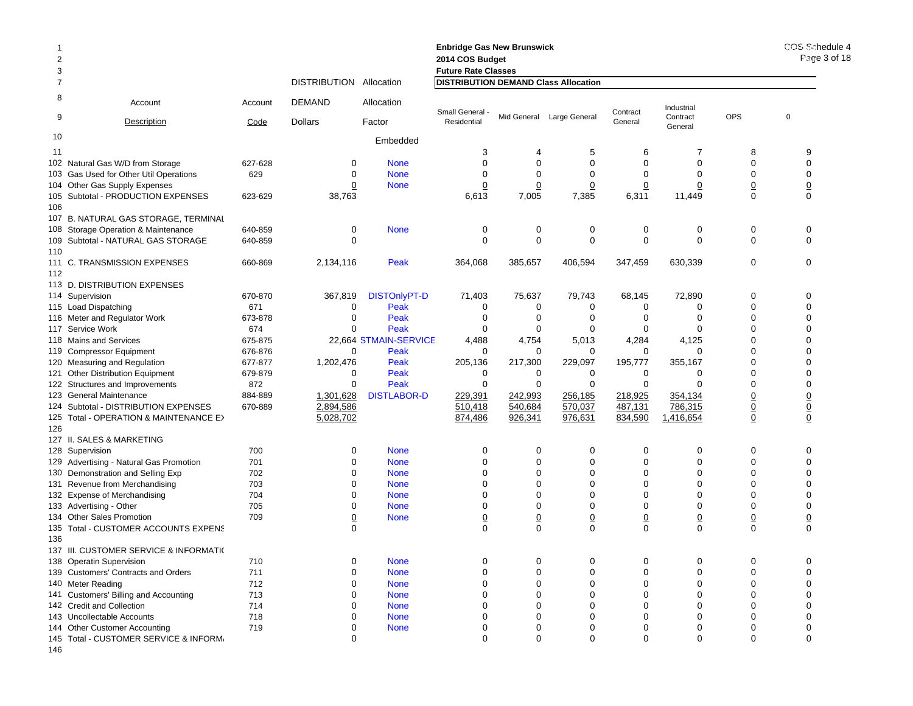| $\overline{2}$<br>3 |                                                                         |            |                         |                       | <b>Enbridge Gas New Brunswick</b><br>2014 COS Budget<br><b>Future Rate Classes</b> |                         |                           |                      |                     |                      | COS Sche<br>Page 3 |
|---------------------|-------------------------------------------------------------------------|------------|-------------------------|-----------------------|------------------------------------------------------------------------------------|-------------------------|---------------------------|----------------------|---------------------|----------------------|--------------------|
| 7                   |                                                                         |            | DISTRIBUTION Allocation |                       | <b>DISTRIBUTION DEMAND Class Allocation</b>                                        |                         |                           |                      |                     |                      |                    |
| 8                   | Account                                                                 | Account    | <b>DEMAND</b>           | Allocation            | Small General                                                                      |                         |                           | Contract             | Industrial          | <b>OPS</b>           |                    |
| 9                   | <b>Description</b>                                                      | Code       | <b>Dollars</b>          | Factor                | Residential                                                                        |                         | Mid General Large General | General              | Contract<br>General |                      | 0                  |
| 10                  |                                                                         |            |                         | Embedded              |                                                                                    |                         |                           |                      |                     |                      |                    |
| 11                  |                                                                         |            |                         |                       | 3                                                                                  | 4                       | 5                         | 6                    | 7                   | 8                    | 9                  |
|                     | 102 Natural Gas W/D from Storage                                        | 627-628    | 0                       | <b>None</b>           | $\Omega$                                                                           | $\mathbf 0$             | $\mathbf 0$               | $\Omega$             | 0                   | $\mathbf 0$          | $\mathbf 0$        |
|                     | 103 Gas Used for Other Util Operations                                  | 629        | 0                       | <b>None</b>           | $\Omega$                                                                           | $\Omega$                | $\Omega$                  | $\Omega$             | $\Omega$            | $\Omega$             | 0                  |
|                     | 104 Other Gas Supply Expenses                                           |            | 0                       | <b>None</b>           | 0                                                                                  | $\overline{0}$          | 0                         | 0                    | 0                   | $\overline{0}$       | $\overline{0}$     |
| 106                 | 105 Subtotal - PRODUCTION EXPENSES                                      | 623-629    | 38,763                  |                       | 6,613                                                                              | 7,005                   | 7,385                     | 6,311                | 11,449              | 0                    | $\mathbf 0$        |
|                     | 107 B. NATURAL GAS STORAGE, TERMINAL                                    |            |                         |                       |                                                                                    |                         |                           |                      |                     |                      |                    |
|                     | 108 Storage Operation & Maintenance                                     | 640-859    | 0                       | <b>None</b>           | 0                                                                                  | 0                       | $\mathbf 0$               | 0                    | 0                   | $\mathbf 0$          | 0                  |
| 110                 | 109 Subtotal - NATURAL GAS STORAGE                                      | 640-859    | $\mathbf 0$             |                       | $\Omega$                                                                           | $\mathbf 0$             | $\mathbf 0$               | $\mathbf 0$          | $\mathbf 0$         | $\Omega$             | $\Omega$           |
| 112                 | 111 C. TRANSMISSION EXPENSES                                            | 660-869    | 2,134,116               | Peak                  | 364,068                                                                            | 385,657                 | 406,594                   | 347,459              | 630,339             | $\mathbf 0$          | $\mathbf 0$        |
|                     | 113 D. DISTRIBUTION EXPENSES                                            |            |                         |                       |                                                                                    |                         |                           |                      |                     |                      |                    |
|                     | 114 Supervision                                                         | 670-870    | 367,819                 | <b>DISTOnlyPT-D</b>   | 71,403                                                                             | 75,637                  | 79,743                    | 68,145               | 72,890              | $\Omega$             | 0                  |
|                     | 115 Load Dispatching                                                    | 671        | 0                       | Peak                  | $\mathbf 0$                                                                        | 0                       | 0                         | 0                    | 0                   | $\mathbf 0$          | 0                  |
|                     | 116 Meter and Regulator Work                                            | 673-878    | $\mathbf 0$             | Peak                  | $\Omega$                                                                           | 0                       | $\mathbf 0$               | $\Omega$             | 0                   | $\Omega$             | 0                  |
|                     | 117 Service Work                                                        | 674        | $\Omega$                | Peak                  | 0                                                                                  | 0                       | $\Omega$                  | $\Omega$             | $\mathbf 0$         | $\Omega$             | 0                  |
|                     | 118 Mains and Services                                                  | 675-875    |                         | 22,664 STMAIN-SERVICE | 4,488                                                                              | 4,754                   | 5,013                     | 4,284                | 4,125               | $\Omega$             | $\Omega$           |
|                     | 119 Compressor Equipment                                                | 676-876    | $\Omega$                | Peak                  | $\Omega$                                                                           | 0                       | $\Omega$                  | 0                    | $\Omega$            | $\Omega$             | $\Omega$           |
|                     | 120 Measuring and Regulation                                            | 677-877    | 1,202,476               | Peak                  | 205,136                                                                            | 217,300                 | 229,097                   | 195,777              | 355,167             | $\mathbf 0$          | 0                  |
|                     | 121 Other Distribution Equipment                                        | 679-879    | 0                       | Peak                  | 0                                                                                  | 0                       | 0                         | 0                    | $\mathbf 0$         | $\Omega$             | $\mathbf 0$        |
|                     | 122 Structures and Improvements                                         | 872        | 0                       | Peak                  | $\Omega$                                                                           | 0                       | $\Omega$                  | 0                    | $\Omega$            | $\Omega$             | 0                  |
|                     | 123 General Maintenance                                                 | 884-889    | 1,301,628               | <b>DISTLABOR-D</b>    | 229,391                                                                            | 242,993                 | 256,185                   | 218,925              | 354,134             | $\overline{0}$       | $\underline{0}$    |
|                     | 124 Subtotal - DISTRIBUTION EXPENSES                                    | 670-889    | 2,894,586               |                       | 510,418                                                                            | 540,684                 | 570,037                   | 487,131              | 786,315             | $\overline{0}$       | $\underline{0}$    |
|                     | 125 Total - OPERATION & MAINTENANCE E>                                  |            | 5,028,702               |                       | 874,486                                                                            | 926,341                 | 976,631                   | 834,590              | 1,416,654           | $\overline{0}$       | $\underline{0}$    |
| 126                 |                                                                         |            |                         |                       |                                                                                    |                         |                           |                      |                     |                      |                    |
|                     | 127 II. SALES & MARKETING                                               |            |                         |                       |                                                                                    |                         |                           |                      |                     |                      |                    |
|                     | 128 Supervision                                                         | 700        | $\mathbf 0$             | <b>None</b>           | $\Omega$                                                                           | $\mathbf 0$             | $\mathbf 0$               | $\mathbf 0$          | $\mathbf 0$         | $\mathbf 0$          | 0                  |
|                     | 129 Advertising - Natural Gas Promotion                                 | 701        | $\mathbf 0$             | <b>None</b>           | $\Omega$                                                                           | $\mathbf 0$             | $\mathbf 0$               | $\Omega$             | $\mathbf 0$         | $\Omega$             | $\mathbf 0$        |
|                     | 130 Demonstration and Selling Exp                                       | 702        | $\Omega$                | <b>None</b>           | $\Omega$                                                                           | $\Omega$                | $\Omega$                  | $\Omega$             | $\Omega$            | $\Omega$             | $\Omega$           |
|                     | 131 Revenue from Merchandising                                          | 703        | $\Omega$                | <b>None</b>           | $\Omega$                                                                           | $\mathbf 0$             | $\Omega$                  | $\Omega$             | 0                   | $\Omega$             | 0                  |
|                     | 132 Expense of Merchandising                                            | 704        | 0                       | <b>None</b>           | 0                                                                                  | 0                       | 0                         | 0                    | 0                   | $\Omega$             | 0                  |
|                     | 133 Advertising - Other                                                 | 705        | $\mathbf 0$             | <b>None</b>           | $\Omega$                                                                           | $\mathbf 0$             | $\Omega$                  | $\Omega$             | $\Omega$            | $\Omega$             | $\mathbf 0$        |
|                     | 134 Other Sales Promotion                                               | 709        | $\overline{0}$          | <b>None</b>           | 0                                                                                  | $\overline{0}$          | $\overline{0}$            | 0                    | $\overline{0}$      | $\overline{0}$       | $\overline{0}$     |
|                     | 135 Total - CUSTOMER ACCOUNTS EXPENS                                    |            | $\Omega$                |                       | $\Omega$                                                                           | $\Omega$                | $\Omega$                  | $\Omega$             | $\Omega$            | $\Omega$             | $\Omega$           |
| 136                 |                                                                         |            |                         |                       |                                                                                    |                         |                           |                      |                     |                      |                    |
|                     | 137 III. CUSTOMER SERVICE & INFORMATI(                                  |            |                         |                       |                                                                                    |                         |                           |                      |                     |                      |                    |
|                     | 138 Operatin Supervision                                                | 710        | $\mathbf 0$             | <b>None</b>           | $\Omega$                                                                           | $\mathbf 0$             | $\mathbf 0$               | $\mathbf 0$          | $\mathbf 0$         | $\Omega$             | 0                  |
|                     | 139 Customers' Contracts and Orders                                     | 711        | $\mathbf 0$             | <b>None</b>           | $\Omega$                                                                           | $\mathbf 0$             | $\mathbf 0$               | 0                    | 0                   | $\Omega$             | $\mathbf 0$        |
|                     | 140 Meter Reading                                                       | 712        | $\Omega$                | <b>None</b>           | $\Omega$                                                                           | 0                       | $\mathbf 0$               | $\Omega$             | 0                   | $\Omega$             | 0                  |
|                     | 141 Customers' Billing and Accounting                                   | 713        | $\Omega$                | <b>None</b>           | $\Omega$                                                                           | $\mathbf 0$             | $\Omega$                  | $\Omega$             | $\Omega$            | $\Omega$             | $\mathbf 0$        |
|                     | 142 Credit and Collection                                               | 714        | 0<br>$\Omega$           | <b>None</b>           | 0<br>$\Omega$                                                                      | $\mathbf 0$<br>$\Omega$ | $\Omega$<br>$\Omega$      | $\Omega$<br>$\Omega$ | 0<br>$\Omega$       | $\Omega$<br>$\Omega$ | 0<br>$\Omega$      |
|                     | 143 Uncollectable Accounts                                              | 718<br>719 | 0                       | <b>None</b>           | 0                                                                                  | 0                       | 0                         | $\Omega$             | 0                   | $\Omega$             | 0                  |
|                     | 144 Other Customer Accounting<br>145 Total - CUSTOMER SERVICE & INFORM, |            | $\Omega$                | <b>None</b>           | $\Omega$                                                                           | $\Omega$                | $\Omega$                  | $\Omega$             | $\Omega$            | $\Omega$             | $\Omega$           |
|                     |                                                                         |            |                         |                       |                                                                                    |                         |                           |                      |                     |                      |                    |

146

COS Schedule 4 8 of 18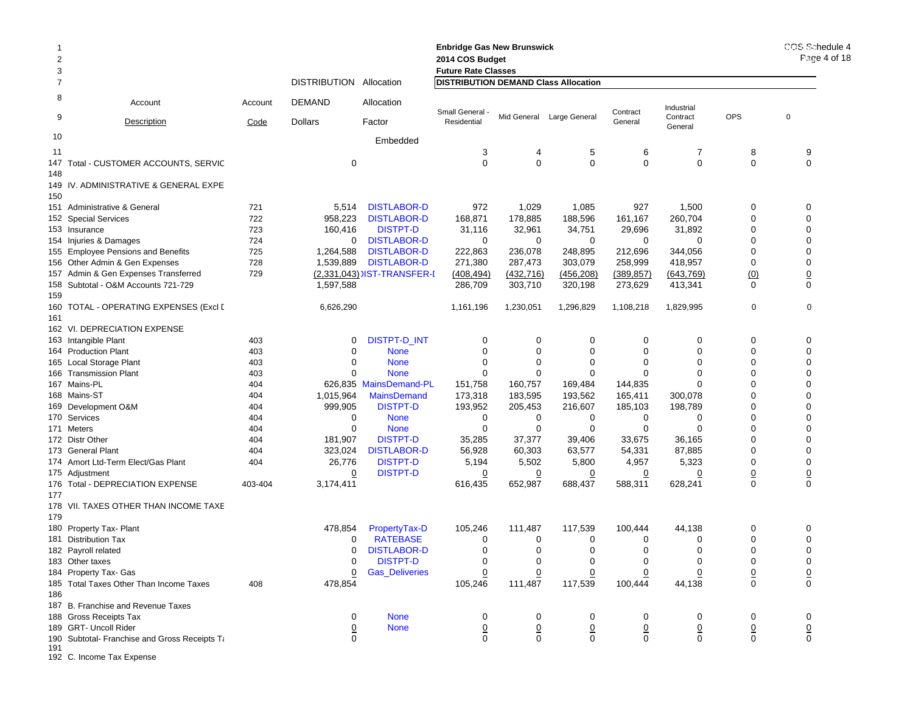| $\overline{c}$<br>3 |                                               |         |                         | <b>Enbridge Gas New Brunswick</b><br>2014 COS Budget<br><b>Future Rate Classes</b> |                                             | COS Schedule 4<br>$P: \Omega \to 4$ of 18 |                           |                |                     |                |                |
|---------------------|-----------------------------------------------|---------|-------------------------|------------------------------------------------------------------------------------|---------------------------------------------|-------------------------------------------|---------------------------|----------------|---------------------|----------------|----------------|
| $\overline{7}$      |                                               |         | DISTRIBUTION Allocation |                                                                                    | <b>DISTRIBUTION DEMAND Class Allocation</b> |                                           |                           |                |                     |                |                |
| 8                   | Account                                       | Account | DEMAND                  | Allocation                                                                         | Small General -                             |                                           |                           | Contract       | Industrial          |                |                |
| 9                   | Description                                   | Code    | <b>Dollars</b>          | Factor                                                                             | Residential                                 |                                           | Mid General Large General | General        | Contract<br>General | <b>OPS</b>     | $\mathbf 0$    |
| 10                  |                                               |         |                         | Embedded                                                                           |                                             |                                           |                           |                |                     |                |                |
| 11                  |                                               |         |                         |                                                                                    | 3                                           | 4                                         | 5                         | 6              | 7                   | 8              | 9              |
|                     | 147 Total - CUSTOMER ACCOUNTS, SERVIC         |         | 0                       |                                                                                    | $\Omega$                                    | $\mathbf 0$                               | $\mathbf 0$               | $\mathbf 0$    | 0                   | 0              | 0              |
| 148<br>150          | 149 IV. ADMINISTRATIVE & GENERAL EXPE         |         |                         |                                                                                    |                                             |                                           |                           |                |                     |                |                |
|                     | 151 Administrative & General                  | 721     | 5,514                   | <b>DISTLABOR-D</b>                                                                 | 972                                         | 1,029                                     | 1,085                     | 927            | 1,500               | 0              | 0              |
|                     | 152 Special Services                          | 722     | 958,223                 | <b>DISTLABOR-D</b>                                                                 | 168,871                                     | 178,885                                   | 188,596                   | 161,167        | 260,704             | 0              | $\mathbf 0$    |
|                     | 153 Insurance                                 | 723     | 160,416                 | <b>DISTPT-D</b>                                                                    | 31,116                                      | 32,961                                    | 34,751                    | 29,696         | 31,892              | 0              | $\mathbf 0$    |
|                     | 154 Injuries & Damages                        | 724     | 0                       | <b>DISTLABOR-D</b>                                                                 | 0                                           | 0                                         | 0                         | 0              | $\mathbf 0$         | 0              | 0              |
|                     | 155 Employee Pensions and Benefits            | 725     | 1,264,588               | <b>DISTLABOR-D</b>                                                                 | 222,863                                     | 236,078                                   | 248,895                   | 212,696        | 344,056             | 0              | $\mathbf 0$    |
|                     | 156 Other Admin & Gen Expenses                | 728     | 1,539,889               | <b>DISTLABOR-D</b>                                                                 | 271,380                                     | 287,473                                   | 303,079                   | 258,999        | 418,957             | 0              | 0              |
|                     | 157 Admin & Gen Expenses Transferred          | 729     |                         | (2,331,043) IST-TRANSFER-I                                                         | (408, 494)                                  | (432, 716)                                | (456, 208)                | (389, 857)     | (643,769)           | (0)            | $\overline{0}$ |
| 159                 | 158 Subtotal - O&M Accounts 721-729           |         | 1,597,588               |                                                                                    | 286,709                                     | 303,710                                   | 320,198                   | 273,629        | 413,341             | $\Omega$       | 0              |
| 161                 | 160   TOTAL - OPERATING EXPENSES (Excl [      |         | 6,626,290               |                                                                                    | 1,161,196                                   | 1,230,051                                 | 1,296,829                 | 1,108,218      | 1,829,995           | 0              | $\mathbf 0$    |
|                     | 162 VI. DEPRECIATION EXPENSE                  |         |                         |                                                                                    |                                             |                                           |                           |                |                     |                |                |
|                     | 163 Intangible Plant                          | 403     | 0                       | DISTPT-D_INT                                                                       | 0                                           | 0                                         | 0                         | 0              | 0                   | 0              | $\mathbf 0$    |
|                     | 164 Production Plant                          | 403     | 0                       | <b>None</b>                                                                        | 0                                           | 0                                         | 0                         | 0              | 0                   | 0              | $\mathbf 0$    |
|                     | 165 Local Storage Plant                       | 403     | 0                       | <b>None</b>                                                                        | 0                                           | 0                                         | 0                         | 0              | 0                   | 0              | $\mathbf 0$    |
|                     | 166 Transmission Plant                        | 403     | $\Omega$                | <b>None</b>                                                                        | $\Omega$                                    | 0                                         | 0                         | $\Omega$       | 0                   | 0              | $\mathbf 0$    |
|                     | 167 Mains-PL                                  | 404     |                         | 626,835 MainsDemand-PL                                                             | 151,758                                     | 160,757                                   | 169,484                   | 144,835        | 0                   | 0              | $\Omega$       |
|                     | 168 Mains-ST                                  | 404     | 1,015,964               | <b>MainsDemand</b>                                                                 | 173,318                                     | 183,595                                   | 193,562                   | 165,411        | 300,078             | 0              | $\mathbf 0$    |
|                     | 169 Development O&M                           | 404     | 999,905                 | <b>DISTPT-D</b>                                                                    | 193,952                                     | 205,453                                   | 216,607                   | 185,103        | 198,789             | 0              | 0              |
|                     | 170 Services                                  | 404     | 0                       | <b>None</b>                                                                        | 0                                           | 0                                         | 0                         | 0              | 0                   | 0              | $\mathbf 0$    |
|                     | 171 Meters                                    | 404     | $\Omega$                | <b>None</b>                                                                        | 0                                           | 0                                         | 0                         | 0              | $\Omega$            | 0              | $\mathbf 0$    |
|                     | 172 Distr Other                               | 404     | 181,907                 | <b>DISTPT-D</b>                                                                    | 35,285                                      | 37,377                                    | 39,406                    | 33,675         | 36,165              | 0              | $\mathbf 0$    |
|                     | 173 General Plant                             | 404     | 323,024                 | <b>DISTLABOR-D</b>                                                                 | 56,928                                      | 60,303                                    | 63,577                    | 54,331         | 87,885              | 0              | $\mathbf 0$    |
|                     | 174 Amort Ltd-Term Elect/Gas Plant            | 404     | 26,776                  | <b>DISTPT-D</b>                                                                    | 5,194                                       | 5,502                                     | 5,800                     | 4,957          | 5,323               | 0              | $\mathbf 0$    |
|                     | 175 Adjustment                                |         | 0                       | <b>DISTPT-D</b>                                                                    | 0                                           | $\overline{0}$                            | 0                         | 0              | 0                   | <u>0</u>       | $\overline{0}$ |
| 177                 | 176 Total - DEPRECIATION EXPENSE              | 403-404 | 3,174,411               |                                                                                    | 616,435                                     | 652,987                                   | 688,437                   | 588,311        | 628,241             | $\mathbf 0$    | $\mathbf 0$    |
| 179                 | 178 VII. TAXES OTHER THAN INCOME TAXE         |         |                         |                                                                                    |                                             |                                           |                           |                |                     |                |                |
|                     | 180 Property Tax- Plant                       |         | 478,854                 | PropertyTax-D                                                                      | 105,246                                     | 111,487                                   | 117,539                   | 100,444        | 44,138              | 0              | 0              |
|                     | 181 Distribution Tax                          |         | 0                       | <b>RATEBASE</b>                                                                    | 0                                           | 0                                         | 0                         | 0              | 0                   | 0              | 0              |
|                     | 182 Payroll related                           |         | 0                       | <b>DISTLABOR-D</b>                                                                 | $\mathbf 0$                                 | 0                                         | 0                         | 0              | 0                   | 0              | $\mathbf 0$    |
|                     | 183 Other taxes                               |         | 0                       | <b>DISTPT-D</b>                                                                    | 0                                           | 0                                         | 0                         | 0              | 0                   | 0              | 0              |
|                     | 184 Property Tax- Gas                         |         | 0                       | <b>Gas_Deliveries</b>                                                              | 0                                           | 0                                         | 0                         | 0              | 0                   | $\overline{0}$ | $\overline{0}$ |
| 186                 | 185 Total Taxes Other Than Income Taxes       | 408     | 478,854                 |                                                                                    | 105,246                                     | 111,487                                   | 117,539                   | 100,444        | 44,138              | 0              | $\mathbf 0$    |
|                     | 187 B. Franchise and Revenue Taxes            |         |                         |                                                                                    |                                             |                                           |                           |                |                     |                |                |
|                     | 188 Gross Receipts Tax                        |         | 0                       | <b>None</b>                                                                        | 0                                           | 0                                         | 0                         | 0              | 0                   | 0              | 0              |
|                     | 189 GRT- Uncoll Rider                         |         | <u>0</u>                | <b>None</b>                                                                        | $\overline{0}$                              | $\overline{0}$                            | $\underline{0}$           | $\overline{0}$ | $\overline{0}$      | $\overline{0}$ | $\overline{0}$ |
| 191                 | 190 Subtotal- Franchise and Gross Receipts Ta |         | 0                       |                                                                                    | $\mathbf 0$                                 | $\mathbf 0$                               | $\mathbf 0$               | $\mathbf 0$    | $\mathbf 0$         | $\mathbf 0$    | $\mathsf 0$    |

192 C. Income Tax Expense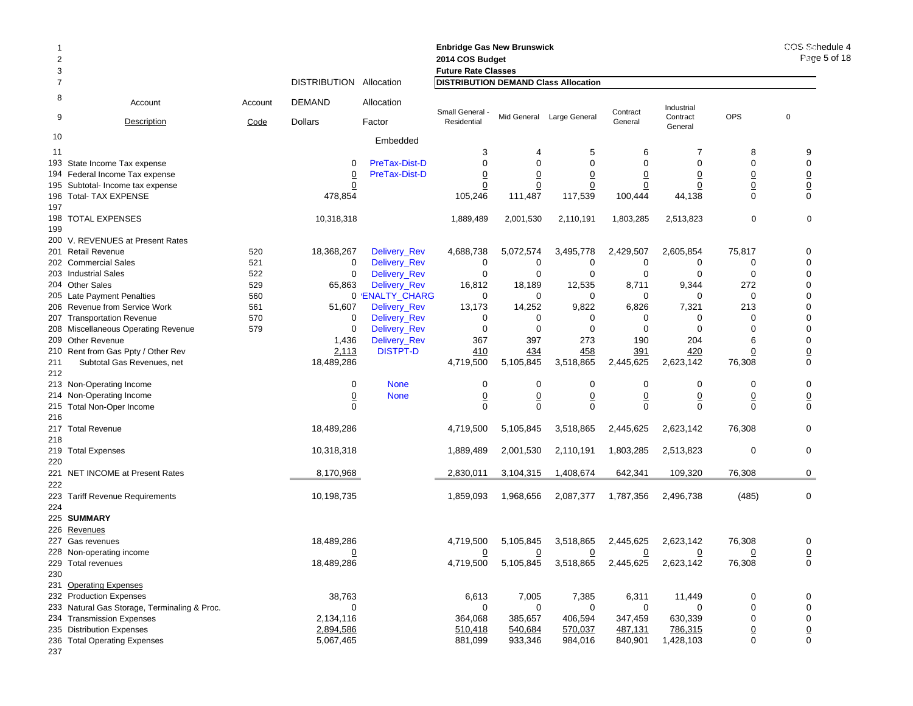| $\overline{2}$<br>3 |                                                        |            |                           |                              |                                             | <b>Enbridge Gas New Brunswick</b><br>2014 COS Budget<br><b>Future Rate Classes</b> |                           |                           |                          |                                |                                |
|---------------------|--------------------------------------------------------|------------|---------------------------|------------------------------|---------------------------------------------|------------------------------------------------------------------------------------|---------------------------|---------------------------|--------------------------|--------------------------------|--------------------------------|
|                     |                                                        |            | DISTRIBUTION Allocation   |                              | <b>DISTRIBUTION DEMAND Class Allocation</b> |                                                                                    |                           |                           |                          |                                |                                |
| 8                   | Account                                                | Account    | <b>DEMAND</b>             | Allocation                   | Small General -                             |                                                                                    |                           | Contract                  | Industrial               |                                |                                |
| 9                   | <b>Description</b>                                     | Code       | Dollars                   | Factor                       | Residential                                 |                                                                                    | Mid General Large General | General                   | Contract<br>General      | <b>OPS</b>                     | $\mathbf 0$                    |
| 10                  |                                                        |            |                           | Embedded                     |                                             |                                                                                    |                           |                           |                          |                                |                                |
| 11                  |                                                        |            |                           |                              | 3                                           |                                                                                    | 5                         | 6                         | 7                        | 8                              | 9                              |
| 193                 | State Income Tax expense                               |            | $\Omega$                  | PreTax-Dist-D                | $\mathbf 0$                                 | $\Omega$                                                                           | $\mathbf 0$               | $\Omega$                  | $\mathbf 0$              | $\mathbf 0$                    | $\mathbf 0$                    |
|                     | 194 Federal Income Tax expense                         |            | $\overline{0}$            | PreTax-Dist-D                | $\overline{0}$                              | 0                                                                                  | $\overline{0}$            | $\overline{0}$            | $\overline{0}$           | $\overline{0}$                 | $\underline{0}$                |
| 195                 | Subtotal- Income tax expense<br>196 Total- TAX EXPENSE |            | $\overline{0}$<br>478,854 |                              | $\overline{0}$<br>105,246                   | $\overline{0}$<br>111,487                                                          | $\overline{0}$<br>117,539 | $\overline{0}$<br>100,444 | $\overline{0}$<br>44,138 | $\underline{0}$<br>$\mathbf 0$ | $\underline{0}$<br>$\mathbf 0$ |
| 197                 |                                                        |            |                           |                              |                                             |                                                                                    |                           |                           |                          |                                |                                |
|                     | 198 TOTAL EXPENSES                                     |            | 10,318,318                |                              | 1,889,489                                   | 2,001,530                                                                          | 2,110,191                 | 1,803,285                 | 2,513,823                | $\mathbf 0$                    | $\mathbf 0$                    |
| 199                 |                                                        |            |                           |                              |                                             |                                                                                    |                           |                           |                          |                                |                                |
|                     | 200 V. REVENUES at Present Rates                       |            | 18,368,267                |                              |                                             |                                                                                    | 3,495,778                 |                           | 2,605,854                | 75,817                         |                                |
|                     | 201 Retail Revenue<br>202 Commercial Sales             | 520<br>521 | 0                         | Delivery_Rev<br>Delivery_Rev | 4,688,738<br>0                              | 5,072,574<br>0                                                                     | 0                         | 2,429,507<br>0            | 0                        | 0                              | 0<br>$\mathbf 0$               |
|                     | 203 Industrial Sales                                   | 522        | $\mathbf 0$               | Delivery_Rev                 | $\mathbf 0$                                 | $\mathbf 0$                                                                        | $\mathbf 0$               | $\mathbf 0$               | $\Omega$                 | $\mathbf 0$                    | $\mathbf 0$                    |
|                     | 204 Other Sales                                        | 529        | 65,863                    | Delivery_Rev                 | 16,812                                      | 18,189                                                                             | 12,535                    | 8,711                     | 9,344                    | 272                            | $\mathbf 0$                    |
|                     | 205 Late Payment Penalties                             | 560        |                           | 0 'ENALTY_CHARG              | 0                                           | $\mathbf 0$                                                                        | 0                         | $\mathbf 0$               | 0                        | $\mathbf 0$                    | $\mathbf 0$                    |
|                     | 206 Revenue from Service Work                          | 561        | 51,607                    | Delivery_Rev                 | 13,173                                      | 14,252                                                                             | 9,822                     | 6,826                     | 7,321                    | 213                            | $\Omega$                       |
|                     | 207 Transportation Revenue                             | 570        | 0                         | Delivery_Rev                 | 0                                           | 0                                                                                  | 0                         | $\mathbf 0$               | 0                        | $\mathbf 0$                    | $\mathbf 0$                    |
|                     | 208 Miscellaneous Operating Revenue                    | 579        | $\Omega$                  | Delivery_Rev                 | 0                                           | $\Omega$                                                                           | $\mathbf 0$               | $\mathbf 0$               | $\Omega$                 | $\Omega$                       | $\mathbf 0$                    |
|                     | 209 Other Revenue                                      |            | 1,436                     | Delivery_Rev                 | 367                                         | 397                                                                                | 273                       | 190                       | 204                      | 6                              | $\mathbf 0$                    |
|                     | 210 Rent from Gas Ppty / Other Rev                     |            | 2,113                     | <b>DISTPT-D</b>              | 410                                         | 434                                                                                | 458                       | 391                       | 420                      | $\overline{0}$                 | $\overline{0}$                 |
| 211<br>212          | Subtotal Gas Revenues, net                             |            | 18,489,286                |                              | 4,719,500                                   | 5,105,845                                                                          | 3,518,865                 | 2,445,625                 | 2,623,142                | 76,308                         | $\mathbf 0$                    |
|                     | 213 Non-Operating Income                               |            | $\mathbf 0$               | <b>None</b>                  | 0                                           | $\mathbf 0$                                                                        | 0                         | 0                         | 0                        | 0                              | $\mathbf 0$                    |
|                     | 214 Non-Operating Income                               |            | $\overline{0}$            | <b>None</b>                  | $\underline{0}$                             | $\underline{0}$                                                                    | $\overline{0}$            | $\underline{0}$           | $\overline{0}$           | $\underline{0}$                | $\overline{0}$                 |
| 216                 | 215 Total Non-Oper Income                              |            | $\Omega$                  |                              | 0                                           | $\mathbf 0$                                                                        | $\mathbf 0$               | $\mathbf 0$               | $\mathbf 0$              | $\mathbf 0$                    | $\mathbf 0$                    |
| 217                 | <b>Total Revenue</b>                                   |            | 18,489,286                |                              | 4,719,500                                   | 5,105,845                                                                          | 3,518,865                 | 2,445,625                 | 2,623,142                | 76,308                         | 0                              |
| 218                 |                                                        |            |                           |                              |                                             |                                                                                    |                           |                           |                          |                                |                                |
|                     | 219 Total Expenses                                     |            | 10,318,318                |                              | 1,889,489                                   | 2,001,530                                                                          | 2,110,191                 | 1,803,285                 | 2,513,823                | $\mathbf 0$                    | $\mathbf 0$                    |
| 220                 |                                                        |            |                           |                              |                                             |                                                                                    |                           |                           |                          |                                |                                |
|                     | 221 NET INCOME at Present Rates                        |            | 8,170,968                 |                              | 2,830,011                                   | 3,104,315                                                                          | 1,408,674                 | 642,341                   | 109,320                  | 76,308                         | 0                              |
| 222                 |                                                        |            |                           |                              |                                             |                                                                                    |                           |                           |                          |                                |                                |
| 223                 | <b>Tariff Revenue Requirements</b>                     |            | 10,198,735                |                              | 1,859,093                                   | 1,968,656                                                                          | 2,087,377                 | 1,787,356                 | 2,496,738                | (485)                          | 0                              |
| 224                 |                                                        |            |                           |                              |                                             |                                                                                    |                           |                           |                          |                                |                                |
|                     | 225 SUMMARY                                            |            |                           |                              |                                             |                                                                                    |                           |                           |                          |                                |                                |
| 226                 | Revenues<br>227 Gas revenues                           |            | 18,489,286                |                              |                                             |                                                                                    | 3,518,865                 |                           | 2,623,142                | 76,308                         | 0                              |
|                     | 228 Non-operating income                               |            | 0                         |                              | 4,719,500<br>$\overline{0}$                 | 5,105,845<br>$\overline{0}$                                                        | 0                         | 2,445,625<br>0            | 0                        | 0                              | $\overline{0}$                 |
|                     | 229 Total revenues                                     |            | 18,489,286                |                              | 4,719,500                                   | 5,105,845                                                                          | 3,518,865                 | 2,445,625                 | 2,623,142                | 76,308                         | 0                              |
| 230                 |                                                        |            |                           |                              |                                             |                                                                                    |                           |                           |                          |                                |                                |
|                     | 231 Operating Expenses                                 |            |                           |                              |                                             |                                                                                    |                           |                           |                          |                                |                                |
|                     | 232 Production Expenses                                |            | 38,763                    |                              | 6,613                                       | 7,005                                                                              | 7,385                     | 6,311                     | 11,449                   | 0                              | 0                              |
|                     | 233 Natural Gas Storage, Terminaling & Proc.           |            | 0                         |                              | 0                                           | 0                                                                                  | 0                         | $\mathbf 0$               | $\mathbf 0$              | $\mathbf 0$                    | 0                              |
|                     | 234 Transmission Expenses                              |            | 2,134,116                 |                              | 364,068                                     | 385,657                                                                            | 406,594                   | 347,459                   | 630,339                  | $\mathbf 0$                    | $\pmb{0}$                      |
|                     | 235 Distribution Expenses                              |            | 2,894,586                 |                              | 510,418                                     | 540,684                                                                            | 570,037                   | 487,131                   | 786,315                  | $\underline{0}$                | $\underline{0}$                |
|                     | 236 Total Operating Expenses                           |            | 5,067,465                 |                              | 881,099                                     | 933,346                                                                            | 984,016                   | 840,901                   | 1,428,103                | $\mathbf 0$                    | 0                              |
| 237                 |                                                        |            |                           |                              |                                             |                                                                                    |                           |                           |                          |                                |                                |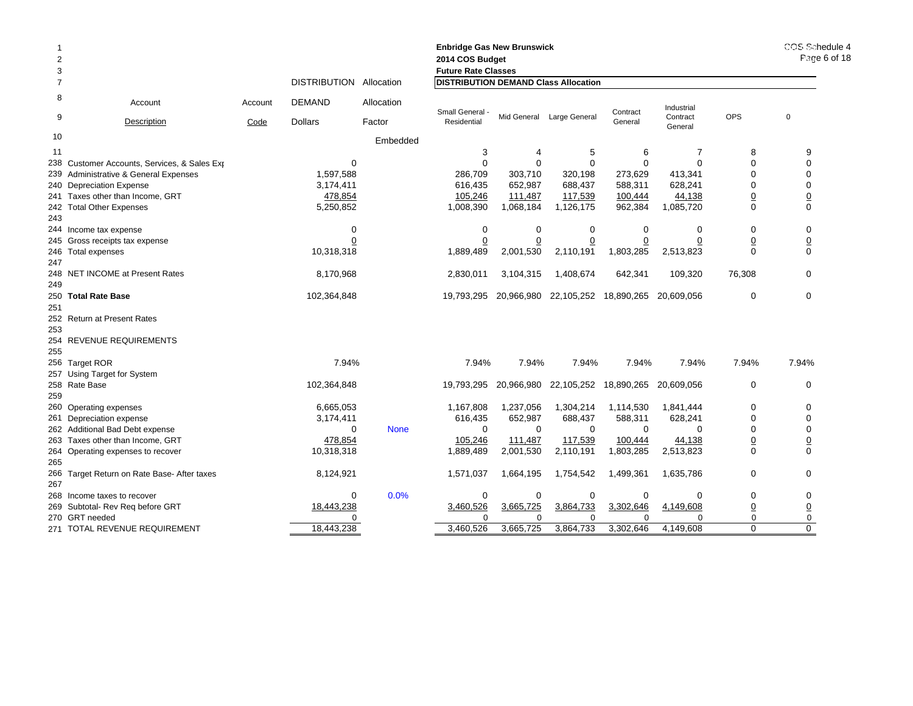| 2<br>3         |                                             |                 |                                 |                      | <b>Enbridge Gas New Brunswick</b><br>2014 COS Budget<br><b>Future Rate Classes</b> |             |                           |                     |                                   |                         |                 |  |  |
|----------------|---------------------------------------------|-----------------|---------------------------------|----------------------|------------------------------------------------------------------------------------|-------------|---------------------------|---------------------|-----------------------------------|-------------------------|-----------------|--|--|
| $\overline{7}$ |                                             |                 | <b>DISTRIBUTION</b>             | Allocation           | <b>DISTRIBUTION DEMAND Class Allocation</b>                                        |             |                           |                     |                                   |                         |                 |  |  |
| 8<br>9         | Account<br><b>Description</b>               | Account<br>Code | <b>DEMAND</b><br><b>Dollars</b> | Allocation<br>Factor | Small General -<br>Residential                                                     |             | Mid General Large General | Contract<br>General | Industrial<br>Contract<br>General | <b>OPS</b>              | $\mathbf 0$     |  |  |
| 10             |                                             |                 |                                 | Embedded             |                                                                                    |             |                           |                     |                                   |                         |                 |  |  |
| 11             |                                             |                 |                                 |                      | 3                                                                                  | 4           | 5                         | 6                   | $\overline{7}$                    | 8                       | 9               |  |  |
| 238            | Customer Accounts, Services, & Sales Exp    |                 | $\mathbf 0$                     |                      | 0                                                                                  | 0           | 0                         | $\Omega$            | $\Omega$                          | $\Omega$                | $\mathbf 0$     |  |  |
| 239            | Administrative & General Expenses           |                 | 1,597,588                       |                      | 286,709                                                                            | 303,710     | 320,198                   | 273,629             | 413,341                           | $\Omega$                | $\mathbf 0$     |  |  |
|                | 240 Depreciation Expense                    |                 | 3,174,411                       |                      | 616,435                                                                            | 652,987     | 688,437                   | 588,311             | 628,241                           | $\Omega$                | $\mathbf 0$     |  |  |
|                | 241 Taxes other than Income, GRT            |                 | 478,854                         |                      | 105,246                                                                            | 111,487     | 117,539                   | 100,444             | 44,138                            | $\overline{0}$          | $\overline{0}$  |  |  |
|                | 242 Total Other Expenses                    |                 | 5,250,852                       |                      | 1,008,390                                                                          | 1,068,184   | 1,126,175                 | 962,384             | 1,085,720                         | $\Omega$                | $\mathbf 0$     |  |  |
| 243            |                                             |                 |                                 |                      |                                                                                    |             |                           |                     |                                   |                         |                 |  |  |
|                | 244 Income tax expense                      |                 | $\mathbf 0$                     |                      | $\mathbf 0$                                                                        | $\mathbf 0$ | $\mathbf 0$               | $\Omega$            | 0                                 | $\mathbf 0$             | $\mathbf 0$     |  |  |
|                | 245 Gross receipts tax expense              |                 | 0                               |                      |                                                                                    |             |                           |                     |                                   | $\overline{0}$          |                 |  |  |
|                | 246 Total expenses                          |                 | 10,318,318                      |                      | 1,889,489                                                                          | 2,001,530   | 2,110,191                 | 1,803,285           | 2,513,823                         | $\Omega$                | $\frac{0}{0}$   |  |  |
| 247            |                                             |                 |                                 |                      |                                                                                    |             |                           |                     |                                   |                         |                 |  |  |
|                | 248 NET INCOME at Present Rates             |                 | 8,170,968                       |                      | 2,830,011                                                                          | 3,104,315   | 1,408,674                 | 642,341             | 109,320                           | 76,308                  | $\Omega$        |  |  |
| 249            |                                             |                 |                                 |                      |                                                                                    |             |                           |                     |                                   |                         |                 |  |  |
|                | 250 Total Rate Base                         |                 | 102,364,848                     |                      | 19,793,295                                                                         | 20,966,980  | 22,105,252                | 18,890,265          | 20,609,056                        | $\mathbf 0$             | $\mathbf 0$     |  |  |
| 251            |                                             |                 |                                 |                      |                                                                                    |             |                           |                     |                                   |                         |                 |  |  |
|                | 252 Return at Present Rates                 |                 |                                 |                      |                                                                                    |             |                           |                     |                                   |                         |                 |  |  |
| 253            |                                             |                 |                                 |                      |                                                                                    |             |                           |                     |                                   |                         |                 |  |  |
|                | 254 REVENUE REQUIREMENTS                    |                 |                                 |                      |                                                                                    |             |                           |                     |                                   |                         |                 |  |  |
| 255            |                                             |                 |                                 |                      |                                                                                    |             |                           |                     |                                   |                         |                 |  |  |
|                | 256 Target ROR                              |                 | 7.94%                           |                      | 7.94%                                                                              | 7.94%       | 7.94%                     | 7.94%               | 7.94%                             | 7.94%                   | 7.94%           |  |  |
|                | 257 Using Target for System                 |                 |                                 |                      |                                                                                    |             |                           |                     |                                   |                         |                 |  |  |
|                | 258 Rate Base                               |                 | 102,364,848                     |                      | 19,793,295                                                                         | 20,966,980  | 22,105,252                | 18,890,265          | 20,609,056                        | 0                       | $\mathbf 0$     |  |  |
| 259            |                                             |                 |                                 |                      |                                                                                    |             |                           |                     |                                   |                         |                 |  |  |
|                | 260 Operating expenses                      |                 | 6,665,053                       |                      | 1,167,808                                                                          | 1,237,056   | 1,304,214                 | 1,114,530           | 1,841,444                         | $\mathbf 0$             | $\mathbf 0$     |  |  |
|                | 261 Depreciation expense                    |                 | 3,174,411                       |                      | 616,435                                                                            | 652,987     | 688,437                   | 588,311             | 628,241                           | $\Omega$                | $\mathbf 0$     |  |  |
|                | 262 Additional Bad Debt expense             |                 | $\Omega$                        | <b>None</b>          | $\Omega$                                                                           | $\Omega$    | $\Omega$                  | $\Omega$            | $\Omega$                          | $\Omega$                | $\mathbf 0$     |  |  |
|                | 263 Taxes other than Income, GRT            |                 | 478,854                         |                      | 105,246                                                                            | 111,487     | 117,539                   | 100,444             | 44,138                            | $\overline{0}$          | $\overline{0}$  |  |  |
|                | 264 Operating expenses to recover           |                 | 10,318,318                      |                      | 1,889,489                                                                          | 2,001,530   | 2,110,191                 | 1,803,285           | 2,513,823                         | $\Omega$                | $\Omega$        |  |  |
| 265            |                                             |                 |                                 |                      |                                                                                    |             |                           |                     |                                   |                         |                 |  |  |
|                | 266 Target Return on Rate Base- After taxes |                 | 8,124,921                       |                      | 1,571,037                                                                          | 1,664,195   | 1,754,542                 | 1,499,361           | 1,635,786                         | $\mathbf 0$             | $\mathbf 0$     |  |  |
| 267            |                                             |                 |                                 |                      |                                                                                    |             |                           |                     |                                   |                         |                 |  |  |
|                | 268 Income taxes to recover                 |                 | $\mathbf 0$                     | 0.0%                 | $\mathbf 0$                                                                        | 0           | 0                         | 0                   | $\Omega$                          | 0                       | 0               |  |  |
|                | 269 Subtotal- Rev Reg before GRT            |                 | 18,443,238                      |                      | 3,460,526                                                                          | 3,665,725   | 3,864,733                 | 3,302,646           | 4,149,608                         | $\overline{0}$          | $\underline{0}$ |  |  |
|                | 270 GRT needed                              |                 | 0                               |                      | 0                                                                                  | $\Omega$    | $\Omega$                  | $\Omega$            | $\Omega$                          | $\mathbf 0$<br>$\Omega$ | 0<br>$\Omega$   |  |  |
|                | 271 TOTAL REVENUE REQUIREMENT               |                 | 18,443,238                      |                      | 3,460,526                                                                          | 3,665,725   | 3,864,733                 | 3,302,646           | 4,149,608                         |                         |                 |  |  |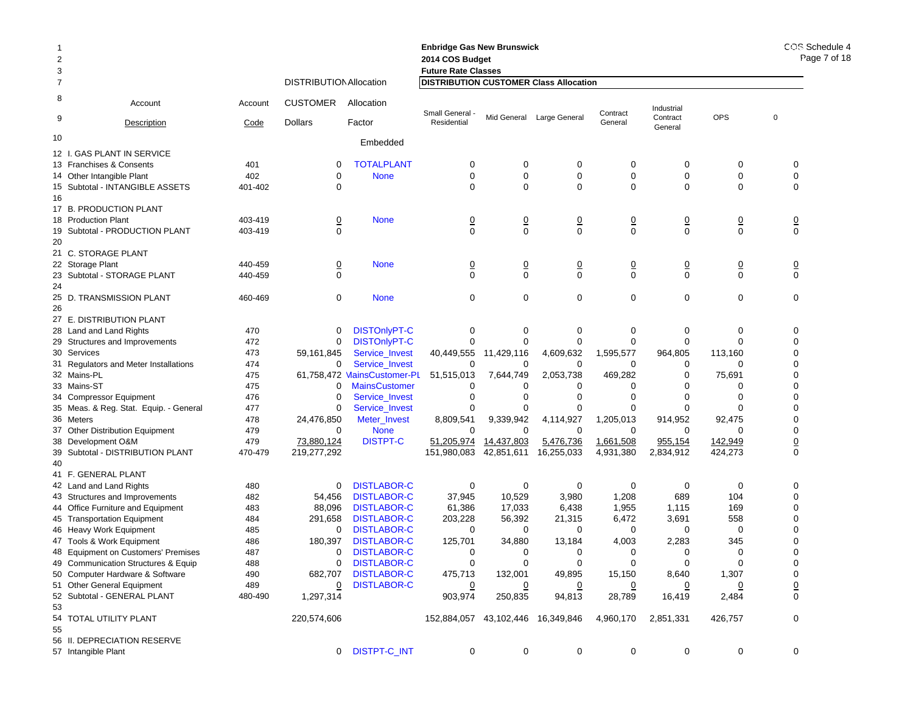|                |                                                               |            |                                |                                          | <b>Enbridge Gas New Brunswick</b>             |                           |                          |                    |                     |                 | COS Schedule 4<br>Page 7 of 18 |
|----------------|---------------------------------------------------------------|------------|--------------------------------|------------------------------------------|-----------------------------------------------|---------------------------|--------------------------|--------------------|---------------------|-----------------|--------------------------------|
| $\overline{2}$ |                                                               |            |                                |                                          | 2014 COS Budget                               |                           |                          |                    |                     |                 |                                |
| 3              |                                                               |            |                                |                                          | <b>Future Rate Classes</b>                    |                           |                          |                    |                     |                 |                                |
| $\overline{7}$ |                                                               |            | <b>DISTRIBUTION Allocation</b> |                                          | <b>DISTRIBUTION CUSTOMER Class Allocation</b> |                           |                          |                    |                     |                 |                                |
| 8              | Account                                                       | Account    | <b>CUSTOMER</b>                | Allocation                               | Small General -                               |                           |                          | Contract           | Industrial          |                 | $\mathbf 0$                    |
| 9              | Description                                                   | Code       | <b>Dollars</b>                 | Factor                                   | Residential                                   | Mid General               | Large General            | General            | Contract<br>General | <b>OPS</b>      |                                |
| 10             |                                                               |            |                                | Embedded                                 |                                               |                           |                          |                    |                     |                 |                                |
|                | 12 I. GAS PLANT IN SERVICE                                    |            |                                |                                          |                                               |                           |                          |                    |                     |                 |                                |
|                | 13 Franchises & Consents                                      | 401        | 0                              | <b>TOTALPLANT</b>                        | 0                                             | 0                         | 0                        | 0                  | 0                   | 0               | 0                              |
|                | 14 Other Intangible Plant                                     | 402        | 0                              | <b>None</b>                              | 0                                             | 0                         | 0                        | 0                  | 0                   | 0               | 0                              |
|                | 15 Subtotal - INTANGIBLE ASSETS                               | 401-402    | 0                              |                                          | $\Omega$                                      | $\mathbf 0$               | $\Omega$                 | $\mathbf 0$        | 0                   | 0               | $\mathbf 0$                    |
| 16             |                                                               |            |                                |                                          |                                               |                           |                          |                    |                     |                 |                                |
|                | 17 B. PRODUCTION PLANT                                        |            |                                |                                          |                                               |                           |                          |                    |                     |                 |                                |
|                | 18 Production Plant                                           | 403-419    | $\overline{0}$                 | <b>None</b>                              | $\frac{0}{0}$                                 | $\frac{0}{0}$             | $\frac{0}{0}$            | $\frac{0}{0}$      | $\frac{0}{0}$       | $\overline{0}$  | $\frac{0}{0}$                  |
|                | 19 Subtotal - PRODUCTION PLANT                                | 403-419    | $\Omega$                       |                                          |                                               |                           |                          |                    |                     | 0               |                                |
| 20             |                                                               |            |                                |                                          |                                               |                           |                          |                    |                     |                 |                                |
|                | 21 C. STORAGE PLANT                                           |            |                                |                                          |                                               |                           |                          |                    |                     |                 |                                |
|                | 22 Storage Plant                                              | 440-459    | $\overline{0}$                 | <b>None</b>                              | $\overline{0}$                                | 0                         | $\overline{0}$           | $\overline{0}$     | $\overline{0}$      | $\overline{0}$  | $\overline{\mathbf{0}}$        |
|                | 23 Subtotal - STORAGE PLANT                                   | 440-459    | $\Omega$                       |                                          | $\Omega$                                      | $\mathbf 0$               | $\mathbf 0$              | $\mathbf 0$        | $\mathbf 0$         | 0               | $\mathsf 0$                    |
| 24             |                                                               |            |                                |                                          |                                               |                           |                          |                    |                     |                 |                                |
|                | 25 D. TRANSMISSION PLANT                                      | 460-469    | 0                              | <b>None</b>                              | $\mathbf 0$                                   | 0                         | $\mathbf 0$              | 0                  | 0                   | 0               | $\mathbf 0$                    |
| 26             |                                                               |            |                                |                                          |                                               |                           |                          |                    |                     |                 |                                |
|                | 27 E. DISTRIBUTION PLANT                                      |            |                                |                                          |                                               |                           |                          |                    |                     |                 |                                |
|                | 28 Land and Land Rights                                       | 470        | 0                              | <b>DISTOnlyPT-C</b>                      | 0                                             | 0                         | 0                        | 0                  | 0                   | 0               | 0                              |
|                | 29 Structures and Improvements                                | 472        | 0                              | <b>DISTOnlyPT-C</b>                      | $\Omega$                                      | 0                         | 0                        | 0                  | 0                   | 0               | 0                              |
|                | 30 Services                                                   | 473        | 59,161,845                     | Service Invest                           | 40,449,555                                    | 11,429,116                | 4,609,632                | 1,595,577          | 964,805             | 113,160         | 0                              |
|                | 31 Regulators and Meter Installations                         | 474        | 0                              | Service_Invest                           | <sup>0</sup>                                  | 0                         | 0                        | 0                  | 0                   | 0               | 0                              |
|                | 32 Mains-PL                                                   | 475        |                                | 61,758,472 MainsCustomer-PL              | 51,515,013                                    | 7,644,749                 | 2,053,738                | 469,282            |                     | 75,691          | 0                              |
|                | 33 Mains-ST                                                   | 475        | 0                              | <b>MainsCustomer</b>                     |                                               | 0                         |                          | O                  |                     | 0               | 0                              |
|                | 34 Compressor Equipment                                       | 476        | 0                              | Service_Invest                           | <sup>0</sup>                                  | 0                         | 0                        | 0                  | 0                   | $\Omega$        | 0                              |
|                | 35 Meas. & Reg. Stat. Equip. - General                        | 477        | 0                              | Service_Invest                           |                                               | $\Omega$                  |                          | $\Omega$           | $\Omega$            | 0               | 0                              |
|                | 36 Meters                                                     | 478        | 24,476,850                     | Meter_Invest                             | 8,809,541                                     | 9,339,942                 | 4,114,927                | 1,205,013          | 914,952             | 92,475          | 0                              |
|                | 37 Other Distribution Equipment                               | 479        | $\mathbf 0$                    | <b>None</b>                              | $\Omega$                                      | 0                         | $\Omega$                 | 0                  | 0                   | $\Omega$        | 0                              |
|                | 38 Development O&M                                            | 479        | 73,880,124                     | <b>DISTPT-C</b>                          | 51,205,974                                    | 14,437,803                | 5,476,736                | 1,661,508          | 955,154             | 142,949         | $\overline{0}$                 |
|                | 39 Subtotal - DISTRIBUTION PLANT                              | 470-479    | 219,277,292                    |                                          | 151,980,083                                   | 42,851,611                | 16,255,033               | 4,931,380          | 2,834,912           | 424,273         | 0                              |
| 40             |                                                               |            |                                |                                          |                                               |                           |                          |                    |                     |                 |                                |
|                | 41 F. GENERAL PLANT                                           |            |                                | <b>DISTLABOR-C</b>                       |                                               |                           |                          |                    |                     |                 |                                |
|                | 42 Land and Land Rights                                       | 480        | 0                              | <b>DISTLABOR-C</b>                       | 0                                             | 0<br>10,529               | 0<br>3,980               | 0<br>1,208         | 0<br>689            | 0               | 0<br>0                         |
|                | 43 Structures and Improvements                                | 482        | 54,456                         | <b>DISTLABOR-C</b>                       | 37,945<br>61,386                              |                           |                          | 1,955              |                     | 104<br>169      | 0                              |
|                | 44 Office Furniture and Equipment                             | 483        | 88,096                         |                                          |                                               | 17,033                    | 6,438                    |                    | 1,115               |                 |                                |
|                | 45 Transportation Equipment                                   | 484        | 291,658                        | <b>DISTLABOR-C</b><br><b>DISTLABOR-C</b> | 203,228<br>0                                  | 56,392<br>0               | 21,315<br>0              | 6,472<br>0         | 3,691<br>0          | 558<br>$\Omega$ | 0<br>0                         |
|                | 46 Heavy Work Equipment<br>47 Tools & Work Equipment          | 485<br>486 | 0                              | <b>DISTLABOR-C</b>                       |                                               |                           |                          |                    |                     |                 | 0                              |
|                |                                                               | 487        | 180,397<br>0                   | <b>DISTLABOR-C</b>                       | 125,701<br>0                                  | 34,880<br>0               | 13,184<br>0              | 4,003<br>0         | 2,283<br>0          | 345<br>0        | 0                              |
|                | 48 Equipment on Customers' Premises                           |            |                                |                                          |                                               |                           |                          |                    |                     | 0               |                                |
|                | 49 Communication Structures & Equip                           | 488        | $\mathbf{0}$<br>682,707        | <b>DISTLABOR-C</b><br><b>DISTLABOR-C</b> | 0                                             | 0                         | 0                        | 0                  | 0                   |                 | 0                              |
|                | 50 Computer Hardware & Software<br>51 Other General Equipment | 490<br>489 |                                | <b>DISTLABOR-C</b>                       | 475,713                                       | 132,001                   | 49,895                   | 15,150             | 8,640               | 1,307           | 0                              |
|                | 52 Subtotal - GENERAL PLANT                                   | 480-490    | $\overline{0}$<br>1,297,314    |                                          | $\overline{0}$<br>903,974                     | $\overline{0}$<br>250,835 | $\overline{0}$<br>94,813 | <u>0</u><br>28,789 | 16,419              | 0<br>2,484      | $\underline{0}$<br>0           |
| 53             |                                                               |            |                                |                                          |                                               |                           |                          |                    |                     |                 |                                |
|                | 54 TOTAL UTILITY PLANT                                        |            | 220,574,606                    |                                          | 152,884,057 43,102,446 16,349,846             |                           |                          | 4,960,170          | 2,851,331           | 426,757         | 0                              |
| 55             |                                                               |            |                                |                                          |                                               |                           |                          |                    |                     |                 |                                |
|                | 56 II. DEPRECIATION RESERVE                                   |            |                                |                                          |                                               |                           |                          |                    |                     |                 |                                |
|                | 57 Intangible Plant                                           |            |                                | 0 DISTPT-C_INT                           | 0                                             | 0                         | 0                        | 0                  | 0                   | 0               | $\mathbf 0$                    |
|                |                                                               |            |                                |                                          |                                               |                           |                          |                    |                     |                 |                                |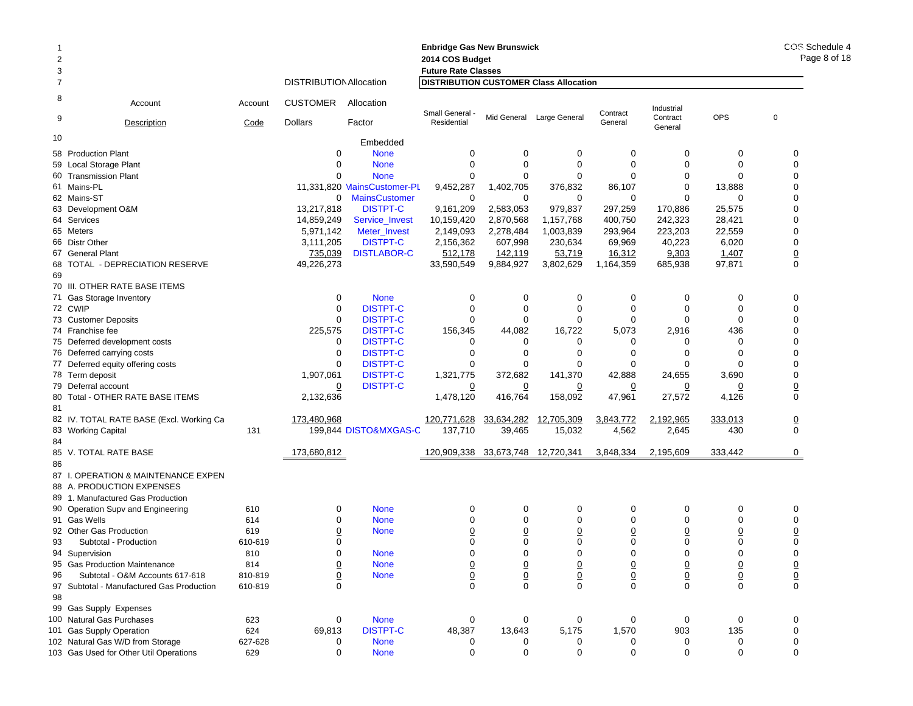|                |                                                                            |                |                                |                                | <b>Enbridge Gas New Brunswick</b>             |                  |                             |                                   |                            |                            | COS Schedule 4  |
|----------------|----------------------------------------------------------------------------|----------------|--------------------------------|--------------------------------|-----------------------------------------------|------------------|-----------------------------|-----------------------------------|----------------------------|----------------------------|-----------------|
| $\overline{2}$ |                                                                            |                |                                |                                | 2014 COS Budget                               | Page 8 of 18     |                             |                                   |                            |                            |                 |
| 3              |                                                                            |                |                                |                                | <b>Future Rate Classes</b>                    |                  |                             |                                   |                            |                            |                 |
| 7              |                                                                            |                | <b>DISTRIBUTION Allocation</b> |                                | <b>DISTRIBUTION CUSTOMER Class Allocation</b> |                  |                             |                                   |                            |                            |                 |
| 8<br>9         | Account                                                                    | Account        | <b>CUSTOMER</b>                | Allocation                     | Small General -                               |                  | Mid General Large General   | Contract<br>General               | Industrial<br>Contract     | <b>OPS</b>                 | $\mathbf 0$     |
|                | Description                                                                | Code           | <b>Dollars</b>                 | Factor                         | Residential                                   |                  |                             |                                   | General                    |                            |                 |
| 10             |                                                                            |                |                                | Embedded                       |                                               |                  |                             |                                   |                            |                            |                 |
|                | 58 Production Plant                                                        |                | 0                              | <b>None</b>                    | 0                                             | 0                | 0                           | $\mathbf 0$                       | 0                          | 0                          | 0               |
|                | 59 Local Storage Plant                                                     |                | $\Omega$                       | <b>None</b>                    | $\mathbf 0$                                   | $\mathbf 0$      | $\mathbf 0$                 | $\mathbf 0$                       | $\mathbf 0$                | $\mathbf 0$                | 0               |
|                | 60 Transmission Plant                                                      |                | 0                              | <b>None</b>                    | 0                                             | 0                | 0                           | $\mathbf 0$                       | 0                          | $\Omega$                   | 0               |
|                | 61 Mains-PL                                                                |                |                                | 11.331.820 MainsCustomer-PL    | 9,452,287                                     | 1,402,705        | 376,832                     | 86,107                            | $\Omega$                   | 13,888                     | 0               |
|                | 62 Mains-ST                                                                |                | 0                              | <b>MainsCustomer</b>           | 0                                             | 0                | 0                           | 0                                 | $\Omega$                   | 0                          | 0               |
|                | 63 Development O&M                                                         |                | 13,217,818                     | <b>DISTPT-C</b>                | 9,161,209                                     | 2,583,053        | 979,837                     | 297,259                           | 170,886                    | 25,575                     | 0               |
|                | 64 Services                                                                |                | 14,859,249                     | Service_Invest                 | 10,159,420                                    | 2,870,568        | 1,157,768                   | 400,750                           | 242,323                    | 28,421                     | 0               |
|                | 65 Meters                                                                  |                | 5,971,142                      | Meter_Invest                   | 2,149,093                                     | 2,278,484        | 1,003,839                   | 293,964                           | 223,203                    | 22,559                     | 0               |
|                | 66 Distr Other                                                             |                | 3,111,205                      | <b>DISTPT-C</b>                | 2,156,362                                     | 607,998          | 230,634                     | 69,969                            | 40,223                     | 6,020                      | 0               |
|                | 67 General Plant                                                           |                | 735,039                        | <b>DISTLABOR-C</b>             | 512,178                                       | 142,119          | 53,719                      | 16,312                            | 9,303                      | 1,407                      | $\underline{0}$ |
|                | 68 TOTAL - DEPRECIATION RESERVE                                            |                | 49,226,273                     |                                | 33,590,549                                    | 9,884,927        | 3,802,629                   | 1,164,359                         | 685,938                    | 97,871                     | 0               |
| 69             |                                                                            |                |                                |                                |                                               |                  |                             |                                   |                            |                            |                 |
|                | 70 III. OTHER RATE BASE ITEMS                                              |                |                                |                                |                                               |                  |                             |                                   |                            |                            |                 |
|                | 71 Gas Storage Inventory                                                   |                | 0                              | <b>None</b>                    | 0                                             | 0                | $\mathbf 0$                 | $\mathbf 0$                       | 0                          | 0                          | 0               |
|                | 72 CWIP                                                                    |                | $\mathbf 0$                    | <b>DISTPT-C</b>                | 0                                             | 0                | 0                           | $\mathbf 0$                       | 0                          | 0                          | 0               |
|                | 73 Customer Deposits                                                       |                | $\mathbf 0$                    | <b>DISTPT-C</b>                | 0                                             | $\mathbf 0$      | $\mathbf 0$                 | $\mathbf 0$                       | $\Omega$                   | $\Omega$                   | 0               |
|                | 74 Franchise fee                                                           |                | 225,575                        | <b>DISTPT-C</b>                | 156,345                                       | 44,082           | 16,722                      | 5,073                             | 2,916                      | 436                        | 0               |
|                | 75 Deferred development costs                                              |                | 0                              | <b>DISTPT-C</b>                | 0                                             | 0                | 0                           | 0                                 | 0                          | 0                          | 0               |
|                | 76 Deferred carrying costs                                                 |                | 0                              | <b>DISTPT-C</b>                | 0                                             | 0                | $\mathbf 0$                 | 0                                 | 0                          | $\Omega$                   | 0               |
|                | 77 Deferred equity offering costs                                          |                | $\mathbf 0$                    | <b>DISTPT-C</b>                | 0                                             | 0                | 0                           | 0                                 | 0                          | $\Omega$                   | 0               |
|                | 78 Term deposit                                                            |                | 1,907,061                      | <b>DISTPT-C</b>                | 1,321,775                                     | 372,682          | 141,370                     | 42,888                            | 24,655                     | 3,690                      | 0               |
|                | 79 Deferral account                                                        |                | 0                              | <b>DISTPT-C</b>                | 0                                             | 0                | 0                           | 0                                 | 0                          | 0                          | $\overline{0}$  |
|                | 80 Total - OTHER RATE BASE ITEMS                                           |                | 2,132,636                      |                                | 1,478,120                                     | 416,764          | 158,092                     | 47,961                            | 27,572                     | 4,126                      | 0               |
| 81             |                                                                            |                |                                |                                |                                               |                  |                             |                                   |                            |                            |                 |
|                | 82 IV. TOTAL RATE BASE (Excl. Working Ca                                   |                | 173,480,968                    |                                | 120,771,628                                   | 33,634,282       | 12,705,309                  | 3,843,772                         | 2,192,965                  | 333,013                    | $\underline{0}$ |
|                | 83 Working Capital                                                         | 131            |                                | 199,844 DISTO&MXGAS-C          | 137,710                                       | 39,465           | 15,032                      | 4,562                             | 2,645                      | 430                        | 0               |
| 84             |                                                                            |                |                                |                                |                                               |                  |                             |                                   |                            |                            |                 |
|                | 85 V. TOTAL RATE BASE                                                      |                | 173,680,812                    |                                | 120,909,338 33,673,748 12,720,341             |                  |                             | 3,848,334                         | 2,195,609                  | 333,442                    | 0               |
| 86             |                                                                            |                |                                |                                |                                               |                  |                             |                                   |                            |                            |                 |
|                | 87 I. OPERATION & MAINTENANCE EXPEN                                        |                |                                |                                |                                               |                  |                             |                                   |                            |                            |                 |
|                | 88 A. PRODUCTION EXPENSES                                                  |                |                                |                                |                                               |                  |                             |                                   |                            |                            |                 |
|                | 89 1. Manufactured Gas Production                                          |                |                                |                                |                                               |                  |                             |                                   |                            |                            |                 |
|                | 90 Operation Supv and Engineering                                          | 610            | 0                              | <b>None</b>                    | 0                                             | 0                | 0                           | 0                                 | 0                          | 0                          | 0               |
|                | 91 Gas Wells                                                               | 614            | $\Omega$                       | <b>None</b>                    | 0                                             | 0                | $\mathbf 0$                 | 0                                 | 0                          | 0                          | 0               |
|                | 92 Other Gas Production                                                    | 619            | $\overline{0}$                 | <b>None</b>                    | $\overline{0}$                                | $\underline{0}$  | $\overline{0}$              | $\overline{0}$                    | $\overline{0}$             | $\overline{0}$             | $\overline{0}$  |
| 93             | Subtotal - Production                                                      | 610-619        | 0                              |                                | 0                                             | 0                | 0                           | 0                                 | $\mathbf 0$                | 0                          | 0               |
|                | 94 Supervision                                                             | 810            | $\mathbf 0$                    | <b>None</b>                    | 0                                             | $\mathbf 0$      | 0                           | $\mathbf 0$                       | $\Omega$                   | $\mathbf 0$                | 0               |
|                | 95 Gas Production Maintenance                                              | 814            |                                | None                           |                                               |                  |                             |                                   |                            |                            |                 |
| 96             | Subtotal - O&M Accounts 617-618                                            | 810-819        | $\frac{0}{0}$                  | <b>None</b>                    | $\frac{0}{0}$                                 | $\frac{0}{0}$    | $\overline{0}$<br>$\pmb{0}$ | $\overline{0}$<br>$\underline{0}$ | $\overline{0}$             | $\overline{0}$             | $\frac{0}{0}$   |
|                | 97 Subtotal - Manufactured Gas Production                                  | 610-819        | $\Omega$                       |                                | $\mathbf 0$                                   | $\Omega$         | $\Omega$                    | $\mathbf 0$                       | $\overline{0}$<br>$\Omega$ | $\overline{0}$<br>$\Omega$ | 0               |
| 98             |                                                                            |                |                                |                                |                                               |                  |                             |                                   |                            |                            |                 |
|                |                                                                            |                |                                |                                |                                               |                  |                             |                                   |                            |                            |                 |
|                | 99 Gas Supply Expenses                                                     |                |                                |                                |                                               |                  |                             |                                   |                            |                            |                 |
|                | 100 Natural Gas Purchases                                                  | 623<br>624     | 0                              | <b>None</b><br><b>DISTPT-C</b> | 0                                             | 0                | 0                           | 0                                 | 0<br>903                   | 0<br>135                   | 0<br>0          |
|                | 101 Gas Supply Operation                                                   |                | 69,813                         |                                | 48,387                                        | 13,643           | 5,175                       | 1,570                             |                            |                            |                 |
|                | 102 Natural Gas W/D from Storage<br>103 Gas Used for Other Util Operations | 627-628<br>629 | 0<br>$\mathbf 0$               | <b>None</b><br><b>None</b>     | 0<br>$\mathbf 0$                              | 0<br>$\mathbf 0$ | 0<br>$\mathbf 0$            | 0<br>$\mathbf 0$                  | 0<br>$\mathbf 0$           | 0<br>$\mathbf 0$           | 0<br>0          |
|                |                                                                            |                |                                |                                |                                               |                  |                             |                                   |                            |                            |                 |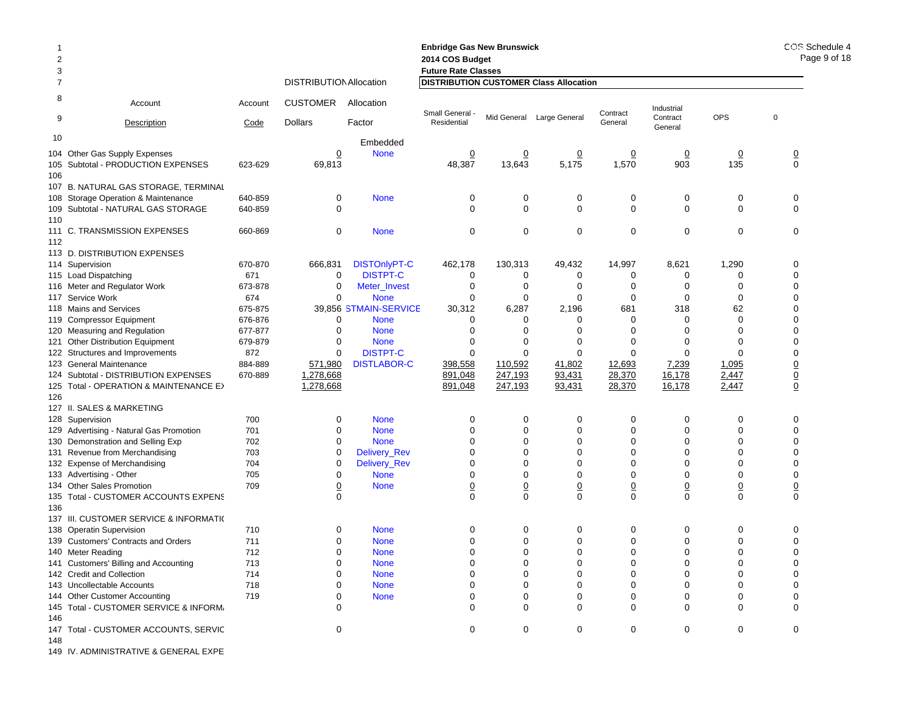|                |                                                            |            |                                |                            | <b>Enbridge Gas New Brunswick</b>             |                  |                           |                  |                     |                | COS Schedule 4          |              |
|----------------|------------------------------------------------------------|------------|--------------------------------|----------------------------|-----------------------------------------------|------------------|---------------------------|------------------|---------------------|----------------|-------------------------|--------------|
| $\overline{2}$ |                                                            |            |                                |                            | 2014 COS Budget                               |                  |                           |                  |                     |                |                         | Page 9 of 18 |
| 3              |                                                            |            |                                |                            | <b>Future Rate Classes</b>                    |                  |                           |                  |                     |                |                         |              |
| 7              |                                                            |            | <b>DISTRIBUTION Allocation</b> |                            | <b>DISTRIBUTION CUSTOMER Class Allocation</b> |                  |                           |                  |                     |                |                         |              |
| 8              | Account                                                    | Account    | <b>CUSTOMER</b>                | Allocation                 | Small General -                               |                  | Mid General Large General | Contract         | Industrial          | OPS            | $\mathbf 0$             |              |
| 9              | Description                                                | Code       | <b>Dollars</b>                 | Factor                     | Residential                                   |                  |                           | General          | Contract<br>General |                |                         |              |
| 10             |                                                            |            |                                | Embedded                   |                                               |                  |                           |                  |                     |                |                         |              |
|                | 104 Other Gas Supply Expenses                              |            | $\overline{0}$                 | <b>None</b>                | $\overline{0}$                                | $\overline{0}$   | $\overline{0}$            | $\overline{0}$   | $\overline{0}$      | $\overline{0}$ | $\frac{0}{0}$           |              |
|                | 105 Subtotal - PRODUCTION EXPENSES                         | 623-629    | 69,813                         |                            | 48,387                                        | 13,643           | 5,175                     | 1,570            | 903                 | 135            |                         |              |
| 106            |                                                            |            |                                |                            |                                               |                  |                           |                  |                     |                |                         |              |
|                | 107 B. NATURAL GAS STORAGE, TERMINAL                       |            |                                |                            |                                               |                  |                           |                  |                     |                |                         |              |
|                | 108 Storage Operation & Maintenance                        | 640-859    | 0                              | <b>None</b>                | 0                                             | 0                | 0                         | 0                | 0                   | 0              | 0                       |              |
|                | 109 Subtotal - NATURAL GAS STORAGE                         | 640-859    | $\mathbf 0$                    |                            | $\mathbf 0$                                   | 0                | 0                         | 0                | 0                   | 0              | 0                       |              |
| 110            | 111 C. TRANSMISSION EXPENSES                               | 660-869    | $\mathbf 0$                    | <b>None</b>                | 0                                             | 0                | $\mathbf 0$               | $\mathbf 0$      | $\mathbf 0$         | 0              | 0                       |              |
| 112            |                                                            |            |                                |                            |                                               |                  |                           |                  |                     |                |                         |              |
|                | 113 D. DISTRIBUTION EXPENSES                               |            |                                |                            |                                               |                  |                           |                  |                     |                |                         |              |
|                | 114 Supervision                                            | 670-870    | 666,831                        | <b>DISTOnlyPT-C</b>        | 462,178                                       | 130,313          | 49,432                    | 14,997           | 8,621               | 1,290          | 0                       |              |
|                | 115 Load Dispatching                                       | 671        | 0                              | <b>DISTPT-C</b>            | 0                                             | 0                | 0                         | 0                | 0                   | 0              | 0                       |              |
|                | 116 Meter and Regulator Work                               | 673-878    | 0                              | Meter_Invest               | 0                                             | 0                | 0                         | 0                | 0                   | 0              | 0                       |              |
|                | 117 Service Work                                           | 674        | $\mathbf 0$                    | <b>None</b>                | $\mathbf 0$                                   | 0                | $\mathbf 0$               | 0                | $\Omega$            | $\Omega$       | 0                       |              |
|                | 118 Mains and Services                                     | 675-875    |                                | 39,856 STMAIN-SERVICE      | 30,312                                        | 6,287            | 2,196                     | 681              | 318                 | 62             | 0                       |              |
|                | 119 Compressor Equipment                                   | 676-876    | 0                              | <b>None</b>                | 0                                             | 0                | $\Omega$                  | $\Omega$         | $\Omega$            | $\mathbf 0$    | 0                       |              |
|                | 120 Measuring and Regulation                               | 677-877    | $\mathbf 0$                    | <b>None</b>                | $\Omega$                                      | 0                | $\Omega$                  | $\Omega$         | $\Omega$            | $\Omega$       | 0                       |              |
|                | 121 Other Distribution Equipment                           | 679-879    | 0                              | <b>None</b>                | 0                                             | 0                | $\Omega$                  | 0                | 0                   | 0              | 0                       |              |
|                | 122 Structures and Improvements                            | 872        | 0                              | <b>DISTPT-C</b>            | $\mathbf 0$                                   | $\mathbf 0$      | $\mathbf 0$               | $\mathbf 0$      | $\Omega$            | $\Omega$       | 0                       |              |
|                | 123 General Maintenance                                    | 884-889    | 571,980                        | <b>DISTLABOR-C</b>         | 398,558                                       | 110,592          | 41,802                    | 12,693           | 7,239               | 1,095          | $\overline{0}$          |              |
|                | 124 Subtotal - DISTRIBUTION EXPENSES                       | 670-889    | 1,278,668                      |                            | 891,048                                       | 247,193          | 93,431                    | 28,370           | 16,178              | 2,447          | $\frac{0}{0}$           |              |
|                | 125 Total - OPERATION & MAINTENANCE E>                     |            | 1,278,668                      |                            | 891,048                                       | 247,193          | 93,431                    | 28,370           | 16,178              | 2,447          |                         |              |
| 126            |                                                            |            |                                |                            |                                               |                  |                           |                  |                     |                |                         |              |
|                | 127 II. SALES & MARKETING                                  |            |                                |                            |                                               |                  |                           |                  |                     |                |                         |              |
|                | 128 Supervision<br>129 Advertising - Natural Gas Promotion | 700<br>701 | 0<br>$\mathbf 0$               | <b>None</b><br><b>None</b> | 0<br>$\Omega$                                 | 0<br>$\mathbf 0$ | 0<br>$\mathbf 0$          | 0<br>$\mathbf 0$ | 0<br>$\Omega$       | 0<br>$\Omega$  | 0<br>0                  |              |
|                | 130 Demonstration and Selling Exp                          | 702        | $\mathbf 0$                    | <b>None</b>                | $\Omega$                                      | 0                | $\mathbf 0$               | $\mathbf 0$      | $\Omega$            | $\Omega$       | 0                       |              |
|                | 131 Revenue from Merchandising                             | 703        | 0                              | Delivery_Rev               | 0                                             | 0                | $\mathbf 0$               | 0                | 0                   | 0              | 0                       |              |
|                | 132 Expense of Merchandising                               | 704        | 0                              | Delivery_Rev               | $\Omega$                                      | 0                | $\Omega$                  | $\mathbf 0$      | $\Omega$            | $\Omega$       | 0                       |              |
|                | 133 Advertising - Other                                    | 705        | 0                              | <b>None</b>                | 0                                             | 0                | $\mathbf 0$               | 0                | $\Omega$            | 0              | 0                       |              |
|                | 134 Other Sales Promotion                                  | 709        | $\overline{0}$                 | <b>None</b>                | $\overline{0}$                                | $\underline{0}$  | $\underline{0}$           | $\underline{0}$  | $\overline{0}$      | $\overline{0}$ | $\overline{\mathbf{0}}$ |              |
|                | 135 Total - CUSTOMER ACCOUNTS EXPENS                       |            | $\Omega$                       |                            | $\mathbf 0$                                   | $\mathbf 0$      | $\mathbf 0$               | $\mathbf 0$      | $\Omega$            | $\mathbf 0$    | $\pmb{0}$               |              |
| 136            |                                                            |            |                                |                            |                                               |                  |                           |                  |                     |                |                         |              |
|                | 137 III. CUSTOMER SERVICE & INFORMATI(                     |            |                                |                            |                                               |                  |                           |                  |                     |                |                         |              |
|                | 138 Operatin Supervision                                   | 710        | 0                              | <b>None</b>                | 0                                             | 0                | 0                         | 0                | 0                   | 0              | 0                       |              |
|                | 139 Customers' Contracts and Orders                        | 711        | $\mathbf 0$                    | <b>None</b>                | 0                                             | $\mathbf 0$      | $\Omega$                  | $\Omega$         | 0                   |                | 0                       |              |
|                | 140 Meter Reading                                          | 712        | $\mathbf 0$                    | <b>None</b>                | $\mathbf 0$                                   | 0                | $\mathbf 0$               | $\mathbf 0$      | $\mathbf 0$         | $\mathbf 0$    | 0                       |              |
|                | 141 Customers' Billing and Accounting                      | 713        | 0                              | <b>None</b>                | O                                             | 0                | 0                         |                  |                     |                |                         |              |
|                | 142 Credit and Collection                                  | 714        | 0                              | <b>None</b>                | 0                                             | 0                | 0                         | 0                | 0                   |                | 0                       |              |
|                | 143 Uncollectable Accounts                                 | 718        | 0                              | <b>None</b>                | 0                                             | 0                | 0                         | 0                | 0                   | 0              | 0                       |              |
|                | 144 Other Customer Accounting                              | 719        | $\Omega$                       | <b>None</b>                | 0                                             | 0                | 0                         | 0                | 0                   | 0              | 0                       |              |
|                | 145 Total - CUSTOMER SERVICE & INFORM,                     |            | ∩                              |                            | 0                                             | $\mathbf 0$      | $\Omega$                  | $\mathbf 0$      | $\Omega$            | 0              | $\Omega$                |              |
| 146            | 147 Total - CUSTOMER ACCOUNTS, SERVIC                      |            | 0                              |                            | 0                                             | $\mathbf 0$      | 0                         | 0                | 0                   | 0              | 0                       |              |
| 148            |                                                            |            |                                |                            |                                               |                  |                           |                  |                     |                |                         |              |
|                |                                                            |            |                                |                            |                                               |                  |                           |                  |                     |                |                         |              |

149 IV. ADMINISTRATIVE & GENERAL EXPE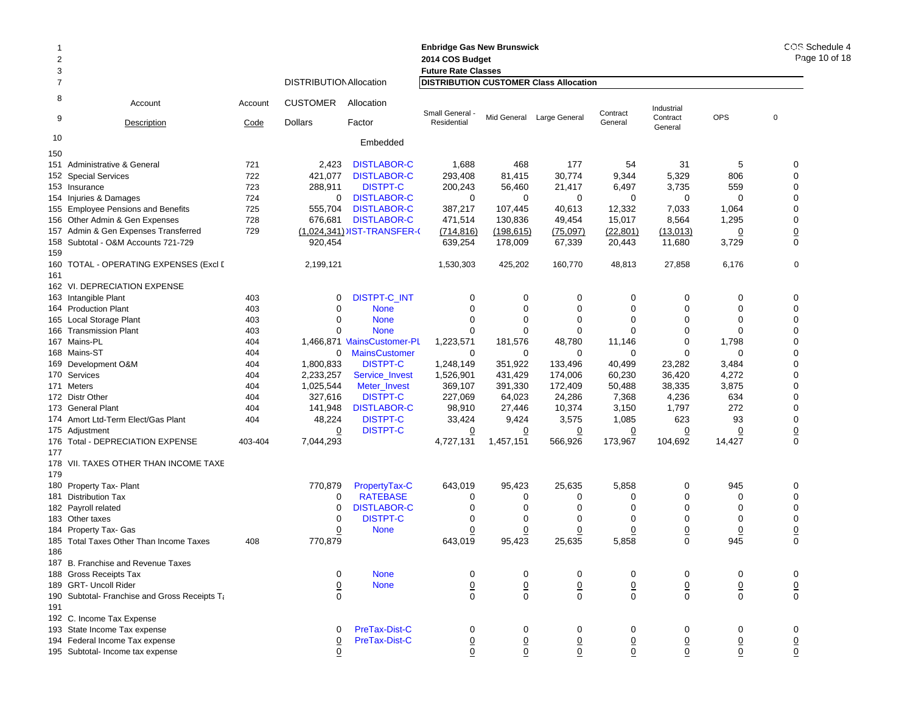### 2 **2014 COS Budget 2014 COS Bud** 3 **Future Rate Classes Future Rate C**7 DISTRIBUTIONAllocation **DISTRIBUTION CUSTOMER Class Allocation** 8 Account Account CUSTOMER Allocation9Description Code Dollars Factor 10 Embedded Industrial **Contract General** Small General - Mid General Large General Contract in additional Contract COPS of the Contract COPS of the Contract COPS of the Residential Contract COPS of the General Contract COPS of the General Contract COPS of the Gen 150151 Administrative & General 721 2,423 DISTLABOR-C 1,688 468 177 54 31 5 0 **152 Special Services** 2 Special Services 722 421,077 DISTLABOR-C 293,408 81,415 30,774 9,344 5,329 806 0 153 Insurance 723 288,911 DISTPT-C 200,243 56,460 21,417 6,497 3,735 559 0 154 Injuries&Damages 724 0 DISTLABOR-C 0 0 0 0 0 155 Employee Pensions and Benefits 725 555,704 DISTLABOR-C 387,217 107,445 40,613 1,333 7,033 1,064 0 156 Other Admin & Gen Expenses 728 676,681 DISTLABOR-C 471,514 130,836 49,454 15,017 8,564 1,295 0 157 Admin & Gen Expenses Transferred 729 <u>(1,024,341)</u> JIST-TRANSFER-( <u>(714,816) (198,615) (75,097) (22,801)</u> (<u>13,013)</u> <u>0</u> <u>0</u> 158 Subtotal - O&M Accounts 721-7299 920,454 639,254 178,009 67,339 20,443 11,680 3,729 0 159160 TOTAL - OPERATING EXPENSES (Excl D 2,199,121 1,530,303 425,202 160,770 48,813 27,858 6,176 0 161162 VI. DEPRECIATION EXPENSE163 Intangible Plant Intangible Plant 403 0 DISTPT-C\_INT 000000 0 164 Production Plant 403 0 None 000000 0 165 Local Storage Plant 5 Local Storage Plant 403 0 None 0 0 0 0 0 0 166 Transmission Plant 166 Transmission Plant 0 None 000000 0 167 Mains-PL 404 1,466,871 MainsCustomer-PL 1,223,571 181,576 48,780 11,146 0 1,798 0 168 Mains-ST 404 0 MainsCustomer 000000 0 169 Development O&M 9 Development O&M 404 1,800,833 DISTPT-C 1,248,149 351,922 133,496 40,499 23,282 3,484 0 170 Services 404 2,233,257 Service\_Invest 1,526,901 431,429 174,006 60,230 36,420 4,272 0 171 Meters 404 1,025,544 Meter\_Invest 369,107 391,330 172,409 50,488 38,335 3,875 0 172 Distr Other 404 327,616 DISTPT-C 227,069 64,023 24,286 7,368 4,236 634 0 173 General Plant 404 141,948 DISTLABOR-C 98,910 27,446 10,374 3,150 1,797 272 0 174 Amort Ltd-Term Elect/Gas Plant 174 Amort Ltd-Term 48,224 DISTPT-C 33,424 9,424 3,575 1,085 623 93 0 175 Adiustment 5 Adjustment <u>0</u> DISTPT-C <u>0</u> <u>0</u> <u>0</u> <u>0</u> 0 0 176 Total - DEPRECIATION EXPENSE 403-404 7,044,293 4,727,131 1,457,151 566,926 173,967 104,692 14,427 0 177178 VII. TAXES OTHER THAN INCOME TAXE179180 Property Tax- Plant 0 Property Tax- Plant 770,879 PropertyTax-C 643,019 95,423 25,635 5,858 0 945 0 181 Distribution Tax $\mathsf{x}$  0 0 RATEBASE E 0 0 0 0 0 0 0 182 Payroll related 2 Payroll related 0 DISTLABOR-C 0 0 0 0 0 0 183 Other taxes $\sim$  0  $\sim$ 0 DISTPT-C  $\begin{array}{ccccccccccccccccccccc} C & & & 0 & & 0 & & 0 & & 0 & & 0 & & 0 \end{array}$ 184 Property Tax- Gas 4 Property Tax- Gas <u>0</u> None <u>0</u> <u>0</u> <u>0</u> <u>0</u> <u>0</u> <u>0</u> 185 Total Taxes Other Than Income Taxes  $\hspace{1.6cm}$  408 770,879 643,019 95,423 25,635 5,858 0 945 0 186187 B. Franchise and Revenue Taxes 188 Gross Receipts Tax 0 None 000000 0 189 GRT- Uncoll Riderr 0 None 0 0 0 0 0 0 0 190 Subtotal- Franchise and Gross Receipts Ta 0 000000 0 191192 C. Income Tax Expense 193 State Income Tax expense 0 PreTax-Dist-C 000000 0 194 Federal Income Tax expense 0 PreTax-Dist-C 0 0 0 0 0 0 0

195 Subtotal- Income tax expense 0 0 0 0 0 0 0 0

**Enbridge Gas New Brunswick Enbridge Gas**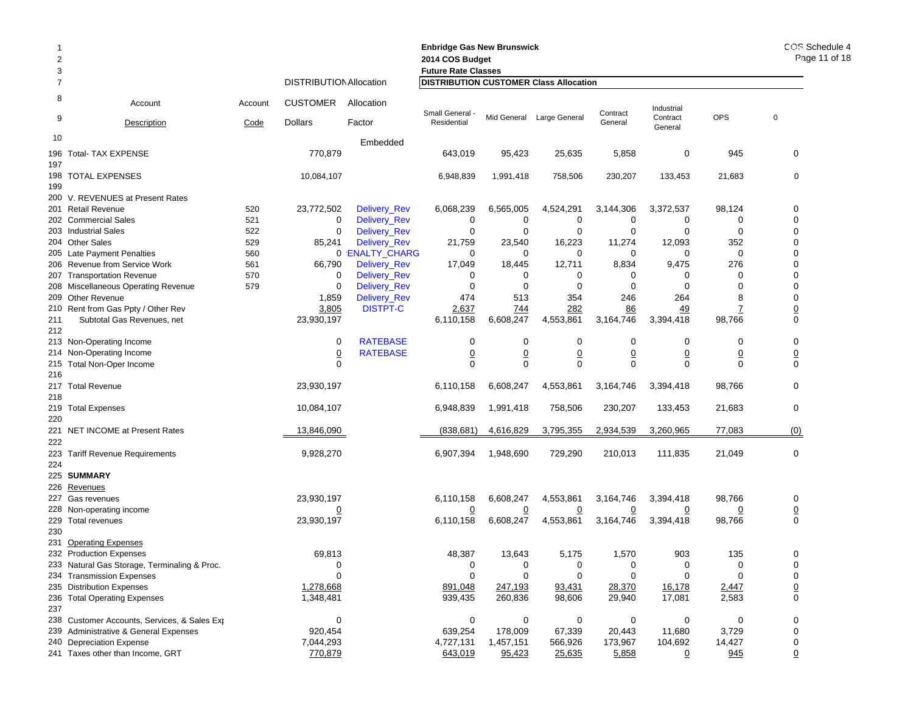| <b>Enbridge Gas New Brunswick</b><br>1<br>2<br>2014 COS Budget |                                                                                       |         |                                |                 |                                                                             |                               |                                |                               |                                | COS Schedule 4<br>Page 11 of 18 |                      |
|----------------------------------------------------------------|---------------------------------------------------------------------------------------|---------|--------------------------------|-----------------|-----------------------------------------------------------------------------|-------------------------------|--------------------------------|-------------------------------|--------------------------------|---------------------------------|----------------------|
| 3                                                              |                                                                                       |         | <b>DISTRIBUTION Allocation</b> |                 | <b>Future Rate Classes</b><br><b>DISTRIBUTION CUSTOMER Class Allocation</b> |                               |                                |                               |                                |                                 |                      |
| $\overline{7}$                                                 |                                                                                       |         |                                |                 |                                                                             |                               |                                |                               |                                |                                 |                      |
| 8<br>9                                                         | Account                                                                               | Account | <b>CUSTOMER</b>                | Allocation      | Small General -                                                             |                               | Mid General Large General      | Contract                      | Industrial<br>Contract         | <b>OPS</b>                      | $\mathbf 0$          |
|                                                                | Description                                                                           | Code    | <b>Dollars</b>                 | Factor          | Residential                                                                 |                               |                                | General                       | General                        |                                 |                      |
| 10                                                             |                                                                                       |         |                                | Embedded        |                                                                             |                               |                                |                               |                                |                                 |                      |
| 196                                                            | <b>Total- TAX EXPENSE</b>                                                             |         | 770,879                        |                 | 643,019                                                                     | 95,423                        | 25,635                         | 5,858                         | 0                              | 945                             | 0                    |
| 197                                                            | 198 TOTAL EXPENSES                                                                    |         | 10,084,107                     |                 | 6,948,839                                                                   | 1,991,418                     | 758,506                        | 230,207                       | 133,453                        | 21,683                          | $\mathbf 0$          |
| 199                                                            |                                                                                       |         |                                |                 |                                                                             |                               |                                |                               |                                |                                 |                      |
|                                                                | 200 V. REVENUES at Present Rates                                                      |         |                                |                 |                                                                             |                               |                                |                               |                                |                                 |                      |
|                                                                | 201 Retail Revenue                                                                    | 520     | 23,772,502                     | Delivery_Rev    | 6,068,239                                                                   | 6,565,005                     | 4,524,291                      | 3,144,306                     | 3,372,537                      | 98,124                          | 0                    |
|                                                                | 202 Commercial Sales                                                                  | 521     | 0                              | Delivery_Rev    | 0                                                                           | 0                             | 0                              | 0                             | 0                              | 0                               | 0                    |
|                                                                | 203 Industrial Sales                                                                  | 522     | 0                              | Delivery_Rev    | 0                                                                           | 0                             | 0                              | 0                             | 0                              | 0                               | 0                    |
|                                                                | 204 Other Sales                                                                       | 529     | 85,241                         | Delivery_Rev    | 21,759                                                                      | 23,540                        | 16,223                         | 11,274                        | 12,093                         | 352                             | 0                    |
|                                                                | 205 Late Payment Penalties                                                            | 560     |                                | 0 'ENALTY_CHARG | 0                                                                           | 0                             | 0                              | 0                             | 0                              | 0                               | 0                    |
|                                                                | 206 Revenue from Service Work                                                         | 561     | 66,790                         | Delivery_Rev    | 17,049                                                                      | 18,445                        | 12,711                         | 8,834                         | 9,475                          | 276                             | 0                    |
| 207                                                            | <b>Transportation Revenue</b>                                                         | 570     | 0                              | Delivery_Rev    | 0                                                                           | 0                             | 0                              | 0                             | 0                              | 0                               | 0                    |
|                                                                | 208 Miscellaneous Operating Revenue                                                   | 579     | 0                              | Delivery_Rev    | 0                                                                           | 0                             | 0                              | 0                             | 0                              | 0                               | 0                    |
|                                                                | 209 Other Revenue                                                                     |         | 1,859                          | Delivery_Rev    | 474                                                                         | 513                           | 354                            | 246                           | 264                            | 8                               | 0                    |
|                                                                | 210 Rent from Gas Ppty / Other Rev                                                    |         | 3,805                          | <b>DISTPT-C</b> | 2,637                                                                       | 744                           | 282                            | 86                            | <u>49</u>                      |                                 | $\underline{0}$      |
| 211                                                            | Subtotal Gas Revenues, net                                                            |         | 23,930,197                     |                 | 6,110,158                                                                   | 6,608,247                     | 4,553,861                      | 3,164,746                     | 3,394,418                      | 98,766                          | 0                    |
| 212                                                            |                                                                                       |         |                                |                 |                                                                             |                               |                                |                               |                                |                                 |                      |
|                                                                | 213 Non-Operating Income                                                              |         | 0                              | <b>RATEBASE</b> | 0                                                                           | 0                             | 0                              | 0                             | 0                              | 0                               | 0                    |
|                                                                | 214 Non-Operating Income                                                              |         | $\overline{0}$<br>$\Omega$     | <b>RATEBASE</b> | $\underline{0}$<br>$\Omega$                                                 | $\overline{0}$<br>$\mathbf 0$ | $\underline{0}$<br>$\mathbf 0$ | $\overline{0}$<br>$\mathbf 0$ | $\underline{0}$<br>$\mathbf 0$ | $\overline{0}$<br>$\Omega$      | $\underline{0}$<br>0 |
| 216                                                            | 215 Total Non-Oper Income                                                             |         |                                |                 |                                                                             |                               |                                |                               |                                |                                 |                      |
|                                                                | 217 Total Revenue                                                                     |         | 23,930,197                     |                 | 6,110,158                                                                   | 6,608,247                     | 4,553,861                      | 3,164,746                     | 3,394,418                      | 98,766                          | 0                    |
| 218                                                            |                                                                                       |         |                                |                 |                                                                             |                               |                                |                               |                                |                                 |                      |
|                                                                | 219 Total Expenses                                                                    |         | 10,084,107                     |                 | 6,948,839                                                                   | 1,991,418                     | 758,506                        | 230,207                       | 133,453                        | 21,683                          | 0                    |
| 220                                                            |                                                                                       |         |                                |                 |                                                                             |                               |                                |                               |                                |                                 |                      |
|                                                                | 221 NET INCOME at Present Rates                                                       |         | 13,846,090                     |                 | (838, 681)                                                                  | 4,616,829                     | 3,795,355                      | 2,934,539                     | 3,260,965                      | 77,083                          | (0)                  |
| 222                                                            |                                                                                       |         |                                |                 |                                                                             |                               |                                |                               |                                |                                 |                      |
|                                                                | 223 Tariff Revenue Requirements                                                       |         | 9,928,270                      |                 | 6,907,394                                                                   | 1,948,690                     | 729,290                        | 210,013                       | 111,835                        | 21,049                          | $\pmb{0}$            |
| 224                                                            |                                                                                       |         |                                |                 |                                                                             |                               |                                |                               |                                |                                 |                      |
|                                                                | 225 SUMMARY                                                                           |         |                                |                 |                                                                             |                               |                                |                               |                                |                                 |                      |
|                                                                | 226 Revenues                                                                          |         |                                |                 |                                                                             |                               |                                |                               |                                |                                 |                      |
|                                                                | 227 Gas revenues                                                                      |         | 23,930,197                     |                 | 6,110,158                                                                   | 6,608,247                     | 4,553,861                      | 3,164,746                     | 3,394,418                      | 98,766                          | 0                    |
|                                                                | 228 Non-operating income                                                              |         | $\overline{0}$                 |                 | <u>0</u>                                                                    | <u>0</u>                      | <u>0</u>                       | $\overline{0}$                | $\Omega$                       | 0                               | $\overline{0}$       |
|                                                                | 229 Total revenues                                                                    |         | 23,930,197                     |                 | 6,110,158                                                                   | 6,608,247                     | 4,553,861                      | 3,164,746                     | 3,394,418                      | 98,766                          | 0                    |
| 230                                                            |                                                                                       |         |                                |                 |                                                                             |                               |                                |                               |                                |                                 |                      |
|                                                                | 231 Operating Expenses                                                                |         |                                |                 |                                                                             |                               |                                |                               |                                |                                 |                      |
|                                                                | 232 Production Expenses                                                               |         | 69,813                         |                 | 48,387                                                                      | 13,643                        | 5,175                          | 1,570                         | 903                            | 135                             | 0                    |
|                                                                | 233 Natural Gas Storage, Terminaling & Proc.                                          |         | 0                              |                 | 0                                                                           | 0                             | 0                              | 0                             | 0                              | 0                               | 0                    |
|                                                                | 234 Transmission Expenses                                                             |         | $\mathbf 0$                    |                 | 0                                                                           | $\mathbf 0$                   | 0                              | $\mathbf 0$                   | $\Omega$                       | $\Omega$                        | 0                    |
|                                                                | 235 Distribution Expenses                                                             |         | 1,278,668                      |                 | 891,048                                                                     | 247,193                       | 93,431                         | 28,370                        | <u>16,178</u>                  | 2,447                           | $\overline{0}$       |
|                                                                | 236 Total Operating Expenses                                                          |         | 1,348,481                      |                 | 939,435                                                                     | 260,836                       | 98,606                         | 29,940                        | 17,081                         | 2,583                           | 0                    |
| 237                                                            |                                                                                       |         |                                |                 |                                                                             |                               |                                |                               |                                |                                 |                      |
|                                                                | 238 Customer Accounts, Services, & Sales Exp<br>239 Administrative & General Expenses |         | 0<br>920,454                   |                 | 0<br>639,254                                                                | 0<br>178,009                  | 0<br>67,339                    | 0<br>20,443                   | 0<br>11,680                    | 0<br>3,729                      | 0<br>0               |
|                                                                | 240 Depreciation Expense                                                              |         | 7,044,293                      |                 | 4,727,131                                                                   | 1,457,151                     | 566,926                        | 173,967                       | 104,692                        | 14,427                          | 0                    |
|                                                                | 241 Taxes other than Income, GRT                                                      |         | 770,879                        |                 | 643,019                                                                     | 95,423                        | 25,635                         | 5,858                         | $\Omega$                       | 945                             | U                    |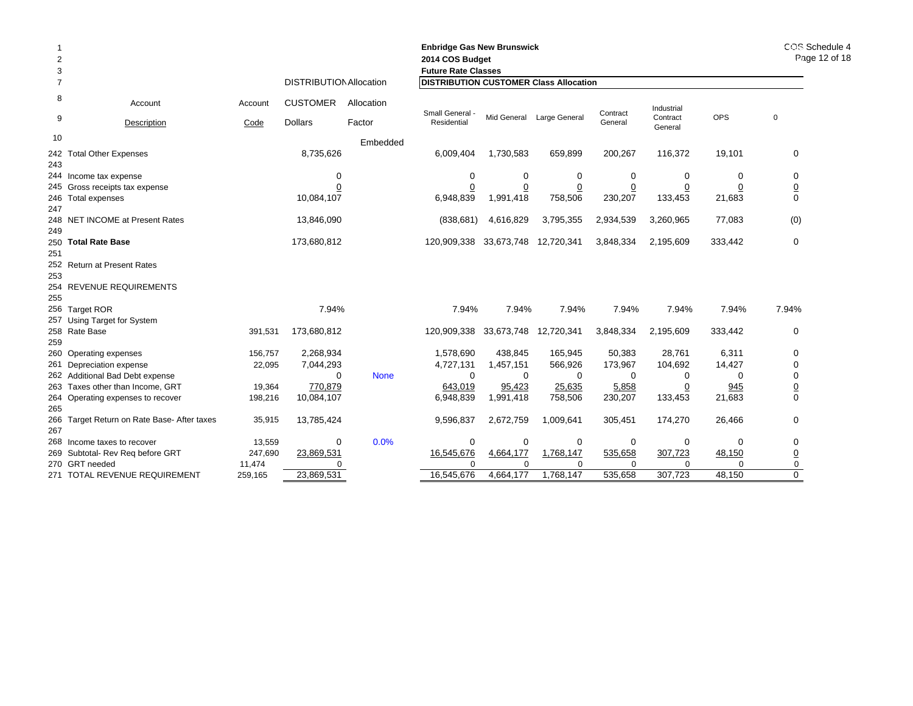| 2<br>3<br>$\overline{7}$ |                                             |         | <b>DISTRIBUTION Allocation</b> |             | <b>Enbridge Gas New Brunswick</b><br>2014 COS Budget<br><b>Future Rate Classes</b><br><b>DISTRIBUTION CUSTOMER Class Allocation</b> |                       | COS Schedule 4<br>Page 12 of 18 |                 |                        |                |                 |
|--------------------------|---------------------------------------------|---------|--------------------------------|-------------|-------------------------------------------------------------------------------------------------------------------------------------|-----------------------|---------------------------------|-----------------|------------------------|----------------|-----------------|
| 8                        |                                             |         |                                |             |                                                                                                                                     |                       |                                 |                 |                        |                |                 |
| 9                        | Account                                     | Account | <b>CUSTOMER</b>                | Allocation  | Small General -                                                                                                                     |                       | Mid General Large General       | Contract        | Industrial<br>Contract | <b>OPS</b>     | $\mathbf 0$     |
|                          | Description                                 | Code    | <b>Dollars</b>                 | Factor      | Residential                                                                                                                         |                       |                                 | General         | General                |                |                 |
| 10                       |                                             |         |                                | Embedded    |                                                                                                                                     |                       |                                 |                 |                        |                |                 |
|                          | 242 Total Other Expenses                    |         | 8,735,626                      |             | 6,009,404                                                                                                                           | 1,730,583             | 659,899                         | 200,267         | 116,372                | 19,101         | 0               |
| 243                      |                                             |         |                                |             |                                                                                                                                     |                       |                                 |                 |                        |                |                 |
|                          | 244 Income tax expense                      |         | 0                              |             | 0                                                                                                                                   | 0                     | 0                               | 0               | 0                      | 0              | 0               |
|                          | 245 Gross receipts tax expense              |         | $\overline{0}$                 |             | 0                                                                                                                                   | $\overline{0}$        | $\overline{0}$                  | $\underline{0}$ | $\overline{0}$         | $\overline{0}$ | $\underline{0}$ |
| 247                      | 246 Total expenses                          |         | 10,084,107                     |             | 6,948,839                                                                                                                           | 1,991,418             | 758,506                         | 230,207         | 133,453                | 21,683         | 0               |
| 249                      | 248 NET INCOME at Present Rates             |         | 13,846,090                     |             | (838, 681)                                                                                                                          | 4,616,829             | 3,795,355                       | 2,934,539       | 3,260,965              | 77,083         | (0)             |
|                          | 250 Total Rate Base                         |         | 173,680,812                    |             | 120,909,338                                                                                                                         | 33,673,748            | 12,720,341                      | 3,848,334       | 2,195,609              | 333,442        | $\mathbf 0$     |
| 251                      | 252 Return at Present Rates                 |         |                                |             |                                                                                                                                     |                       |                                 |                 |                        |                |                 |
| 253                      |                                             |         |                                |             |                                                                                                                                     |                       |                                 |                 |                        |                |                 |
|                          | 254 REVENUE REQUIREMENTS                    |         |                                |             |                                                                                                                                     |                       |                                 |                 |                        |                |                 |
| 255                      |                                             |         |                                |             |                                                                                                                                     |                       |                                 |                 |                        |                |                 |
|                          | 256 Target ROR                              |         | 7.94%                          |             | 7.94%                                                                                                                               | 7.94%                 | 7.94%                           | 7.94%           | 7.94%                  | 7.94%          | 7.94%           |
|                          | 257 Using Target for System                 |         |                                |             |                                                                                                                                     |                       |                                 |                 |                        |                |                 |
|                          | 258 Rate Base                               | 391,531 | 173,680,812                    |             | 120,909,338                                                                                                                         | 33,673,748 12,720,341 |                                 | 3,848,334       | 2,195,609              | 333,442        | 0               |
| 259                      |                                             |         |                                |             |                                                                                                                                     |                       |                                 |                 |                        |                |                 |
|                          | 260 Operating expenses                      | 156,757 | 2,268,934                      |             | 1,578,690                                                                                                                           | 438,845               | 165,945                         | 50,383          | 28,761                 | 6,311          | 0               |
|                          | 261 Depreciation expense                    | 22,095  | 7,044,293                      |             | 4,727,131                                                                                                                           | 1,457,151             | 566,926                         | 173,967         | 104,692                | 14,427         | 0               |
|                          | 262 Additional Bad Debt expense             |         | $\Omega$                       | <b>None</b> | $\Omega$                                                                                                                            | $\mathbf 0$           | 0                               | $\Omega$        | 0                      | $\Omega$       | 0               |
|                          | 263 Taxes other than Income, GRT            | 19,364  | 770,879                        |             | 643,019                                                                                                                             | 95,423                | 25,635                          | 5,858           | 0                      | 945            | $\underline{0}$ |
|                          | 264 Operating expenses to recover           | 198,216 | 10,084,107                     |             | 6,948,839                                                                                                                           | 1,991,418             | 758,506                         | 230,207         | 133,453                | 21,683         | 0               |
| 265                      |                                             |         |                                |             |                                                                                                                                     |                       |                                 |                 |                        |                |                 |
|                          | 266 Target Return on Rate Base- After taxes | 35,915  | 13,785,424                     |             | 9,596,837                                                                                                                           | 2,672,759             | 1,009,641                       | 305,451         | 174,270                | 26,466         | 0               |
| 267                      |                                             |         |                                |             |                                                                                                                                     |                       |                                 |                 |                        |                |                 |
|                          | 268 Income taxes to recover                 | 13,559  | 0                              | 0.0%        | 0                                                                                                                                   | 0                     | 0                               | 0               | 0                      | 0              | 0               |
|                          | 269 Subtotal- Rev Req before GRT            | 247,690 | 23,869,531                     |             | 16,545,676                                                                                                                          | 4,664,177             | 1,768,147                       | 535,658         | 307,723                | 48,150         | $\overline{0}$  |
|                          | 270 GRT needed                              | 11,474  | 0                              |             | $\Omega$                                                                                                                            | $\Omega$              | $\Omega$                        | $\Omega$        | $\Omega$               | $\Omega$       | 0               |
|                          | 271 TOTAL REVENUE REQUIREMENT               | 259.165 | 23,869,531                     |             | 16.545.676                                                                                                                          | 4.664.177             | 1.768.147                       | 535.658         | 307.723                | 48.150         | 0               |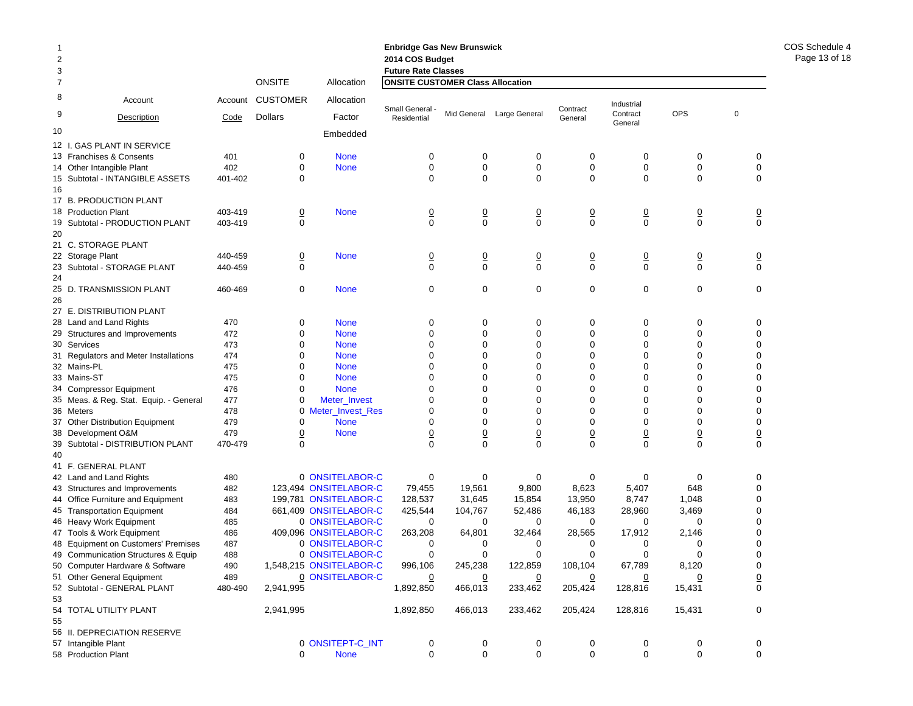|                |                                               |                 |                                   |                         | <b>Enbridge Gas New Brunswick</b>                                     |                               |                           |                               |                               |                               |                     |
|----------------|-----------------------------------------------|-----------------|-----------------------------------|-------------------------|-----------------------------------------------------------------------|-------------------------------|---------------------------|-------------------------------|-------------------------------|-------------------------------|---------------------|
| $\overline{2}$ |                                               |                 |                                   |                         | 2014 COS Budget                                                       |                               |                           |                               |                               |                               |                     |
| 3<br>7         |                                               |                 | <b>ONSITE</b>                     | Allocation              | <b>Future Rate Classes</b><br><b>ONSITE CUSTOMER Class Allocation</b> |                               |                           |                               |                               |                               |                     |
|                |                                               |                 |                                   |                         |                                                                       |                               |                           |                               |                               |                               |                     |
| 8<br>9         | Account<br>Description                        | Account<br>Code | <b>CUSTOMER</b><br><b>Dollars</b> | Allocation<br>Factor    | Small General<br>Residential                                          |                               | Mid General Large General | Contract<br>General           | Industrial<br>Contract        | <b>OPS</b>                    | 0                   |
|                |                                               |                 |                                   |                         |                                                                       |                               |                           |                               | General                       |                               |                     |
| 10             |                                               |                 |                                   | Embedded                |                                                                       |                               |                           |                               |                               |                               |                     |
| 12 I.          | <b>GAS PLANT IN SERVICE</b>                   |                 |                                   |                         |                                                                       |                               |                           |                               |                               |                               |                     |
|                | 13 Franchises & Consents                      | 401             | 0                                 | <b>None</b>             | 0                                                                     | 0                             | 0                         | 0                             | 0                             | 0                             | 0                   |
|                | 14 Other Intangible Plant                     | 402<br>401-402  | 0                                 | <b>None</b>             | 0<br>0                                                                | $\mathbf 0$<br>$\Omega$       | $\mathbf 0$               | $\mathbf 0$                   | $\pmb{0}$<br>$\Omega$         | $\mathbf 0$                   | 0                   |
|                | 15 Subtotal - INTANGIBLE ASSETS               |                 | 0                                 |                         |                                                                       |                               | $\mathbf 0$               | $\mathbf 0$                   |                               | $\mathbf 0$                   | 0                   |
| 16             |                                               |                 |                                   |                         |                                                                       |                               |                           |                               |                               |                               |                     |
|                | 17 B. PRODUCTION PLANT<br>18 Production Plant | 403-419         |                                   | <b>None</b>             |                                                                       |                               |                           |                               |                               |                               |                     |
|                | 19 Subtotal - PRODUCTION PLANT                | 403-419         | $\overline{0}$<br>$\mathbf 0$     |                         | $\overline{0}$<br>0                                                   | $\overline{0}$<br>$\mathbf 0$ | 0<br>$\mathbf 0$          | $\overline{0}$<br>$\mathbf 0$ | $\overline{0}$<br>$\mathbf 0$ | $\overline{0}$<br>$\mathbf 0$ | $\overline{0}$<br>0 |
| 20             |                                               |                 |                                   |                         |                                                                       |                               |                           |                               |                               |                               |                     |
|                | 21 C. STORAGE PLANT                           |                 |                                   |                         |                                                                       |                               |                           |                               |                               |                               |                     |
|                | 22 Storage Plant                              | 440-459         | $\overline{0}$                    | <b>None</b>             | $\overline{0}$                                                        |                               | $\overline{0}$            | $\overline{0}$                | $\overline{0}$                | $\overline{0}$                | $\overline{0}$      |
|                | 23 Subtotal - STORAGE PLANT                   | 440-459         | 0                                 |                         | $\mathbf 0$                                                           | $\frac{0}{0}$                 | $\mathbf 0$               | $\mathbf 0$                   | $\mathbf 0$                   | $\mathbf 0$                   | 0                   |
| 24             |                                               |                 |                                   |                         |                                                                       |                               |                           |                               |                               |                               |                     |
|                | 25 D. TRANSMISSION PLANT                      | 460-469         | 0                                 | <b>None</b>             | 0                                                                     | $\mathbf 0$                   | 0                         | 0                             | $\mathbf 0$                   | 0                             | 0                   |
| 26             |                                               |                 |                                   |                         |                                                                       |                               |                           |                               |                               |                               |                     |
|                | 27 E. DISTRIBUTION PLANT                      |                 |                                   |                         |                                                                       |                               |                           |                               |                               |                               |                     |
|                | 28 Land and Land Rights                       | 470             | 0                                 | <b>None</b>             | 0                                                                     | 0                             | 0                         | 0                             | 0                             | 0                             | 0                   |
|                | 29 Structures and Improvements                | 472             | $\mathbf 0$                       | <b>None</b>             | 0                                                                     | $\mathbf 0$                   | 0                         | $\mathbf 0$                   | $\mathbf 0$                   | $\mathbf 0$                   | $\mathbf 0$         |
|                | 30 Services                                   | 473             | $\mathbf 0$                       | <b>None</b>             | 0                                                                     | $\mathbf 0$                   | 0                         | $\mathbf 0$                   | $\Omega$                      | $\mathbf 0$                   | 0                   |
|                | 31 Regulators and Meter Installations         | 474             | $\mathbf 0$                       | <b>None</b>             | 0                                                                     | $\mathbf 0$                   | 0                         | 0                             | $\mathbf 0$                   | $\mathbf 0$                   | 0                   |
|                | 32 Mains-PL                                   | 475             | $\mathbf 0$                       | <b>None</b>             | $\Omega$                                                              | $\mathbf 0$                   | 0                         | $\mathbf 0$                   | $\Omega$                      | $\mathbf 0$                   | $\mathbf 0$         |
|                | 33 Mains-ST                                   | 475             | $\mathbf 0$                       | <b>None</b>             | 0                                                                     | $\mathbf 0$                   | 0                         | 0                             | $\mathbf 0$                   | $\mathbf 0$                   | $\mathbf 0$         |
|                | 34 Compressor Equipment                       | 476             | $\mathbf 0$                       | <b>None</b>             | 0                                                                     | $\mathbf 0$                   | 0                         | $\mathbf 0$                   | $\mathbf 0$                   | $\mathbf 0$                   | $\mathbf 0$         |
|                | 35 Meas. & Reg. Stat. Equip. - General        | 477             | 0                                 | Meter_Invest            | 0                                                                     | $\mathbf 0$                   | 0                         | $\mathbf 0$                   | $\Omega$                      | $\mathbf 0$                   | 0                   |
|                | 36 Meters                                     | 478             | 0                                 | Meter_Invest_Res        | 0                                                                     | $\mathbf 0$                   | 0                         | $\mathbf 0$                   | $\mathbf 0$                   | $\mathbf 0$                   | 0                   |
|                | 37 Other Distribution Equipment               | 479             | $\mathbf 0$                       | <b>None</b>             | 0                                                                     | $\mathbf 0$                   | 0                         | $\mathbf 0$                   | $\mathbf 0$                   | $\mathbf 0$                   | $\mathbf 0$         |
|                | 38 Development O&M                            | 479             | $\overline{0}$                    | <b>None</b>             | $\overline{0}$                                                        | $\overline{0}$                | $\overline{0}$            | $\underline{0}$               | $\overline{0}$                | $\underline{0}$               | $\underline{0}$     |
| 39             | Subtotal - DISTRIBUTION PLANT                 | 470-479         | $\mathbf 0$                       |                         | 0                                                                     | $\mathbf 0$                   | $\overline{0}$            | $\mathbf 0$                   | $\mathbf 0$                   | $\mathbf 0$                   | $\mathbf 0$         |
| 40             |                                               |                 |                                   |                         |                                                                       |                               |                           |                               |                               |                               |                     |
|                | 41 F. GENERAL PLANT                           |                 |                                   |                         |                                                                       |                               |                           |                               |                               |                               |                     |
|                | 42 Land and Land Rights                       | 480             |                                   | 0 ONSITELABOR-C         | $\mathbf 0$                                                           | 0                             | 0                         | 0                             | 0                             | 0                             | 0                   |
|                | 43 Structures and Improvements                | 482             |                                   | 123,494 ONSITELABOR-C   | 79,455                                                                | 19,561                        | 9,800                     | 8,623                         | 5,407                         | 648                           | 0                   |
|                | 44 Office Furniture and Equipment             | 483             |                                   | 199,781 ONSITELABOR-C   | 128,537                                                               | 31,645                        | 15,854                    | 13,950                        | 8,747                         | 1,048                         | $\mathbf 0$         |
|                | 45 Transportation Equipment                   | 484             |                                   | 661,409 ONSITELABOR-C   | 425,544                                                               | 104,767                       | 52,486                    | 46,183                        | 28,960                        | 3,469                         | 0                   |
|                | 46 Heavy Work Equipment                       | 485             |                                   | 0 ONSITELABOR-C         | $\mathbf 0$                                                           | 0                             | 0                         | 0                             | 0                             | 0                             | 0                   |
|                | 47 Tools & Work Equipment                     | 486             |                                   | 409,096 ONSITELABOR-C   | 263,208                                                               | 64,801                        | 32,464                    | 28,565                        | 17,912                        | 2,146                         | 0                   |
| 48             | <b>Equipment on Customers' Premises</b>       | 487             |                                   | 0 ONSITELABOR-C         | 0                                                                     | 0                             | 0                         | 0                             | 0                             | 0                             | 0                   |
|                | 49 Communication Structures & Equip           | 488             |                                   | 0 ONSITELABOR-C         | 0                                                                     | $\mathbf 0$                   | 0                         | $\mathbf 0$                   | $\mathbf 0$                   | $\mathbf 0$                   | $\mathbf 0$         |
|                | 50 Computer Hardware & Software               | 490             |                                   | 1,548,215 ONSITELABOR-C | 996,106                                                               | 245,238                       | 122,859                   | 108,104                       | 67,789                        | 8,120                         | 0                   |
|                | 51 Other General Equipment                    | 489             |                                   | 0 ONSITELABOR-C         | 0                                                                     | $\overline{0}$                | $\overline{0}$            | $\overline{0}$                | $\overline{0}$                | $\overline{0}$                | $\underline{0}$     |
|                | 52 Subtotal - GENERAL PLANT                   | 480-490         | 2,941,995                         |                         | 1,892,850                                                             | 466,013                       | 233,462                   | 205,424                       | 128,816                       | 15,431                        | 0                   |
| 53             |                                               |                 |                                   |                         |                                                                       |                               |                           |                               |                               |                               |                     |
|                | 54 TOTAL UTILITY PLANT                        |                 | 2,941,995                         |                         | 1,892,850                                                             | 466,013                       | 233,462                   | 205,424                       | 128,816                       | 15,431                        | 0                   |
| 55             |                                               |                 |                                   |                         |                                                                       |                               |                           |                               |                               |                               |                     |
|                | 56 II. DEPRECIATION RESERVE                   |                 |                                   |                         |                                                                       |                               |                           |                               |                               |                               |                     |
|                | 57 Intangible Plant                           |                 |                                   | 0 ONSITEPT-C_INT        | 0<br>0                                                                | 0<br>$\mathbf 0$              | 0<br>$\mathbf 0$          | 0                             | 0<br>$\mathbf 0$              | 0                             | 0                   |
|                | 58 Production Plant                           |                 | 0                                 | <b>None</b>             |                                                                       |                               |                           | $\mathbf 0$                   |                               | $\mathbf 0$                   | 0                   |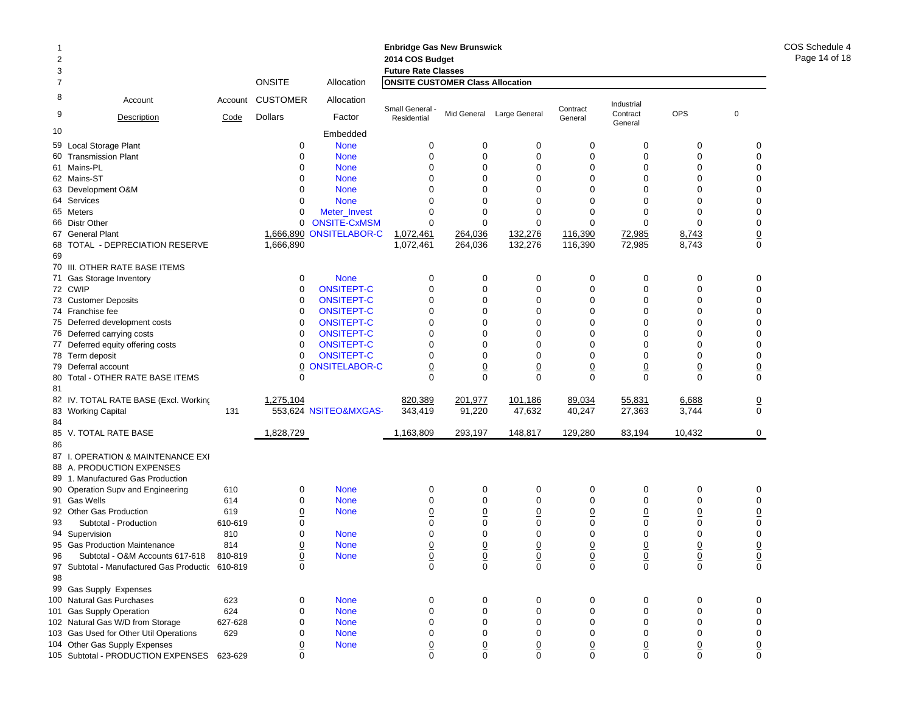|                |                                               |         |                 |                       | <b>Enbridge Gas New Brunswick</b>       |                             |                           |                |                     |                 |                 |
|----------------|-----------------------------------------------|---------|-----------------|-----------------------|-----------------------------------------|-----------------------------|---------------------------|----------------|---------------------|-----------------|-----------------|
| $\overline{2}$ |                                               |         |                 |                       | 2014 COS Budget                         |                             |                           |                |                     |                 |                 |
| 3              |                                               |         |                 |                       | <b>Future Rate Classes</b>              |                             |                           |                |                     |                 |                 |
| 7              |                                               |         | <b>ONSITE</b>   | Allocation            | <b>ONSITE CUSTOMER Class Allocation</b> |                             |                           |                |                     |                 |                 |
| 8              | Account                                       | Account | <b>CUSTOMER</b> | Allocation            | Small General                           |                             |                           | Contract       | Industrial          |                 |                 |
| 9              | Description                                   | Code    | <b>Dollars</b>  | Factor                | Residential                             |                             | Mid General Large General | General        | Contract<br>General | <b>OPS</b>      | $\mathbf 0$     |
| 10             |                                               |         |                 | Embedded              |                                         |                             |                           |                |                     |                 |                 |
| 59             | Local Storage Plant                           |         | 0               | <b>None</b>           | $\mathbf 0$                             | $\mathbf 0$                 | $\mathbf 0$               | $\mathbf 0$    | 0                   | $\mathbf 0$     | 0               |
|                | 60 Transmission Plant                         |         | $\mathbf 0$     | <b>None</b>           | $\mathbf 0$                             | $\mathbf 0$                 | $\mathbf 0$               | $\mathbf 0$    | $\mathbf 0$         | $\mathbf 0$     | $\mathbf 0$     |
|                | 61 Mains-PL                                   |         | $\Omega$        | <b>None</b>           | $\Omega$                                | $\Omega$                    | $\mathbf{0}$              | $\Omega$       | $\Omega$            | 0               | 0               |
|                | 62 Mains-ST                                   |         | $\Omega$        | <b>None</b>           | $\Omega$                                | $\Omega$                    | $\Omega$                  | $\Omega$       | $\Omega$            | $\Omega$        | $\mathbf 0$     |
|                | 63 Development O&M                            |         | $\Omega$        | <b>None</b>           | $\Omega$                                | $\Omega$                    | $\Omega$                  | $\Omega$       | $\Omega$            | $\Omega$        | $\mathbf 0$     |
|                | 64 Services                                   |         | $\Omega$        | <b>None</b>           | $\Omega$                                | $\Omega$                    | $\Omega$                  | $\Omega$       | $\Omega$            | $\Omega$        | $\mathbf 0$     |
|                | 65 Meters                                     |         | $\Omega$        | Meter_Invest          | $\Omega$                                | $\Omega$                    | $\Omega$                  | $\Omega$       | $\Omega$            | $\Omega$        | 0               |
|                | 66 Distr Other                                |         | 0               | <b>ONSITE-CxMSM</b>   | $\mathbf 0$                             | $\mathbf 0$                 | $\Omega$                  | $\mathbf 0$    | $\Omega$            | $\mathbf 0$     | $\pmb{0}$       |
|                | 67 General Plant                              |         | 1,666,890       | <b>ONSITELABOR-C</b>  | 1,072,461                               | 264,036                     | 132,276                   | 116,390        | 72,985              | 8,743           |                 |
| 68             | TOTAL - DEPRECIATION RESERVE                  |         | 1,666,890       |                       | 1,072,461                               | 264,036                     | 132,276                   | 116,390        | 72,985              | 8,743           | $\frac{0}{0}$   |
| 69             |                                               |         |                 |                       |                                         |                             |                           |                |                     |                 |                 |
| 70             | III. OTHER RATE BASE ITEMS                    |         |                 |                       |                                         |                             |                           |                |                     |                 |                 |
|                | 71 Gas Storage Inventory                      |         | 0               | <b>None</b>           | $\mathbf 0$                             | $\mathbf 0$                 | 0                         | $\mathbf 0$    | $\mathbf 0$         | $\mathbf 0$     | $\mathbf 0$     |
|                | 72 CWIP                                       |         | $\mathbf 0$     | <b>ONSITEPT-C</b>     | $\mathbf 0$                             | $\mathbf 0$                 | $\mathbf 0$               | $\mathbf 0$    | $\mathbf 0$         | $\mathbf 0$     | $\mathbf 0$     |
|                | 73 Customer Deposits                          |         | $\mathbf 0$     | <b>ONSITEPT-C</b>     | $\mathbf 0$                             | $\Omega$                    | $\Omega$                  | $\mathbf 0$    | $\mathbf 0$         | $\mathbf 0$     | $\mathbf 0$     |
|                | 74 Franchise fee                              |         | $\mathbf 0$     | <b>ONSITEPT-C</b>     | $\mathbf 0$                             | $\Omega$                    | $\mathbf 0$               | $\mathbf 0$    | $\Omega$            | 0               | 0               |
|                | 75 Deferred development costs                 |         | $\mathbf 0$     | <b>ONSITEPT-C</b>     | $\mathbf 0$                             | $\mathbf 0$                 | 0                         | 0              | 0                   | $\mathbf 0$     | 0               |
|                |                                               |         | $\mathbf 0$     | <b>ONSITEPT-C</b>     | $\mathbf 0$                             | $\mathbf 0$                 | 0                         | 0              | 0                   | 0               | 0               |
| 76             | Deferred carrying costs                       |         | $\mathbf 0$     | <b>ONSITEPT-C</b>     | $\mathbf 0$                             | $\mathbf 0$                 | $\Omega$                  | $\Omega$       | 0                   | $\mathbf 0$     | $\mathbf 0$     |
|                | 77 Deferred equity offering costs             |         | $\Omega$        |                       | $\mathbf 0$                             | $\Omega$                    | $\Omega$                  | $\Omega$       | $\mathbf 0$         | 0               | 0               |
|                | 78 Term deposit                               |         |                 | <b>ONSITEPT-C</b>     |                                         |                             |                           |                |                     |                 |                 |
|                | 79 Deferral account                           |         | $\overline{0}$  | <b>ONSITELABOR-C</b>  | $\overline{0}$                          | $\underline{0}$<br>$\Omega$ | $\overline{0}$            | 0              | 0                   | $\overline{0}$  | $\underline{0}$ |
| 80<br>81       | Total - OTHER RATE BASE ITEMS                 |         | $\Omega$        |                       | $\Omega$                                |                             | $\Omega$                  | $\Omega$       | $\Omega$            | $\Omega$        | $\mathbf 0$     |
|                | 82 IV. TOTAL RATE BASE (Excl. Working         |         | 1,275,104       |                       | 820,389                                 | 201,977                     | 101,186                   | 89,034         | 55,831              | 6,688           | $\overline{0}$  |
| 83<br>84       | <b>Working Capital</b>                        | 131     |                 | 553,624 NSITEO&MXGAS- | 343.419                                 | 91,220                      | 47,632                    | 40,247         | 27,363              | 3,744           | $\mathbf 0$     |
| 85             | V. TOTAL RATE BASE                            |         | 1,828,729       |                       | 1,163,809                               | 293,197                     | 148,817                   | 129,280        | 83,194              | 10,432          | $\mathbf 0$     |
| 86             |                                               |         |                 |                       |                                         |                             |                           |                |                     |                 |                 |
|                | 87 I. OPERATION & MAINTENANCE EXI             |         |                 |                       |                                         |                             |                           |                |                     |                 |                 |
|                | 88 A. PRODUCTION EXPENSES                     |         |                 |                       |                                         |                             |                           |                |                     |                 |                 |
|                | 89 1. Manufactured Gas Production             |         |                 |                       |                                         |                             |                           |                |                     |                 |                 |
|                | 90 Operation Supv and Engineering             | 610     | 0               | <b>None</b>           | 0                                       | 0                           | 0                         | 0              | 0                   | $\mathbf 0$     | 0               |
|                | 91 Gas Wells                                  | 614     | $\mathbf 0$     | <b>None</b>           | $\mathbf 0$                             | $\mathbf 0$                 | 0                         | 0              | $\mathbf 0$         | $\mathbf 0$     | $\mathbf 0$     |
|                | 92 Other Gas Production                       | 619     | $\overline{0}$  | <b>None</b>           | $\overline{0}$                          | $\overline{0}$              | $\overline{0}$            | $\overline{0}$ | $\overline{0}$      | <u>0</u>        | $\underline{0}$ |
| 93             | Subtotal - Production                         | 610-619 | $\mathbf 0$     |                       | $\mathbf 0$                             | $\mathbf 0$                 | $\mathbf 0$               | $\mathbf 0$    | $\mathbf 0$         | $\mathbf 0$     | $\mathbf 0$     |
|                | 94 Supervision                                | 810     | $\Omega$        | <b>None</b>           | $\Omega$                                | $\Omega$                    | $\Omega$                  | $\Omega$       | $\Omega$            | 0               | $\mathbf 0$     |
|                | 95 Gas Production Maintenance                 | 814     | $\overline{0}$  | <b>None</b>           | $\overline{0}$                          | $\overline{0}$              | $\overline{0}$            | $\overline{0}$ | $\overline{0}$      | $\underline{0}$ |                 |
| 96             | Subtotal - O&M Accounts 617-618               | 810-819 | <u>0</u>        | <b>None</b>           | $\overline{0}$                          | $\underline{0}$             | $\overline{0}$            | $\overline{0}$ | $\overline{0}$      | $\overline{0}$  |                 |
| 97             | Subtotal - Manufactured Gas Productic 610-819 |         | $\Omega$        |                       | $\Omega$                                | $\Omega$                    | $\mathbf 0$               | $\Omega$       | $\mathbf 0$         | $\mathbf 0$     | $\frac{0}{0}$   |
| 98             |                                               |         |                 |                       |                                         |                             |                           |                |                     |                 |                 |
|                | 99 Gas Supply Expenses                        |         |                 |                       |                                         |                             |                           |                |                     |                 |                 |
|                | 100 Natural Gas Purchases                     | 623     | $\Omega$        | <b>None</b>           | $\mathbf 0$                             | $\mathbf 0$                 | $\Omega$                  | $\Omega$       | $\Omega$            | $\Omega$        | $\Omega$        |

101 Gas Supply Operation 624 0 None 0 0 0 0 0 0 102 Natural Gas W/D from Storage 627-628 0 None 0 0 0 0 0 0 103 Gas Used for Other Util Operations 629 0 None 000000 0 104 Other Gas Supply Expenses <u>0</u> None <u>0</u> <u>0</u> <u>0</u> <u>0</u> <u>0</u> <u>0</u>

9 0 0 0 0 0 0 0 0 0 0

105 Subtotal - PRODUCTION EXPENSES 623-629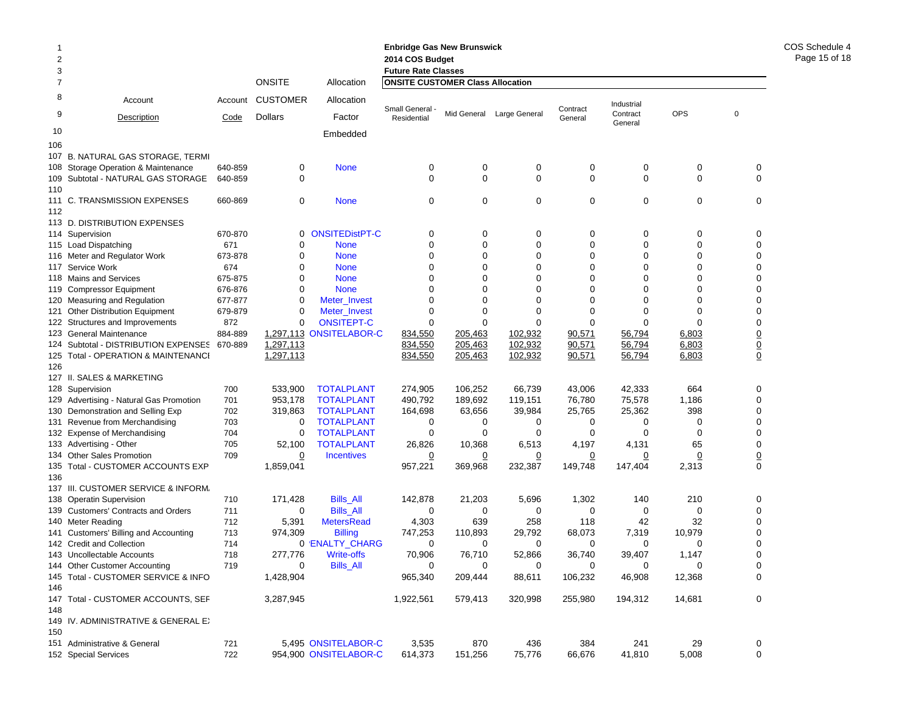| 2      |                                                                              |            |                    |                                              | <b>Enbridge Gas New Brunswick</b><br>2014 COS Budget                  |                    |                           |                  |                        |              |                   |
|--------|------------------------------------------------------------------------------|------------|--------------------|----------------------------------------------|-----------------------------------------------------------------------|--------------------|---------------------------|------------------|------------------------|--------------|-------------------|
| 3<br>7 |                                                                              |            | <b>ONSITE</b>      | Allocation                                   | <b>Future Rate Classes</b><br><b>ONSITE CUSTOMER Class Allocation</b> |                    |                           |                  |                        |              |                   |
|        |                                                                              |            |                    |                                              |                                                                       |                    |                           |                  |                        |              |                   |
| 8<br>9 | Account                                                                      | Account    | <b>CUSTOMER</b>    | Allocation                                   | Small General -                                                       |                    | Mid General Large General | Contract         | Industrial<br>Contract | <b>OPS</b>   | 0                 |
|        | Description                                                                  | Code       | <b>Dollars</b>     | Factor                                       | Residential                                                           |                    |                           | General          | General                |              |                   |
| 10     |                                                                              |            |                    | Embedded                                     |                                                                       |                    |                           |                  |                        |              |                   |
| 106    |                                                                              |            |                    |                                              |                                                                       |                    |                           |                  |                        |              |                   |
|        | 107 B. NATURAL GAS STORAGE, TERMI                                            |            |                    |                                              |                                                                       |                    |                           |                  |                        |              |                   |
|        | 108 Storage Operation & Maintenance                                          | 640-859    | 0                  | <b>None</b>                                  | 0                                                                     | 0                  | 0                         | 0                | 0                      | 0            | 0                 |
|        | 109 Subtotal - NATURAL GAS STORAGE                                           | 640-859    | 0                  |                                              | $\Omega$                                                              | $\Omega$           | $\Omega$                  | 0                | $\Omega$               | $\mathbf 0$  | 0                 |
| 110    |                                                                              |            |                    |                                              |                                                                       |                    |                           |                  |                        |              |                   |
| 112    | 111 C. TRANSMISSION EXPENSES                                                 | 660-869    | 0                  | <b>None</b>                                  | 0                                                                     | 0                  | 0                         | 0                | 0                      | 0            | 0                 |
|        | 113 D. DISTRIBUTION EXPENSES                                                 |            |                    |                                              |                                                                       |                    |                           |                  |                        |              |                   |
|        | 114 Supervision                                                              | 670-870    | 0                  | <b>ONSITEDistPT-C</b>                        | 0                                                                     | 0                  | 0                         | 0                | 0                      | 0            | 0                 |
|        | 115 Load Dispatching                                                         | 671        | 0                  | <b>None</b>                                  | 0                                                                     | $\mathbf 0$        | 0                         | $\mathbf 0$      | 0                      | 0            | 0                 |
|        | 116 Meter and Regulator Work                                                 | 673-878    | 0                  | <b>None</b>                                  | 0                                                                     | 0                  | 0                         | 0                | $\Omega$               | $\Omega$     | 0                 |
|        | 117 Service Work                                                             | 674        | 0                  | <b>None</b>                                  | 0                                                                     | 0                  | 0                         | 0                | 0                      | 0            | 0                 |
|        | 118 Mains and Services                                                       | 675-875    | 0                  | <b>None</b>                                  | 0                                                                     | 0                  | 0                         | 0                | $\Omega$               | $\Omega$     | $\Omega$          |
|        | 119 Compressor Equipment                                                     | 676-876    | 0                  | <b>None</b>                                  | 0                                                                     | 0                  | 0                         | $\Omega$         | $\Omega$               | $\Omega$     | 0                 |
|        | 120 Measuring and Regulation                                                 | 677-877    | 0                  | Meter_Invest                                 | 0                                                                     | 0                  | 0                         | $\Omega$         | $\Omega$               | $\Omega$     | 0                 |
|        | 121 Other Distribution Equipment                                             | 679-879    | 0                  | Meter_Invest                                 | 0                                                                     | 0                  | 0                         | 0                | 0                      | $\Omega$     | 0                 |
|        | 122 Structures and Improvements                                              | 872        | 0                  | <b>ONSITEPT-C</b>                            | 0                                                                     | 0                  | 0                         | $\Omega$         | 0                      | $\Omega$     | 0                 |
|        | 123 General Maintenance                                                      | 884-889    |                    | 1,297,113 ONSITELABOR-C                      | 834,550                                                               | 205,463            | 102,932                   | 90,571           | 56,794                 | 6,803        | $\overline{0}$    |
|        | 124 Subtotal - DISTRIBUTION EXPENSES 670-889                                 |            | 1,297,113          |                                              | 834,550                                                               | 205,463            | 102,932                   | 90,571           | 56,794                 | 6,803        | $\underline{0}$   |
|        | 125 Total - OPERATION & MAINTENANCI                                          |            | 1,297,113          |                                              | 834,550                                                               | 205,463            | 102,932                   | 90,571           | 56,794                 | 6,803        | 0                 |
| 126    |                                                                              |            |                    |                                              |                                                                       |                    |                           |                  |                        |              |                   |
|        | 127 II. SALES & MARKETING                                                    |            |                    |                                              |                                                                       |                    |                           |                  |                        |              |                   |
|        | 128 Supervision                                                              | 700        | 533,900<br>953,178 | <b>TOTALPLANT</b><br><b>TOTALPLANT</b>       | 274,905<br>490,792                                                    | 106,252<br>189,692 | 66,739<br>119,151         | 43,006<br>76,780 | 42,333<br>75,578       | 664<br>1,186 | 0<br>0            |
|        | 129 Advertising - Natural Gas Promotion<br>130 Demonstration and Selling Exp | 701<br>702 | 319,863            | <b>TOTALPLANT</b>                            | 164,698                                                               | 63,656             | 39,984                    | 25,765           | 25,362                 | 398          | 0                 |
|        | 131 Revenue from Merchandising                                               | 703        | 0                  | <b>TOTALPLANT</b>                            | 0                                                                     | 0                  | 0                         | 0                | 0                      | 0            | 0                 |
|        | 132 Expense of Merchandising                                                 | 704        | 0                  | <b>TOTALPLANT</b>                            | 0                                                                     | 0                  | 0                         | 0                | $\Omega$               | 0            | 0                 |
|        | 133 Advertising - Other                                                      | 705        | 52,100             | <b>TOTALPLANT</b>                            | 26,826                                                                | 10,368             | 6,513                     | 4,197            | 4,131                  | 65           | 0                 |
|        | 134 Other Sales Promotion                                                    | 709        | 0                  | <b>Incentives</b>                            |                                                                       | 0                  | 0                         | 0                | 0                      | 0            | $\overline{0}$    |
|        | 135 Total - CUSTOMER ACCOUNTS EXP                                            |            | 1,859,041          |                                              | 957,221                                                               | 369,968            | 232,387                   | 149,748          | 147,404                | 2,313        | 0                 |
| 136    |                                                                              |            |                    |                                              |                                                                       |                    |                           |                  |                        |              |                   |
|        | 137 III. CUSTOMER SERVICE & INFORM.                                          |            |                    |                                              |                                                                       |                    |                           |                  |                        |              |                   |
|        | 138 Operatin Supervision                                                     | 710        | 171,428            | <b>Bills_All</b>                             | 142,878                                                               | 21,203             | 5,696                     | 1,302            | 140                    | 210          | 0                 |
|        | 139 Customers' Contracts and Orders                                          | 711        | 0                  | <b>Bills_All</b>                             | 0                                                                     | 0                  | 0                         | 0                | 0                      | 0            | 0                 |
|        | 140 Meter Reading                                                            | 712        | 5,391              | <b>MetersRead</b>                            | 4,303                                                                 | 639                | 258                       | 118              | 42                     | 32           | 0                 |
|        | 141 Customers' Billing and Accounting                                        | 713        | 974,309            | <b>Billing</b>                               | 747,253                                                               | 110,893            | 29.792                    | 68,073           | 7,319                  | 10,979       | 0                 |
|        | 142 Credit and Collection                                                    | 714        |                    | 0 'ENALTY_CHARG                              | 0                                                                     | 0                  | 0                         | 0                | 0                      | 0            | 0                 |
|        | 143 Uncollectable Accounts                                                   | 718        | 277,776            | <b>Write-offs</b>                            | 70,906                                                                | 76,710             | 52,866                    | 36,740           | 39,407                 | 1,147        | 0                 |
|        | 144 Other Customer Accounting                                                | 719        | $\mathbf 0$        | <b>Bills_All</b>                             | 0                                                                     | 0                  | 0                         | 0                | $\mathbf 0$            | 0            | 0                 |
| 146    | 145 Total - CUSTOMER SERVICE & INFO                                          |            | 1,428,904          |                                              | 965,340                                                               | 209,444            | 88,611                    | 106,232          | 46,908                 | 12,368       | 0                 |
|        | 147 Total - CUSTOMER ACCOUNTS, SEF                                           |            | 3,287,945          |                                              | 1,922,561                                                             | 579,413            | 320,998                   | 255,980          | 194,312                | 14,681       | 0                 |
| 148    |                                                                              |            |                    |                                              |                                                                       |                    |                           |                  |                        |              |                   |
|        | 149 IV. ADMINISTRATIVE & GENERAL E.                                          |            |                    |                                              |                                                                       |                    |                           |                  |                        |              |                   |
| 150    |                                                                              |            |                    |                                              |                                                                       |                    |                           |                  |                        |              |                   |
|        | 151 Administrative & General<br>152 Special Services                         | 721<br>722 |                    | 5,495 ONSITELABOR-C<br>954,900 ONSITELABOR-C | 3,535<br>614,373                                                      | 870<br>151,256     | 436<br>75,776             | 384<br>66,676    | 241<br>41,810          | 29<br>5,008  | 0<br>$\mathbf{0}$ |
|        |                                                                              |            |                    |                                              |                                                                       |                    |                           |                  |                        |              |                   |

COS Schedule 4Page 15 of 18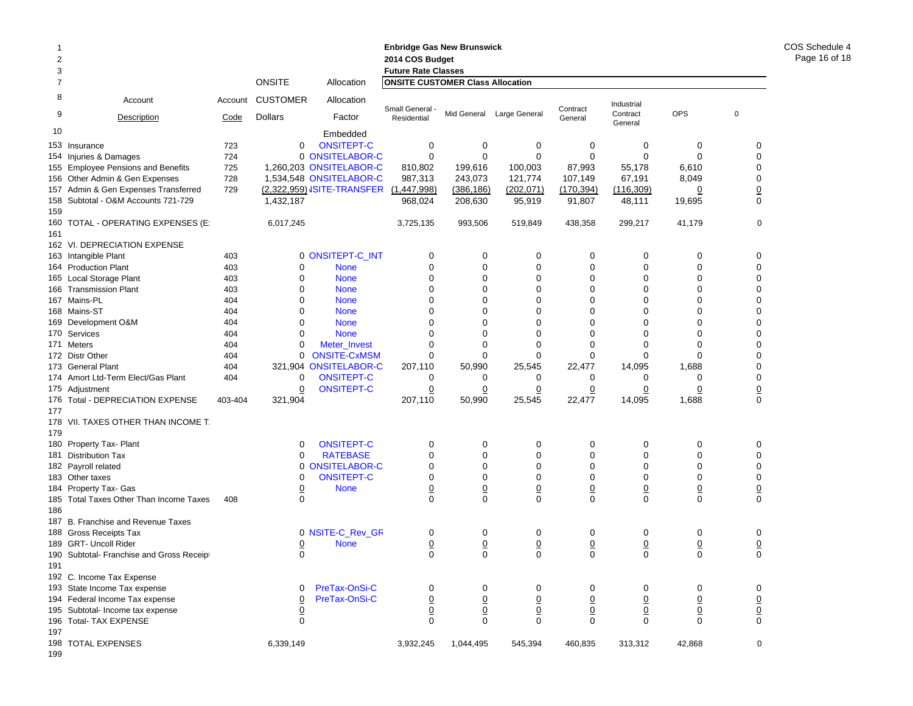| 2<br>3     |                                           |                 |                                   |                                         | <b>Enbridge Gas New Brunswick</b><br>2014 COS Budget<br><b>Future Rate Classes</b> |                  |                            |                  |                            |                               |                               | COS Schedule 4<br>Page 16 of 18 |
|------------|-------------------------------------------|-----------------|-----------------------------------|-----------------------------------------|------------------------------------------------------------------------------------|------------------|----------------------------|------------------|----------------------------|-------------------------------|-------------------------------|---------------------------------|
| 7          |                                           |                 | <b>ONSITE</b>                     | Allocation                              | <b>ONSITE CUSTOMER Class Allocation</b>                                            |                  |                            |                  |                            |                               |                               |                                 |
| 8<br>9     | Account<br>Description                    | Account<br>Code | <b>CUSTOMER</b><br><b>Dollars</b> | Allocation<br>Factor                    | Small General -<br>Residential                                                     |                  | Mid General Large General  | Contract         | Industrial<br>Contract     | <b>OPS</b>                    | $\pmb{0}$                     |                                 |
| 10         |                                           |                 |                                   |                                         |                                                                                    |                  |                            | General          | General                    |                               |                               |                                 |
|            |                                           |                 |                                   | Embedded                                |                                                                                    |                  |                            |                  |                            |                               |                               |                                 |
|            | 153 Insurance                             | 723             | $\mathbf 0$                       | <b>ONSITEPT-C</b>                       | 0                                                                                  | 0                | $\mathbf 0$                | $\mathbf 0$      | 0                          | 0                             | 0                             |                                 |
|            | 154 Injuries & Damages                    | 724             |                                   | 0 ONSITELABOR-C                         | 0                                                                                  | 0                | $\mathbf 0$                | 0                | 0                          | 0                             | $\mathbf 0$                   |                                 |
|            | 155 Employee Pensions and Benefits        | 725             |                                   | 1,260,203 ONSITELABOR-C                 | 810,802                                                                            | 199,616          | 100,003                    | 87,993           | 55,178                     | 6,610                         | 0                             |                                 |
|            | 156 Other Admin & Gen Expenses            | 728             |                                   | 1,534,548 ONSITELABOR-C                 | 987,313                                                                            | 243,073          | 121,774                    | 107,149          | 67,191                     | 8,049                         | 0                             |                                 |
|            | 157 Admin & Gen Expenses Transferred      | 729             |                                   | (2,322,959) ISITE-TRANSFER (1,447,998)  |                                                                                    | (386, 186)       | (202, 071)                 | (170, 394)       | (116, 309)                 | $\overline{0}$                | $\overline{0}$                |                                 |
|            | 158 Subtotal - O&M Accounts 721-729       |                 | 1,432,187                         |                                         | 968,024                                                                            | 208,630          | 95,919                     | 91,807           | 48,111                     | 19,695                        | 0                             |                                 |
| 159<br>161 | 160 TOTAL - OPERATING EXPENSES (E:        |                 | 6,017,245                         |                                         | 3,725,135                                                                          | 993,506          | 519,849                    | 438,358          | 299,217                    | 41,179                        | 0                             |                                 |
|            | 162 VI. DEPRECIATION EXPENSE              |                 |                                   |                                         |                                                                                    |                  |                            |                  |                            |                               |                               |                                 |
|            | 163 Intangible Plant                      | 403             |                                   | 0 ONSITEPT-C_INT                        | 0                                                                                  | $\mathbf 0$      | 0                          | 0                | 0                          | 0                             | 0                             |                                 |
|            | 164 Production Plant                      | 403             | 0                                 | <b>None</b>                             | 0                                                                                  | 0                | 0                          | 0                | 0                          | 0                             | 0                             |                                 |
|            | 165 Local Storage Plant                   | 403             | 0                                 | <b>None</b>                             | $\mathbf 0$                                                                        | $\mathbf 0$      | $\mathbf 0$                | $\mathbf 0$      | $\mathbf 0$                | $\mathbf 0$                   | $\Omega$                      |                                 |
|            | 166 Transmission Plant                    | 403             | $\mathbf 0$                       | <b>None</b>                             | $\Omega$                                                                           | $\mathbf 0$      | $\mathbf 0$                | $\mathbf 0$      | $\mathbf 0$                | $\mathbf 0$                   | $\Omega$                      |                                 |
|            | 167 Mains-PL                              | 404             | 0                                 | <b>None</b>                             | $\Omega$                                                                           | 0                | $\Omega$                   | 0                | $\Omega$                   | 0                             | $\Omega$                      |                                 |
|            | 168 Mains-ST                              | 404             | 0                                 | <b>None</b>                             | $\Omega$                                                                           | $\Omega$         | $\mathbf 0$                | $\mathbf 0$      | $\mathbf 0$                | 0                             | 0                             |                                 |
|            | 169 Development O&M                       | 404             | 0                                 | <b>None</b>                             | $\Omega$                                                                           | 0                | $\Omega$                   | 0                | $\Omega$                   | 0                             | $\Omega$                      |                                 |
|            | 170 Services                              | 404             | 0                                 | <b>None</b>                             | $\Omega$                                                                           | $\Omega$         | $\Omega$                   | 0                | $\Omega$                   | $\mathbf 0$                   | $\Omega$                      |                                 |
|            | 171 Meters                                | 404             | 0                                 | Meter_Invest                            | $\Omega$                                                                           | 0                | $\mathbf 0$                | 0                | $\mathbf 0$                | 0                             | $\Omega$                      |                                 |
|            | 172 Distr Other                           | 404             | 0                                 | <b>ONSITE-CxMSM</b>                     | $\Omega$                                                                           | $\Omega$         | $\Omega$                   | $\Omega$         | $\Omega$                   | $\Omega$                      | $\Omega$                      |                                 |
|            | 173 General Plant                         | 404             |                                   | 321,904 ONSITELABOR-C                   | 207,110                                                                            | 50,990           | 25,545                     | 22,477           | 14,095                     | 1,688                         | $\Omega$                      |                                 |
|            | 174 Amort Ltd-Term Elect/Gas Plant        | 404             | 0                                 | <b>ONSITEPT-C</b>                       | 0                                                                                  | 0                | 0                          | 0                | 0                          | 0                             | 0                             |                                 |
|            | 175 Adjustment                            |                 | 0                                 | <b>ONSITEPT-C</b>                       | 0                                                                                  | 0                | 0                          | 0                | 0                          | 0                             | $\overline{0}$                |                                 |
| 177        | 176 Total - DEPRECIATION EXPENSE          | 403-404         | 321,904                           |                                         | 207,110                                                                            | 50,990           | 25,545                     | 22,477           | 14,095                     | 1,688                         | 0                             |                                 |
| 179        | 178 VII. TAXES OTHER THAN INCOME T.       |                 |                                   |                                         |                                                                                    |                  |                            |                  |                            |                               |                               |                                 |
|            | 180 Property Tax- Plant                   |                 | 0<br>$\Omega$                     | <b>ONSITEPT-C</b>                       | 0<br>$\mathbf 0$                                                                   | 0<br>$\mathbf 0$ | 0<br>$\mathbf 0$           | 0                | 0                          | 0                             | 0<br>$\mathbf 0$              |                                 |
|            | 181 Distribution Tax                      |                 |                                   | <b>RATEBASE</b><br><b>ONSITELABOR-C</b> | 0                                                                                  | 0                | $\mathbf 0$                | 0<br>$\mathbf 0$ | 0<br>$\mathbf 0$           | 0<br>0                        | 0                             |                                 |
|            | 182 Payroll related                       |                 | 0<br>$\mathbf 0$                  | <b>ONSITEPT-C</b>                       | $\mathbf 0$                                                                        | $\mathbf 0$      | $\mathbf 0$                | 0                | 0                          | $\mathbf 0$                   | 0                             |                                 |
|            | 183 Other taxes<br>184 Property Tax- Gas  |                 | $\overline{0}$                    | <b>None</b>                             |                                                                                    | $\underline{0}$  |                            | $\underline{0}$  |                            |                               |                               |                                 |
|            | 185 Total Taxes Other Than Income Taxes   | 408             | $\Omega$                          |                                         | $\overline{0}$<br>$\Omega$                                                         | $\Omega$         | $\overline{0}$<br>$\Omega$ | $\Omega$         | $\overline{0}$<br>$\Omega$ | $\overline{0}$<br>$\mathbf 0$ | $\overline{0}$<br>$\mathbf 0$ |                                 |
| 186        |                                           |                 |                                   |                                         |                                                                                    |                  |                            |                  |                            |                               |                               |                                 |
|            | 187 B. Franchise and Revenue Taxes        |                 |                                   |                                         |                                                                                    |                  |                            |                  |                            |                               |                               |                                 |
|            | 188 Gross Receipts Tax                    |                 |                                   | 0 NSITE-C_Rev_GR                        | 0                                                                                  | 0                | 0                          | 0                | 0                          | 0                             | 0                             |                                 |
|            | 189 GRT- Uncoll Rider                     |                 | $\overline{0}$                    | <b>None</b>                             | $\overline{0}$                                                                     | $\overline{0}$   | $\overline{0}$             | $\overline{0}$   | $\overline{0}$             | $\overline{0}$                | $\overline{0}$                |                                 |
|            | 190 Subtotal- Franchise and Gross Receipt |                 | $\Omega$                          |                                         | $\Omega$                                                                           | $\Omega$         | $\Omega$                   | $\Omega$         | $\Omega$                   | $\Omega$                      | $\Omega$                      |                                 |
| 191        |                                           |                 |                                   |                                         |                                                                                    |                  |                            |                  |                            |                               |                               |                                 |
|            | 192 C. Income Tax Expense                 |                 |                                   |                                         |                                                                                    |                  |                            |                  |                            |                               |                               |                                 |
|            | 193 State Income Tax expense              |                 | 0                                 | PreTax-OnSi-C                           | 0                                                                                  | 0                | 0                          | 0                | 0                          | 0                             | 0                             |                                 |
|            | 194 Federal Income Tax expense            |                 | 0                                 | PreTax-OnSi-C                           | $\underline{0}$                                                                    | $\overline{0}$   | $\overline{0}$             | $\overline{0}$   | $\underline{0}$            | $\overline{0}$                | $\overline{0}$                |                                 |
|            | 195 Subtotal- Income tax expense          |                 | $\overline{0}$                    |                                         | $\overline{0}$                                                                     | $\overline{0}$   | $\overline{0}$             | $\overline{0}$   | $\overline{0}$             | $\overline{0}$                | $\overline{0}$                |                                 |
|            | 196 Total- TAX EXPENSE                    |                 | $\mathbf 0$                       |                                         | $\mathbf 0$                                                                        | 0                | 0                          | 0                | $\mathbf 0$                | $\mathbf 0$                   | 0                             |                                 |
| 197        |                                           |                 |                                   |                                         |                                                                                    |                  |                            |                  |                            |                               |                               |                                 |
| 199        | 198 TOTAL EXPENSES                        |                 | 6,339,149                         |                                         | 3,932,245                                                                          | 1,044,495        | 545,394                    | 460,835          | 313,312                    | 42,868                        | 0                             |                                 |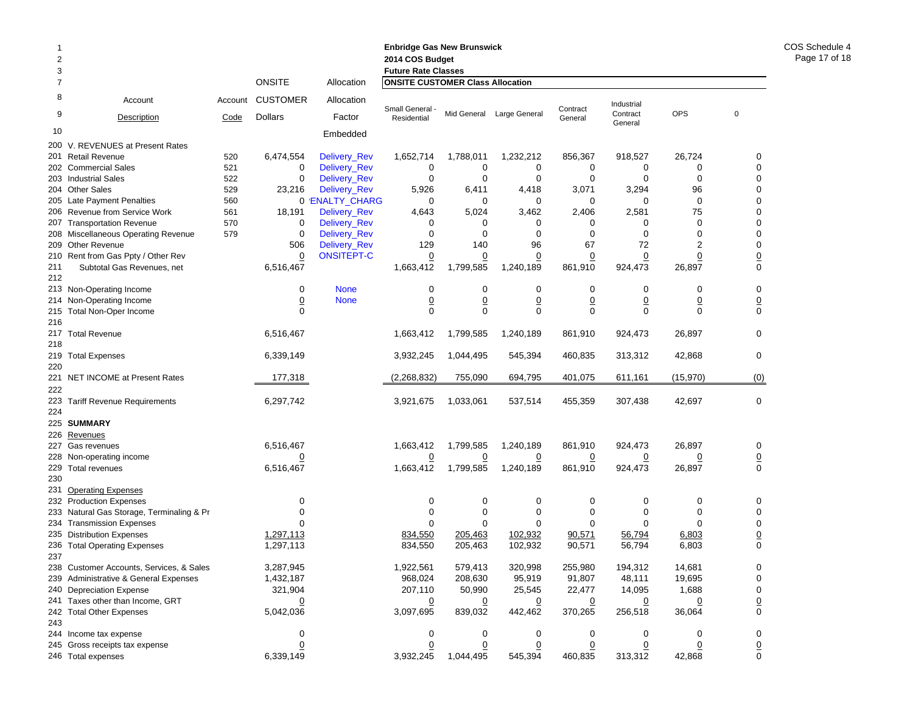| 1   |                                           |         |                 |                   | <b>Enbridge Gas New Brunswick</b>       |                 |                               |                 |                               |                |                               |
|-----|-------------------------------------------|---------|-----------------|-------------------|-----------------------------------------|-----------------|-------------------------------|-----------------|-------------------------------|----------------|-------------------------------|
| 2   |                                           |         |                 |                   | 2014 COS Budget                         |                 |                               |                 |                               |                |                               |
| 3   |                                           |         |                 |                   | <b>Future Rate Classes</b>              |                 |                               |                 |                               |                |                               |
| 7   |                                           |         | <b>ONSITE</b>   | Allocation        | <b>ONSITE CUSTOMER Class Allocation</b> |                 |                               |                 |                               |                |                               |
| 8   | Account                                   | Account | <b>CUSTOMER</b> | Allocation        | Small General -                         |                 |                               | Contract        | Industrial                    |                |                               |
| 9   | Description                               | Code    | <b>Dollars</b>  | Factor            | Residential                             |                 | Mid General Large General     | General         | Contract<br>General           | <b>OPS</b>     | 0                             |
| 10  |                                           |         |                 | Embedded          |                                         |                 |                               |                 |                               |                |                               |
| 200 | V. REVENUES at Present Rates              |         |                 |                   |                                         |                 |                               |                 |                               |                |                               |
|     | 201 Retail Revenue                        | 520     | 6,474,554       | Delivery_Rev      | 1,652,714                               | 1,788,011       | 1,232,212                     | 856,367         | 918,527                       | 26,724         | 0                             |
|     | 202 Commercial Sales                      | 521     | 0               | Delivery_Rev      | 0                                       | 0               | $\mathbf 0$                   | $\mathbf 0$     | 0                             | 0              | $\mathbf 0$                   |
|     | 203 Industrial Sales                      | 522     | 0               | Delivery_Rev      | $\mathbf 0$                             | $\mathbf 0$     | $\mathbf 0$                   | $\mathbf 0$     | $\mathbf 0$                   | $\mathbf 0$    | $\mathbf 0$                   |
|     | 204 Other Sales                           | 529     | 23,216          | Delivery_Rev      | 5,926                                   | 6,411           | 4,418                         | 3,071           | 3,294                         | 96             | 0                             |
|     | 205 Late Payment Penalties                | 560     |                 | 0 'ENALTY CHARG   | 0                                       | 0               | 0                             | 0               | 0                             | 0              | $\Omega$                      |
|     | 206 Revenue from Service Work             | 561     | 18,191          | Delivery_Rev      | 4,643                                   | 5,024           | 3,462                         | 2,406           | 2,581                         | 75             | 0                             |
| 207 | <b>Transportation Revenue</b>             | 570     | 0               | Delivery_Rev      | 0                                       | 0               | 0                             | 0               | 0                             | $\mathbf 0$    | $\Omega$                      |
|     | 208 Miscellaneous Operating Revenue       | 579     | $\mathbf 0$     | Delivery_Rev      | $\mathbf 0$                             | 0               | $\mathbf 0$                   | $\mathbf 0$     | $\mathbf 0$                   | 0              | $\Omega$                      |
|     | 209 Other Revenue                         |         | 506             | Delivery_Rev      | 129                                     | 140             | 96                            | 67              | 72                            | 2              | 0                             |
| 210 | Rent from Gas Ppty / Other Rev            |         | 0               | <b>ONSITEPT-C</b> | $\overline{0}$                          | <u>0</u>        | $\overline{0}$                | $\overline{0}$  | $\overline{0}$                | $\overline{0}$ | $\overline{0}$                |
| 211 | Subtotal Gas Revenues, net                |         | 6,516,467       |                   | 1,663,412                               | 1,799,585       | 1,240,189                     | 861,910         | 924,473                       | 26,897         | $\mathbf 0$                   |
| 212 |                                           |         |                 |                   |                                         |                 |                               |                 |                               |                |                               |
|     | 213 Non-Operating Income                  |         | 0               | <b>None</b>       | 0                                       | 0               | 0                             | 0               | 0                             | 0              | 0                             |
|     | 214 Non-Operating Income                  |         | $\overline{0}$  | <b>None</b>       |                                         | $\underline{0}$ |                               | $\underline{0}$ |                               | <u>0</u>       |                               |
| 215 | <b>Total Non-Oper Income</b>              |         | $\Omega$        |                   | $\overline{0}$<br>$\mathbf 0$           | $\mathbf 0$     | $\overline{0}$<br>$\mathbf 0$ | $\mathbf 0$     | $\overline{0}$<br>$\mathbf 0$ | $\mathbf 0$    | $\overline{0}$<br>$\mathbf 0$ |
| 216 |                                           |         |                 |                   |                                         |                 |                               |                 |                               |                |                               |
|     |                                           |         | 6,516,467       |                   |                                         | 1,799,585       |                               |                 |                               |                | 0                             |
|     | 217 Total Revenue                         |         |                 |                   | 1,663,412                               |                 | 1,240,189                     | 861,910         | 924,473                       | 26,897         |                               |
| 218 |                                           |         |                 |                   |                                         |                 |                               |                 |                               |                |                               |
|     | 219 Total Expenses                        |         | 6,339,149       |                   | 3,932,245                               | 1,044,495       | 545,394                       | 460,835         | 313,312                       | 42,868         | 0                             |
| 220 |                                           |         |                 |                   |                                         |                 |                               |                 |                               |                |                               |
| 221 | NET INCOME at Present Rates               |         | 177,318         |                   | (2,268,832)                             | 755,090         | 694,795                       | 401,075         | 611,161                       | (15, 970)      | (0)                           |
| 222 |                                           |         |                 |                   |                                         |                 |                               |                 |                               |                |                               |
|     | 223 Tariff Revenue Requirements           |         | 6,297,742       |                   | 3,921,675                               | 1,033,061       | 537,514                       | 455,359         | 307,438                       | 42,697         | 0                             |
| 224 |                                           |         |                 |                   |                                         |                 |                               |                 |                               |                |                               |
|     | 225 SUMMARY                               |         |                 |                   |                                         |                 |                               |                 |                               |                |                               |
| 226 | Revenues                                  |         |                 |                   |                                         |                 |                               |                 |                               |                |                               |
|     | 227 Gas revenues                          |         | 6,516,467       |                   | 1,663,412                               | 1,799,585       | 1,240,189                     | 861,910         | 924,473                       | 26,897         | 0                             |
|     | 228 Non-operating income                  |         | <u>0</u>        |                   | $\overline{0}$                          | $\overline{0}$  | $\overline{0}$                | $\overline{0}$  | $\overline{0}$                | <u>0</u>       | $\overline{0}$                |
|     | 229 Total revenues                        |         | 6,516,467       |                   | 1,663,412                               | 1,799,585       | 1,240,189                     | 861,910         | 924,473                       | 26,897         | 0                             |
| 230 |                                           |         |                 |                   |                                         |                 |                               |                 |                               |                |                               |
| 231 | <b>Operating Expenses</b>                 |         |                 |                   |                                         |                 |                               |                 |                               |                |                               |
|     | 232 Production Expenses                   |         | 0               |                   | 0                                       | 0               | $\mathbf 0$                   | 0               | 0                             | 0              | 0                             |
|     | 233 Natural Gas Storage, Terminaling & Pr |         | $\Omega$        |                   | 0                                       | 0               | 0                             | 0               | 0                             | 0              | 0                             |
|     | 234 Transmission Expenses                 |         | ∩               |                   | 0                                       | 0               | 0                             | 0               | 0                             | 0              | $\mathbf 0$                   |
|     | 235 Distribution Expenses                 |         | 1.297.113       |                   | 834,550                                 | 205,463         | 102,932                       | 90,571          | 56,794                        | 6,803          | $\overline{0}$                |
| 236 | <b>Total Operating Expenses</b>           |         | 1,297,113       |                   | 834,550                                 | 205,463         | 102,932                       | 90,571          | 56,794                        | 6,803          | $\mathbf 0$                   |
| 237 |                                           |         |                 |                   |                                         |                 |                               |                 |                               |                |                               |
|     | 238 Customer Accounts, Services, & Sales  |         | 3,287,945       |                   | 1,922,561                               | 579,413         | 320,998                       | 255,980         | 194,312                       | 14,681         | 0                             |
|     | 239 Administrative & General Expenses     |         | 1,432,187       |                   | 968,024                                 | 208,630         | 95,919                        | 91,807          | 48,111                        | 19,695         | 0                             |
|     | 240 Depreciation Expense                  |         | 321,904         |                   | 207,110                                 | 50,990          | 25,545                        | 22,477          | 14,095                        | 1,688          | 0                             |
|     | 241 Taxes other than Income, GRT          |         | <u>0</u>        |                   | $\overline{0}$                          | $\overline{0}$  | $\overline{0}$                | $\overline{0}$  | $\overline{0}$                | <u>0</u>       | $\overline{0}$                |
|     | 242 Total Other Expenses                  |         | 5,042,036       |                   | 3,097,695                               | 839,032         | 442,462                       | 370,265         | 256,518                       | 36,064         | 0                             |
| 243 |                                           |         |                 |                   |                                         |                 |                               |                 |                               |                |                               |
|     | 244 Income tax expense                    |         | 0               |                   | 0                                       | 0               | 0                             | 0               | 0                             | 0              | 0                             |
|     | 245 Gross receipts tax expense            |         | $\overline{0}$  |                   | 0                                       | $\overline{0}$  | 0                             | $\overline{0}$  | 0                             | <u>0</u>       |                               |
|     | 246 Total expenses                        |         | 6,339,149       |                   | 3,932,245                               | 1,044,495       | 545,394                       | 460,835         | 313,312                       | 42,868         | $\overline{0}$<br>0           |
|     |                                           |         |                 |                   |                                         |                 |                               |                 |                               |                |                               |

COS Schedule 4 Page 17 of 18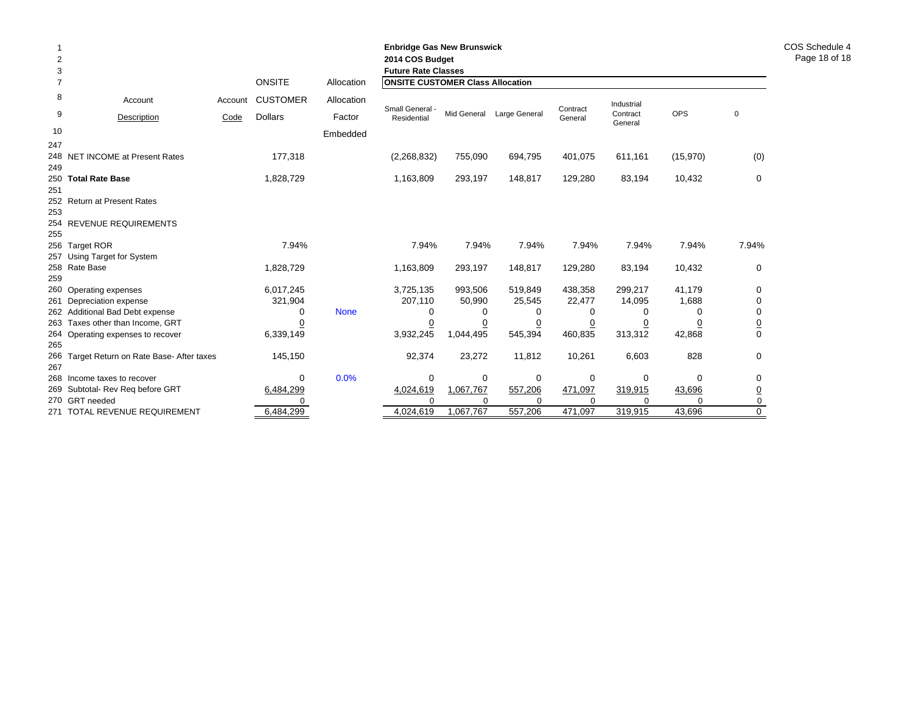| 2<br>3<br>$\overline{7}$ |                                               |         | <b>ONSITE</b>   | Allocation  | <b>Enbridge Gas New Brunswick</b><br>2014 COS Budget<br><b>Future Rate Classes</b><br><b>ONSITE CUSTOMER Class Allocation</b> |             |               |                     |                        |            |                |
|--------------------------|-----------------------------------------------|---------|-----------------|-------------|-------------------------------------------------------------------------------------------------------------------------------|-------------|---------------|---------------------|------------------------|------------|----------------|
| 8                        | Account                                       | Account | <b>CUSTOMER</b> | Allocation  |                                                                                                                               |             |               |                     |                        |            |                |
| 9                        | Description                                   | Code    | <b>Dollars</b>  | Factor      | Small General -<br>Residential                                                                                                | Mid General | Large General | Contract<br>General | Industrial<br>Contract | <b>OPS</b> | $\mathbf 0$    |
| 10                       |                                               |         |                 |             |                                                                                                                               |             |               |                     | General                |            |                |
| 247                      |                                               |         |                 | Embedded    |                                                                                                                               |             |               |                     |                        |            |                |
| 249                      | 248 NET INCOME at Present Rates               |         | 177,318         |             | (2,268,832)                                                                                                                   | 755,090     | 694,795       | 401,075             | 611,161                | (15,970)   | (0)            |
|                          | 250 Total Rate Base                           |         | 1,828,729       |             | 1,163,809                                                                                                                     | 293,197     | 148,817       | 129,280             | 83,194                 | 10,432     | 0              |
| 251<br>253               | 252 Return at Present Rates                   |         |                 |             |                                                                                                                               |             |               |                     |                        |            |                |
| 255                      | 254 REVENUE REQUIREMENTS                      |         |                 |             |                                                                                                                               |             |               |                     |                        |            |                |
|                          | 256 Target ROR<br>257 Using Target for System |         | 7.94%           |             | 7.94%                                                                                                                         | 7.94%       | 7.94%         | 7.94%               | 7.94%                  | 7.94%      | 7.94%          |
| 259                      | 258 Rate Base                                 |         | 1,828,729       |             | 1,163,809                                                                                                                     | 293,197     | 148,817       | 129,280             | 83,194                 | 10,432     | 0              |
|                          | 260 Operating expenses                        |         | 6,017,245       |             | 3,725,135                                                                                                                     | 993,506     | 519,849       | 438,358             | 299,217                | 41,179     | $\Omega$       |
|                          | 261 Depreciation expense                      |         | 321,904         |             | 207,110                                                                                                                       | 50,990      | 25,545        | 22,477              | 14,095                 | 1,688      | $\Omega$       |
|                          | 262 Additional Bad Debt expense               |         | 0               | <b>None</b> | 0                                                                                                                             | 0           | 0             | 0                   | 0                      | 0          | 0              |
|                          | 263 Taxes other than Income, GRT              |         | 0               |             |                                                                                                                               | 0           | 0             | 0                   | 0                      | 0          | $\overline{0}$ |
| 265                      | 264 Operating expenses to recover             |         | 6,339,149       |             | 3,932,245                                                                                                                     | 1,044,495   | 545,394       | 460,835             | 313,312                | 42,868     | $\Omega$       |
| 267                      | 266 Target Return on Rate Base- After taxes   |         | 145,150         |             | 92,374                                                                                                                        | 23,272      | 11,812        | 10,261              | 6,603                  | 828        | 0              |
|                          | 268 Income taxes to recover                   |         | $\Omega$        | 0.0%        | 0                                                                                                                             | 0           | 0             | 0                   | 0                      | $\Omega$   | 0              |
|                          | 269 Subtotal- Rev Reg before GRT              |         | 6,484,299       |             | 4,024,619                                                                                                                     | 1,067,767   | 557,206       | 471,097             | 319,915                | 43,696     | $\overline{0}$ |
|                          | 270 GRT needed                                |         |                 |             | $\Omega$                                                                                                                      | $\Omega$    | $\Omega$      | $\Omega$            | $\Omega$               | $\Omega$   | 0              |
|                          | 271 TOTAL REVENUE REQUIREMENT                 |         | 6,484,299       |             | 4,024,619                                                                                                                     | 1,067,767   | 557,206       | 471,097             | 319,915                | 43,696     | $\mathbf 0$    |

COS Schedule 4 Page 18 of 18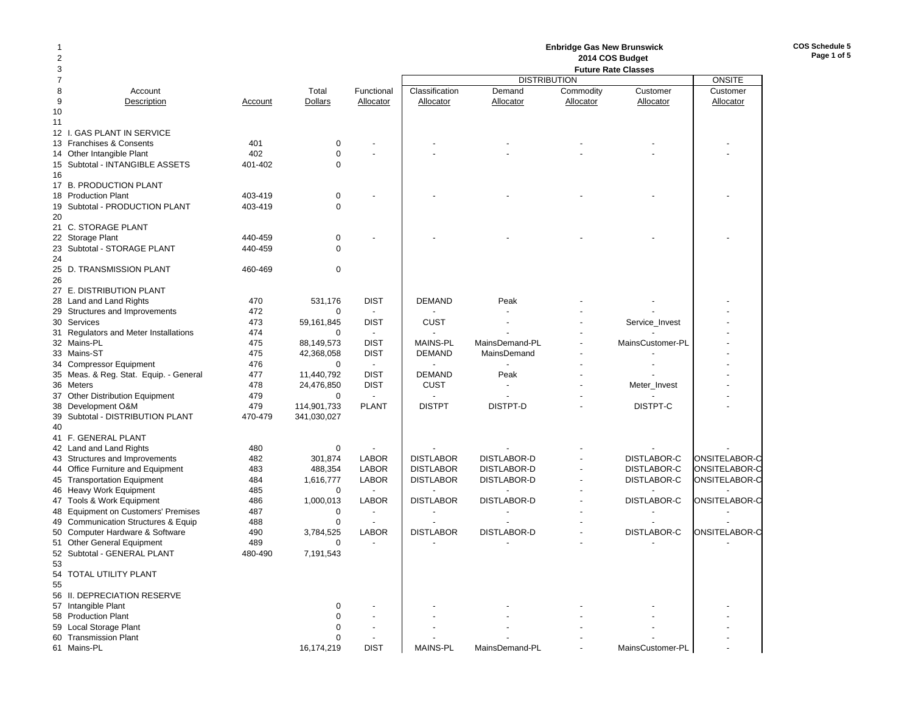# **Enbridge Gas New Brunswick 2014 COS Budget**

**COS Schedule 5Page 1 of 5**

| 3              |                                             |         |                |                          | <b>Future Rate Classes</b> |                    |           |                    |               |  |
|----------------|---------------------------------------------|---------|----------------|--------------------------|----------------------------|--------------------|-----------|--------------------|---------------|--|
| $\overline{7}$ |                                             |         |                |                          | <b>DISTRIBUTION</b>        |                    |           |                    |               |  |
| 8              | Account                                     |         | Total          | Functional               | Classification             | Demand             | Commodity | Customer           | Customer      |  |
| 9              | Description                                 | Account | <b>Dollars</b> | Allocator                | Allocator                  | Allocator          | Allocator | Allocator          | Allocator     |  |
| 10             |                                             |         |                |                          |                            |                    |           |                    |               |  |
| 11             |                                             |         |                |                          |                            |                    |           |                    |               |  |
|                | 12 I. GAS PLANT IN SERVICE                  |         |                |                          |                            |                    |           |                    |               |  |
|                |                                             | 401     |                |                          |                            |                    |           |                    |               |  |
|                | 13 Franchises & Consents                    |         | 0              |                          |                            |                    |           |                    |               |  |
| 14             | Other Intangible Plant                      | 402     | $\mathbf 0$    |                          |                            |                    |           |                    |               |  |
|                | 15 Subtotal - INTANGIBLE ASSETS             | 401-402 | $\Omega$       |                          |                            |                    |           |                    |               |  |
| 16             |                                             |         |                |                          |                            |                    |           |                    |               |  |
|                | 17 B. PRODUCTION PLANT                      |         |                |                          |                            |                    |           |                    |               |  |
| 18             | <b>Production Plant</b>                     | 403-419 | $\mathbf 0$    |                          |                            |                    |           |                    |               |  |
|                | 19 Subtotal - PRODUCTION PLANT              | 403-419 | $\mathbf 0$    |                          |                            |                    |           |                    |               |  |
| 20             |                                             |         |                |                          |                            |                    |           |                    |               |  |
|                | 21 C. STORAGE PLANT                         |         |                |                          |                            |                    |           |                    |               |  |
|                | 22 Storage Plant                            | 440-459 | 0              |                          |                            |                    |           |                    |               |  |
|                | 23 Subtotal - STORAGE PLANT                 | 440-459 | $\mathbf 0$    |                          |                            |                    |           |                    |               |  |
| 24             |                                             |         |                |                          |                            |                    |           |                    |               |  |
|                | 25 D. TRANSMISSION PLANT                    | 460-469 | 0              |                          |                            |                    |           |                    |               |  |
| 26             |                                             |         |                |                          |                            |                    |           |                    |               |  |
|                | 27 E. DISTRIBUTION PLANT                    |         |                |                          |                            |                    |           |                    |               |  |
|                | 28 Land and Land Rights                     | 470     | 531,176        | <b>DIST</b>              | <b>DEMAND</b>              | Peak               |           |                    |               |  |
|                | 29 Structures and Improvements              | 472     | $\Omega$       | $\sim$                   |                            |                    |           |                    |               |  |
|                |                                             |         |                |                          |                            |                    |           |                    |               |  |
|                | 30 Services                                 | 473     | 59,161,845     | <b>DIST</b>              | <b>CUST</b>                |                    |           | Service_Invest     |               |  |
|                | 31 Regulators and Meter Installations       | 474     | $\mathbf 0$    | $\overline{\phantom{a}}$ |                            |                    |           |                    |               |  |
|                | 32 Mains-PL                                 | 475     | 88,149,573     | <b>DIST</b>              | <b>MAINS-PL</b>            | MainsDemand-PL     |           | MainsCustomer-PL   |               |  |
|                | 33 Mains-ST                                 | 475     | 42,368,058     | <b>DIST</b>              | <b>DEMAND</b>              | MainsDemand        |           |                    |               |  |
|                | 34 Compressor Equipment                     | 476     | $\mathbf 0$    | $\overline{\phantom{a}}$ |                            |                    |           |                    |               |  |
|                | 35 Meas. & Reg. Stat. Equip. - General      | 477     | 11,440,792     | <b>DIST</b>              | <b>DEMAND</b>              | Peak               |           |                    |               |  |
|                | 36 Meters                                   | 478     | 24,476,850     | <b>DIST</b>              | <b>CUST</b>                |                    |           | Meter_Invest       |               |  |
| 37             | <b>Other Distribution Equipment</b>         | 479     | $\mathbf 0$    | $\overline{\phantom{a}}$ |                            |                    |           |                    |               |  |
|                | 38 Development O&M                          | 479     | 114,901,733    | <b>PLANT</b>             | <b>DISTPT</b>              | DISTPT-D           |           | DISTPT-C           |               |  |
| 39             | Subtotal - DISTRIBUTION PLANT               | 470-479 | 341,030,027    |                          |                            |                    |           |                    |               |  |
| 40             |                                             |         |                |                          |                            |                    |           |                    |               |  |
|                | 41 F. GENERAL PLANT                         |         |                |                          |                            |                    |           |                    |               |  |
|                | 42 Land and Land Rights                     | 480     | 0              |                          |                            |                    |           |                    |               |  |
|                | 43 Structures and Improvements              | 482     | 301,874        | <b>LABOR</b>             | <b>DISTLABOR</b>           | <b>DISTLABOR-D</b> |           | <b>DISTLABOR-C</b> | ONSITELABOR-C |  |
|                | 44 Office Furniture and Equipment           | 483     | 488,354        | <b>LABOR</b>             | <b>DISTLABOR</b>           | <b>DISTLABOR-D</b> |           | <b>DISTLABOR-C</b> | ONSITELABOR-C |  |
|                | 45 Transportation Equipment                 | 484     | 1,616,777      | <b>LABOR</b>             | <b>DISTLABOR</b>           | DISTLABOR-D        |           | DISTLABOR-C        | ONSITELABOR-C |  |
|                | 46 Heavy Work Equipment                     | 485     | 0              | $\overline{\phantom{a}}$ |                            |                    |           |                    |               |  |
|                | 47 Tools & Work Equipment                   | 486     | 1,000,013      | <b>LABOR</b>             | <b>DISTLABOR</b>           | DISTLABOR-D        |           | <b>DISTLABOR-C</b> | ONSITELABOR-C |  |
|                |                                             |         |                |                          |                            |                    |           |                    |               |  |
|                | 48 Equipment on Customers' Premises         | 487     | $\mathbf 0$    |                          |                            |                    |           |                    |               |  |
| 49             | <b>Communication Structures &amp; Equip</b> | 488     | $\mathbf 0$    |                          |                            |                    |           |                    |               |  |
|                | 50 Computer Hardware & Software             | 490     | 3,784,525      | <b>LABOR</b>             | <b>DISTLABOR</b>           | <b>DISTLABOR-D</b> |           | DISTLABOR-C        | ONSITELABOR-C |  |
| 51             | <b>Other General Equipment</b>              | 489     | $\mathbf 0$    |                          |                            |                    |           |                    |               |  |
|                | 52 Subtotal - GENERAL PLANT                 | 480-490 | 7,191,543      |                          |                            |                    |           |                    |               |  |
| 53             |                                             |         |                |                          |                            |                    |           |                    |               |  |
|                | 54 TOTAL UTILITY PLANT                      |         |                |                          |                            |                    |           |                    |               |  |
| 55             |                                             |         |                |                          |                            |                    |           |                    |               |  |
|                | 56 II. DEPRECIATION RESERVE                 |         |                |                          |                            |                    |           |                    |               |  |
|                | 57 Intangible Plant                         |         | 0              |                          |                            |                    |           |                    |               |  |
|                | 58 Production Plant                         |         | 0              |                          |                            |                    |           |                    |               |  |
|                | 59 Local Storage Plant                      |         | $\Omega$       |                          |                            |                    |           |                    |               |  |
|                | 60 Transmission Plant                       |         | 0              |                          |                            |                    |           |                    |               |  |
|                | 61 Mains-PL                                 |         | 16,174,219     | <b>DIST</b>              | MAINS-PL                   | MainsDemand-PL     |           | MainsCustomer-PL   |               |  |
|                |                                             |         |                |                          |                            |                    |           |                    |               |  |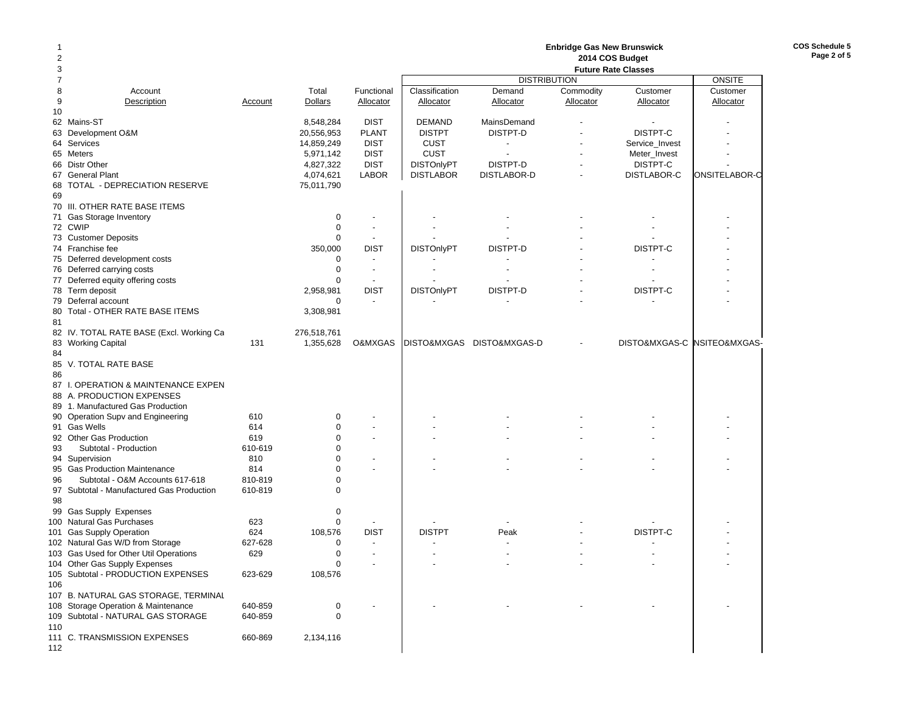| 1<br>2 |                                           |         |                        |                             | <b>Enbridge Gas New Brunswick</b><br>2014 COS Budget |                           |           |                            |                             |  |  |  |  |
|--------|-------------------------------------------|---------|------------------------|-----------------------------|------------------------------------------------------|---------------------------|-----------|----------------------------|-----------------------------|--|--|--|--|
| 3      |                                           |         |                        |                             |                                                      |                           |           | <b>Future Rate Classes</b> |                             |  |  |  |  |
| 7      |                                           |         |                        |                             |                                                      | <b>DISTRIBUTION</b>       |           |                            | ONSITE                      |  |  |  |  |
| 8      | Account                                   |         | Total                  | Functional                  | Classification                                       | Demand                    | Commodity | Customer                   | Customer                    |  |  |  |  |
| 9      | Description                               | Account | <b>Dollars</b>         | Allocator                   | <b>Allocator</b>                                     | Allocator                 | Allocator | Allocator                  | Allocator                   |  |  |  |  |
| 10     |                                           |         |                        |                             |                                                      |                           |           |                            |                             |  |  |  |  |
|        | 62 Mains-ST                               |         | 8,548,284              | <b>DIST</b>                 | <b>DEMAND</b>                                        | MainsDemand               |           |                            |                             |  |  |  |  |
| 63     | Development O&M                           |         | 20,556,953             | <b>PLANT</b><br><b>DIST</b> | <b>DISTPT</b>                                        | DISTPT-D                  |           | DISTPT-C                   |                             |  |  |  |  |
|        | 64 Services                               |         | 14,859,249             | <b>DIST</b>                 | <b>CUST</b><br><b>CUST</b>                           | $\overline{\phantom{a}}$  |           | Service_Invest             |                             |  |  |  |  |
|        | 65 Meters<br>66 Distr Other               |         | 5,971,142<br>4,827,322 | <b>DIST</b>                 | <b>DISTOnlyPT</b>                                    | DISTPT-D                  |           | Meter_Invest<br>DISTPT-C   |                             |  |  |  |  |
|        | 67 General Plant                          |         | 4,074,621              | <b>LABOR</b>                | <b>DISTLABOR</b>                                     | DISTLABOR-D               |           | DISTLABOR-C                | ONSITELABOR-C               |  |  |  |  |
| 68     | TOTAL - DEPRECIATION RESERVE              |         | 75,011,790             |                             |                                                      |                           |           |                            |                             |  |  |  |  |
| 69     |                                           |         |                        |                             |                                                      |                           |           |                            |                             |  |  |  |  |
|        | 70 III. OTHER RATE BASE ITEMS             |         |                        |                             |                                                      |                           |           |                            |                             |  |  |  |  |
|        | 71 Gas Storage Inventory                  |         | 0                      | $\overline{\phantom{a}}$    |                                                      |                           |           |                            |                             |  |  |  |  |
|        | 72 CWIP                                   |         | $\mathbf 0$            | $\overline{\phantom{a}}$    |                                                      |                           |           |                            |                             |  |  |  |  |
|        | 73 Customer Deposits                      |         | $\mathbf 0$            | $\overline{\phantom{a}}$    |                                                      |                           |           |                            |                             |  |  |  |  |
|        | 74 Franchise fee                          |         | 350,000                | <b>DIST</b>                 | <b>DISTOnlyPT</b>                                    | DISTPT-D                  |           | DISTPT-C                   |                             |  |  |  |  |
|        | 75 Deferred development costs             |         | $\mathbf 0$            |                             |                                                      |                           |           |                            |                             |  |  |  |  |
|        | 76 Deferred carrying costs                |         | $\mathbf 0$            | $\overline{\phantom{a}}$    |                                                      |                           |           |                            |                             |  |  |  |  |
|        | 77 Deferred equity offering costs         |         | $\Omega$               | $\overline{\phantom{a}}$    |                                                      |                           |           |                            |                             |  |  |  |  |
|        | 78 Term deposit                           |         | 2,958,981              | <b>DIST</b>                 | <b>DISTOnlyPT</b>                                    | DISTPT-D                  |           | DISTPT-C                   |                             |  |  |  |  |
|        | 79 Deferral account                       |         | $\mathbf 0$            | $\blacksquare$              |                                                      |                           |           |                            |                             |  |  |  |  |
|        | 80 Total - OTHER RATE BASE ITEMS          |         | 3,308,981              |                             |                                                      |                           |           |                            |                             |  |  |  |  |
| 81     |                                           |         |                        |                             |                                                      |                           |           |                            |                             |  |  |  |  |
|        | 82 IV. TOTAL RATE BASE (Excl. Working Ca  |         | 276,518,761            |                             |                                                      |                           |           |                            |                             |  |  |  |  |
|        | 83 Working Capital                        | 131     | 1,355,628              | O&MXGAS                     |                                                      | DISTO&MXGAS DISTO&MXGAS-D |           |                            | DISTO&MXGAS-C NSITEO&MXGAS- |  |  |  |  |
| 84     |                                           |         |                        |                             |                                                      |                           |           |                            |                             |  |  |  |  |
|        | 85 V. TOTAL RATE BASE                     |         |                        |                             |                                                      |                           |           |                            |                             |  |  |  |  |
| 86     |                                           |         |                        |                             |                                                      |                           |           |                            |                             |  |  |  |  |
|        | 87 I. OPERATION & MAINTENANCE EXPEN       |         |                        |                             |                                                      |                           |           |                            |                             |  |  |  |  |
|        | 88 A. PRODUCTION EXPENSES                 |         |                        |                             |                                                      |                           |           |                            |                             |  |  |  |  |
|        | 89 1. Manufactured Gas Production         |         |                        |                             |                                                      |                           |           |                            |                             |  |  |  |  |
|        | 90 Operation Supv and Engineering         | 610     | 0                      |                             |                                                      |                           |           |                            |                             |  |  |  |  |
|        | 91 Gas Wells                              | 614     | $\mathbf 0$            |                             |                                                      |                           |           |                            |                             |  |  |  |  |
|        | 92 Other Gas Production                   | 619     | $\mathbf 0$            |                             |                                                      |                           |           |                            |                             |  |  |  |  |
| 93     | Subtotal - Production                     | 610-619 | $\Omega$               |                             |                                                      |                           |           |                            |                             |  |  |  |  |
|        | 94 Supervision                            | 810     | $\Omega$               |                             |                                                      |                           |           |                            |                             |  |  |  |  |
|        | 95 Gas Production Maintenance             | 814     | $\Omega$               |                             |                                                      |                           |           |                            |                             |  |  |  |  |
| 96     | Subtotal - O&M Accounts 617-618           | 810-819 | $\mathbf 0$            |                             |                                                      |                           |           |                            |                             |  |  |  |  |
|        | 97 Subtotal - Manufactured Gas Production | 610-819 | $\mathbf 0$            |                             |                                                      |                           |           |                            |                             |  |  |  |  |
| 98     |                                           |         |                        |                             |                                                      |                           |           |                            |                             |  |  |  |  |
|        | 99 Gas Supply Expenses                    |         | $\mathbf 0$            |                             |                                                      |                           |           |                            |                             |  |  |  |  |
|        | 100 Natural Gas Purchases                 | 623     | $\mathbf 0$            |                             |                                                      |                           |           |                            |                             |  |  |  |  |
|        | 101 Gas Supply Operation                  | 624     | 108,576                | <b>DIST</b>                 | <b>DISTPT</b>                                        | Peak                      |           | DISTPT-C                   |                             |  |  |  |  |
|        | 102 Natural Gas W/D from Storage          | 627-628 | $\mathbf 0$            | $\overline{\phantom{a}}$    |                                                      |                           |           |                            |                             |  |  |  |  |
|        | 103 Gas Used for Other Util Operations    | 629     | $\mathbf 0$            | $\blacksquare$              |                                                      |                           |           |                            |                             |  |  |  |  |
|        | 104 Other Gas Supply Expenses             |         | 0                      |                             |                                                      |                           |           |                            |                             |  |  |  |  |
|        | 105 Subtotal - PRODUCTION EXPENSES        | 623-629 | 108,576                |                             |                                                      |                           |           |                            |                             |  |  |  |  |
| 106    |                                           |         |                        |                             |                                                      |                           |           |                            |                             |  |  |  |  |
|        | 107 B. NATURAL GAS STORAGE, TERMINAL      |         |                        |                             |                                                      |                           |           |                            |                             |  |  |  |  |
|        | 108 Storage Operation & Maintenance       | 640-859 | 0                      |                             |                                                      |                           |           |                            |                             |  |  |  |  |
|        | 109 Subtotal - NATURAL GAS STORAGE        | 640-859 | 0                      |                             |                                                      |                           |           |                            |                             |  |  |  |  |
| 110    |                                           |         |                        |                             |                                                      |                           |           |                            |                             |  |  |  |  |
|        | 111 C. TRANSMISSION EXPENSES              | 660-869 | 2,134,116              |                             |                                                      |                           |           |                            |                             |  |  |  |  |
| 112    |                                           |         |                        |                             |                                                      |                           |           |                            |                             |  |  |  |  |
|        |                                           |         |                        |                             |                                                      |                           |           |                            |                             |  |  |  |  |

**COS Schedule 5 Page 2 of 5**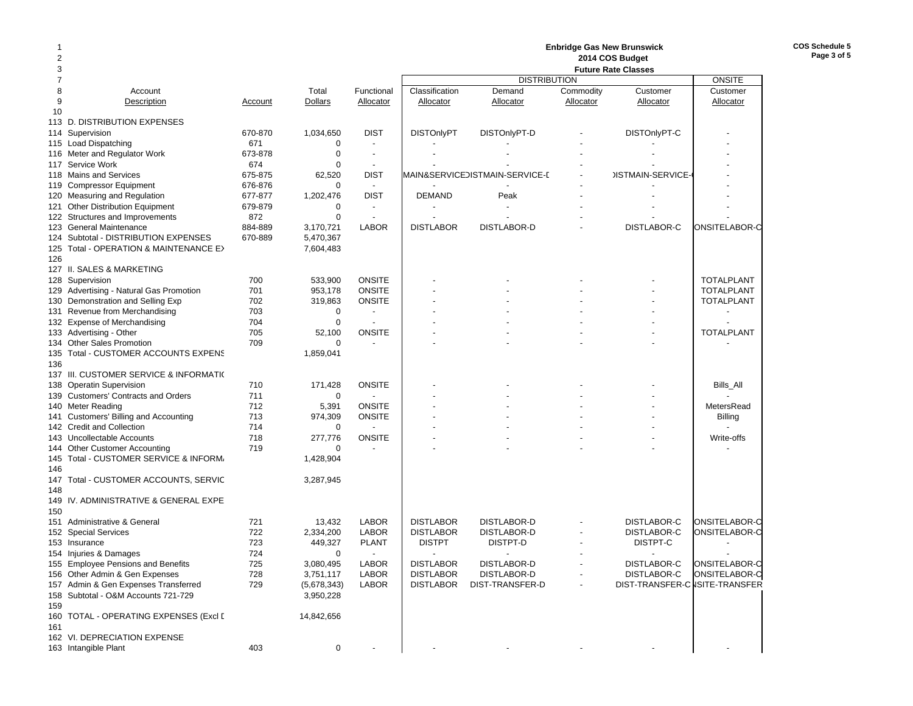# **Enbridge Gas New Brunswick 2014 COS Budget**

| 3              |                                         |         |             |                          |                   | <b>Future Rate Classes</b>     |               |                                |                   |
|----------------|-----------------------------------------|---------|-------------|--------------------------|-------------------|--------------------------------|---------------|--------------------------------|-------------------|
| $\overline{7}$ |                                         |         |             |                          |                   |                                | <b>ONSITE</b> |                                |                   |
| 8              | Account                                 |         | Total       | Functional               | Classification    | Demand                         | Commodity     | Customer                       | Customer          |
| 9              | Description                             | Account | Dollars     | Allocator                | Allocator         | Allocator                      | Allocator     | Allocator                      | Allocator         |
| 10             |                                         |         |             |                          |                   |                                |               |                                |                   |
|                | 113 D. DISTRIBUTION EXPENSES            |         |             |                          |                   |                                |               |                                |                   |
|                | 114 Supervision                         | 670-870 | 1,034,650   | <b>DIST</b>              | <b>DISTOnlyPT</b> | DISTOnlyPT-D                   |               | DISTOnlyPT-C                   |                   |
|                | 115 Load Dispatching                    | 671     | $\mathbf 0$ |                          |                   |                                |               |                                |                   |
|                | 116 Meter and Regulator Work            | 673-878 | $\mathbf 0$ | $\overline{\phantom{a}}$ |                   |                                |               |                                |                   |
|                | 117 Service Work                        | 674     | 0           |                          |                   |                                |               |                                |                   |
|                | 118 Mains and Services                  | 675-875 | 62,520      | <b>DIST</b>              |                   | MAIN&SERVICEDISTMAIN-SERVICE-E |               | <b>JISTMAIN-SERVICE-</b>       |                   |
|                | 119 Compressor Equipment                | 676-876 | $\Omega$    | $\sim$                   |                   |                                |               |                                |                   |
|                | 120 Measuring and Regulation            | 677-877 | 1,202,476   | <b>DIST</b>              | <b>DEMAND</b>     | Peak                           |               |                                |                   |
|                | 121 Other Distribution Equipment        | 679-879 | $\mathbf 0$ | $\overline{\phantom{a}}$ |                   |                                |               |                                |                   |
|                | 122 Structures and Improvements         | 872     | $\mathbf 0$ | $\overline{\phantom{a}}$ |                   |                                |               |                                |                   |
|                | 123 General Maintenance                 | 884-889 | 3,170,721   | <b>LABOR</b>             | <b>DISTLABOR</b>  | DISTLABOR-D                    |               | DISTLABOR-C                    | ONSITELABOR-C     |
|                | 124 Subtotal - DISTRIBUTION EXPENSES    | 670-889 | 5,470,367   |                          |                   |                                |               |                                |                   |
|                | 125 Total - OPERATION & MAINTENANCE E>  |         | 7,604,483   |                          |                   |                                |               |                                |                   |
| 126            |                                         |         |             |                          |                   |                                |               |                                |                   |
|                | 127 II. SALES & MARKETING               |         |             |                          |                   |                                |               |                                |                   |
|                | 128 Supervision                         | 700     | 533,900     | <b>ONSITE</b>            |                   |                                |               |                                | <b>TOTALPLANT</b> |
|                | 129 Advertising - Natural Gas Promotion | 701     | 953,178     | <b>ONSITE</b>            |                   |                                |               |                                | <b>TOTALPLANT</b> |
|                | 130 Demonstration and Selling Exp       | 702     | 319,863     | <b>ONSITE</b>            |                   |                                |               |                                | <b>TOTALPLANT</b> |
|                | 131 Revenue from Merchandising          | 703     | $\mathbf 0$ | $\overline{\phantom{a}}$ |                   |                                |               |                                |                   |
|                | 132 Expense of Merchandising            | 704     | $\mathbf 0$ |                          |                   |                                |               |                                |                   |
|                | 133 Advertising - Other                 | 705     | 52,100      | <b>ONSITE</b>            |                   |                                |               |                                | <b>TOTALPLANT</b> |
|                | 134 Other Sales Promotion               | 709     | $\mathbf 0$ |                          |                   |                                |               |                                |                   |
| 135            | Total - CUSTOMER ACCOUNTS EXPENS        |         | 1,859,041   |                          |                   |                                |               |                                |                   |
| 136            |                                         |         |             |                          |                   |                                |               |                                |                   |
|                | 137 III. CUSTOMER SERVICE & INFORMATIO  |         |             |                          |                   |                                |               |                                |                   |
|                | 138 Operatin Supervision                | 710     | 171,428     | <b>ONSITE</b>            |                   |                                |               |                                | Bills_All         |
|                | 139 Customers' Contracts and Orders     | 711     | $\mathbf 0$ |                          |                   |                                |               |                                |                   |
|                | 140 Meter Reading                       | 712     | 5,391       | <b>ONSITE</b>            |                   |                                |               |                                | MetersRead        |
|                | 141 Customers' Billing and Accounting   | 713     | 974,309     | <b>ONSITE</b>            |                   |                                |               |                                | <b>Billing</b>    |
|                | 142 Credit and Collection               | 714     | 0           |                          |                   |                                |               |                                |                   |
|                | 143 Uncollectable Accounts              | 718     | 277,776     | <b>ONSITE</b>            |                   |                                |               |                                | Write-offs        |
|                | 144 Other Customer Accounting           | 719     | $\Omega$    |                          |                   |                                |               |                                |                   |
|                | 145 Total - CUSTOMER SERVICE & INFORM,  |         | 1,428,904   |                          |                   |                                |               |                                |                   |
| 146            |                                         |         |             |                          |                   |                                |               |                                |                   |
| 147            | Total - CUSTOMER ACCOUNTS, SERVIC       |         | 3,287,945   |                          |                   |                                |               |                                |                   |
| 148            |                                         |         |             |                          |                   |                                |               |                                |                   |
| 149            | IV. ADMINISTRATIVE & GENERAL EXPE       |         |             |                          |                   |                                |               |                                |                   |
| 150            |                                         |         |             |                          |                   |                                |               |                                |                   |
| 151            | Administrative & General                | 721     | 13,432      | <b>LABOR</b>             | <b>DISTLABOR</b>  | DISTLABOR-D                    |               | DISTLABOR-C                    | ONSITELABOR-C     |
|                | 152 Special Services                    | 722     | 2,334,200   | <b>LABOR</b>             | <b>DISTLABOR</b>  | <b>DISTLABOR-D</b>             |               | DISTLABOR-C                    | ONSITELABOR-C     |
|                | 153 Insurance                           | 723     | 449,327     | <b>PLANT</b>             | <b>DISTPT</b>     | DISTPT-D                       |               | DISTPT-C                       |                   |
|                | 154 Injuries & Damages                  | 724     | $\mathbf 0$ |                          |                   |                                |               |                                |                   |
|                | 155 Employee Pensions and Benefits      | 725     | 3,080,495   | <b>LABOR</b>             | <b>DISTLABOR</b>  | DISTLABOR-D                    |               | DISTLABOR-C                    | ONSITELABOR-C     |
|                | 156 Other Admin & Gen Expenses          | 728     | 3,751,117   | <b>LABOR</b>             | <b>DISTLABOR</b>  | <b>DISTLABOR-D</b>             |               | DISTLABOR-C                    | ONSITELABOR-C     |
|                | 157 Admin & Gen Expenses Transferred    | 729     | (5,678,343) | <b>LABOR</b>             | <b>DISTLABOR</b>  | DIST-TRANSFER-D                |               | DIST-TRANSFER-C ISITE-TRANSFER |                   |
| 158            | Subtotal - O&M Accounts 721-729         |         | 3,950,228   |                          |                   |                                |               |                                |                   |
| 159            |                                         |         |             |                          |                   |                                |               |                                |                   |
| 160            | TOTAL - OPERATING EXPENSES (Excl [      |         | 14,842,656  |                          |                   |                                |               |                                |                   |
| 161            |                                         |         |             |                          |                   |                                |               |                                |                   |
|                | 162 VI. DEPRECIATION EXPENSE            |         |             |                          |                   |                                |               |                                |                   |
|                | 163 Intangible Plant                    | 403     | $\mathbf 0$ |                          |                   |                                |               |                                |                   |
|                |                                         |         |             |                          |                   |                                |               |                                |                   |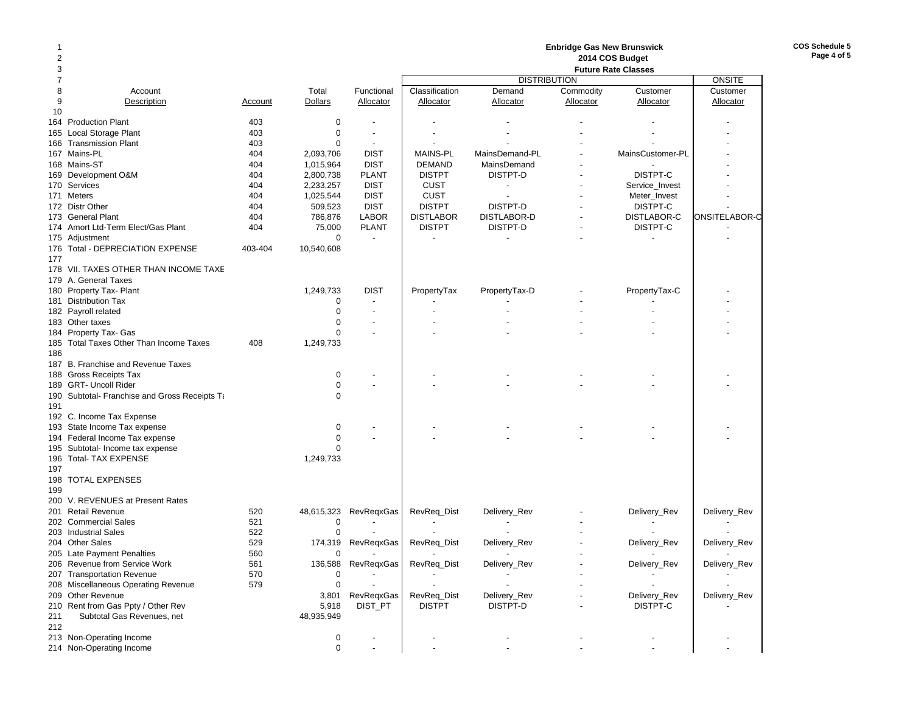| 1   |                                                 |            |                        | <b>Enbridge Gas New Brunswick</b><br>2014 COS Budget |                  |                          |           |                            |               |  |  |
|-----|-------------------------------------------------|------------|------------------------|------------------------------------------------------|------------------|--------------------------|-----------|----------------------------|---------------|--|--|
| 2   |                                                 |            |                        |                                                      |                  |                          |           |                            |               |  |  |
| 3   |                                                 |            |                        |                                                      |                  |                          |           | <b>Future Rate Classes</b> |               |  |  |
| 7   |                                                 |            |                        |                                                      |                  | <b>DISTRIBUTION</b>      |           |                            | <b>ONSITE</b> |  |  |
| 8   | Account                                         |            | Total                  | Functional                                           | Classification   | Demand                   | Commodity | Customer                   | Customer      |  |  |
| 9   | Description                                     | Account    | <b>Dollars</b>         | Allocator                                            | Allocator        | Allocator                | Allocator | Allocator                  | Allocator     |  |  |
| 10  | <b>Production Plant</b>                         | 403        | $\mathbf 0$            |                                                      |                  |                          |           |                            |               |  |  |
| 164 | Local Storage Plant                             | 403        | $\mathbf 0$            |                                                      |                  |                          |           |                            |               |  |  |
| 165 |                                                 |            | $\mathbf 0$            |                                                      |                  |                          |           |                            |               |  |  |
|     | 166 Transmission Plant<br>167 Mains-PL          | 403<br>404 |                        | $\overline{\phantom{a}}$<br><b>DIST</b>              | <b>MAINS-PL</b>  | MainsDemand-PL           |           | MainsCustomer-PL           |               |  |  |
|     |                                                 | 404        | 2,093,706              | <b>DIST</b>                                          | <b>DEMAND</b>    | MainsDemand              |           |                            |               |  |  |
|     | 168 Mains-ST<br>169 Development O&M             | 404        | 1,015,964              | <b>PLANT</b>                                         | <b>DISTPT</b>    | DISTPT-D                 |           | DISTPT-C                   |               |  |  |
|     | 170 Services                                    | 404        | 2,800,738              | <b>DIST</b>                                          | <b>CUST</b>      |                          |           | Service Invest             |               |  |  |
|     | 171 Meters                                      | 404        | 2,233,257<br>1,025,544 | <b>DIST</b>                                          | <b>CUST</b>      |                          |           |                            |               |  |  |
|     | 172 Distr Other                                 | 404        | 509,523                | <b>DIST</b>                                          | <b>DISTPT</b>    | DISTPT-D                 |           | Meter_Invest<br>DISTPT-C   |               |  |  |
|     |                                                 | 404        |                        | <b>LABOR</b>                                         | <b>DISTLABOR</b> | DISTLABOR-D              |           | <b>DISTLABOR-C</b>         |               |  |  |
|     | 173 General Plant                               |            | 786,876                | <b>PLANT</b>                                         | <b>DISTPT</b>    | DISTPT-D                 |           | DISTPT-C                   | ONSITELABOR-C |  |  |
|     | 174 Amort Ltd-Term Elect/Gas Plant              | 404        | 75,000<br>0            | $\overline{a}$                                       |                  |                          |           |                            |               |  |  |
|     | 175 Adjustment                                  |            |                        |                                                      |                  |                          |           |                            |               |  |  |
|     | 176 Total - DEPRECIATION EXPENSE                | 403-404    | 10,540,608             |                                                      |                  |                          |           |                            |               |  |  |
| 177 | 178 VII. TAXES OTHER THAN INCOME TAXE           |            |                        |                                                      |                  |                          |           |                            |               |  |  |
|     | 179 A. General Taxes                            |            |                        |                                                      |                  |                          |           |                            |               |  |  |
|     |                                                 |            |                        | <b>DIST</b>                                          |                  |                          |           |                            |               |  |  |
|     | 180 Property Tax- Plant<br>181 Distribution Tax |            | 1,249,733<br>0         |                                                      | PropertyTax      | PropertyTax-D            |           | PropertyTax-C              |               |  |  |
|     |                                                 |            | $\mathbf 0$            |                                                      |                  |                          |           |                            |               |  |  |
|     | 182 Payroll related                             |            | $\mathbf 0$            |                                                      |                  |                          |           |                            |               |  |  |
|     | 183 Other taxes<br>184 Property Tax- Gas        |            | $\Omega$               |                                                      |                  |                          |           |                            |               |  |  |
|     | 185 Total Taxes Other Than Income Taxes         |            |                        |                                                      |                  |                          |           |                            |               |  |  |
| 186 |                                                 | 408        | 1,249,733              |                                                      |                  |                          |           |                            |               |  |  |
|     | 187 B. Franchise and Revenue Taxes              |            |                        |                                                      |                  |                          |           |                            |               |  |  |
|     | 188 Gross Receipts Tax                          |            |                        |                                                      |                  |                          |           |                            |               |  |  |
|     | 189 GRT- Uncoll Rider                           |            | 0<br>$\mathbf 0$       |                                                      |                  |                          |           |                            |               |  |  |
|     | 190 Subtotal- Franchise and Gross Receipts Ta   |            | $\mathbf 0$            |                                                      |                  |                          |           |                            |               |  |  |
| 191 |                                                 |            |                        |                                                      |                  |                          |           |                            |               |  |  |
|     | 192 C. Income Tax Expense                       |            |                        |                                                      |                  |                          |           |                            |               |  |  |
|     | 193 State Income Tax expense                    |            | $\mathbf 0$            |                                                      |                  |                          |           |                            |               |  |  |
|     | 194 Federal Income Tax expense                  |            | $\mathbf 0$            |                                                      |                  |                          |           |                            |               |  |  |
|     | 195 Subtotal- Income tax expense                |            | $\mathbf 0$            |                                                      |                  |                          |           |                            |               |  |  |
|     | 196 Total- TAX EXPENSE                          |            | 1,249,733              |                                                      |                  |                          |           |                            |               |  |  |
| 197 |                                                 |            |                        |                                                      |                  |                          |           |                            |               |  |  |
|     | 198 TOTAL EXPENSES                              |            |                        |                                                      |                  |                          |           |                            |               |  |  |
| 199 |                                                 |            |                        |                                                      |                  |                          |           |                            |               |  |  |
|     | 200 V. REVENUES at Present Rates                |            |                        |                                                      |                  |                          |           |                            |               |  |  |
| 201 | Retail Revenue                                  | 520        | 48,615,323             | RevRegxGas                                           | RevReq_Dist      | Delivery_Rev             |           | Delivery_Rev               | Delivery_Rev  |  |  |
|     | 202 Commercial Sales                            | 521        | 0                      |                                                      |                  |                          |           |                            |               |  |  |
|     | 203 Industrial Sales                            | 522        | $\mathbf 0$            |                                                      |                  |                          |           |                            |               |  |  |
|     | 204 Other Sales                                 | 529        | 174,319                | RevReqxGas                                           | RevReq_Dist      | Delivery_Rev             |           | Delivery_Rev               | Delivery_Rev  |  |  |
|     | 205 Late Payment Penalties                      | 560        | 0                      |                                                      |                  | $\overline{\phantom{a}}$ |           | $\overline{\phantom{a}}$   |               |  |  |
|     | 206 Revenue from Service Work                   | 561        |                        | 136,588 RevReqxGas                                   | RevReq_Dist      | Delivery_Rev             |           | Delivery_Rev               | Delivery_Rev  |  |  |
|     | 207 Transportation Revenue                      | 570        | 0                      |                                                      |                  |                          |           |                            |               |  |  |
|     | 208 Miscellaneous Operating Revenue             | 579        | $\mathbf 0$            |                                                      |                  |                          |           |                            |               |  |  |
|     | 209 Other Revenue                               |            |                        | 3,801 RevReqxGas                                     | RevReq_Dist      | Delivery_Rev             |           | Delivery_Rev               | Delivery_Rev  |  |  |
|     | 210 Rent from Gas Ppty / Other Rev              |            | 5,918                  | DIST_PT                                              | <b>DISTPT</b>    | DISTPT-D                 |           | DISTPT-C                   |               |  |  |
| 211 | Subtotal Gas Revenues, net                      |            | 48,935,949             |                                                      |                  |                          |           |                            |               |  |  |
| 212 |                                                 |            |                        |                                                      |                  |                          |           |                            |               |  |  |
|     | 213 Non-Operating Income                        |            | $\pmb{0}$              |                                                      |                  |                          |           |                            |               |  |  |
|     | 214 Non-Operating Income                        |            | $\boldsymbol{0}$       |                                                      |                  |                          |           |                            |               |  |  |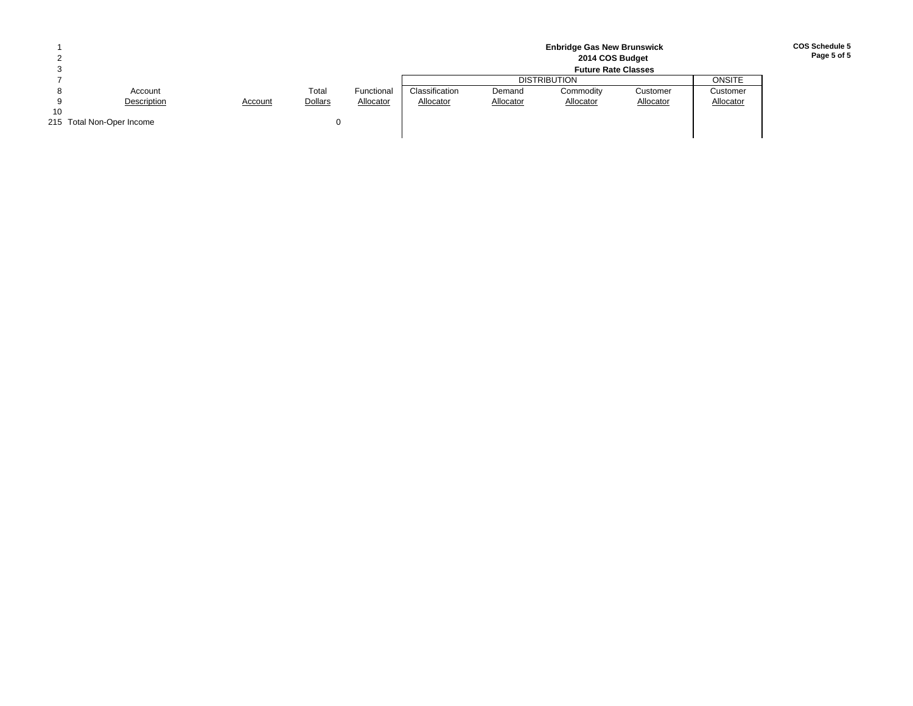|    |                           |         |                |            |                | 2014 COS Budget<br><b>Future Rate Classes</b> |                     |           |           |  |  |  |  |  |  |  |
|----|---------------------------|---------|----------------|------------|----------------|-----------------------------------------------|---------------------|-----------|-----------|--|--|--|--|--|--|--|
|    |                           |         |                |            |                |                                               | <b>DISTRIBUTION</b> |           | ONSITE    |  |  |  |  |  |  |  |
|    | Account                   |         | Total          | Functional | Classification | Demand                                        | Commodity           | Customer  | Customer  |  |  |  |  |  |  |  |
|    | Description               | Account | <b>Dollars</b> | Allocator  | Allocator      | Allocator                                     | Allocator           | Allocator | Allocator |  |  |  |  |  |  |  |
| 10 |                           |         |                |            |                |                                               |                     |           |           |  |  |  |  |  |  |  |
|    | 215 Total Non-Oper Income |         |                |            |                |                                               |                     |           |           |  |  |  |  |  |  |  |
|    |                           |         |                |            |                |                                               |                     |           |           |  |  |  |  |  |  |  |